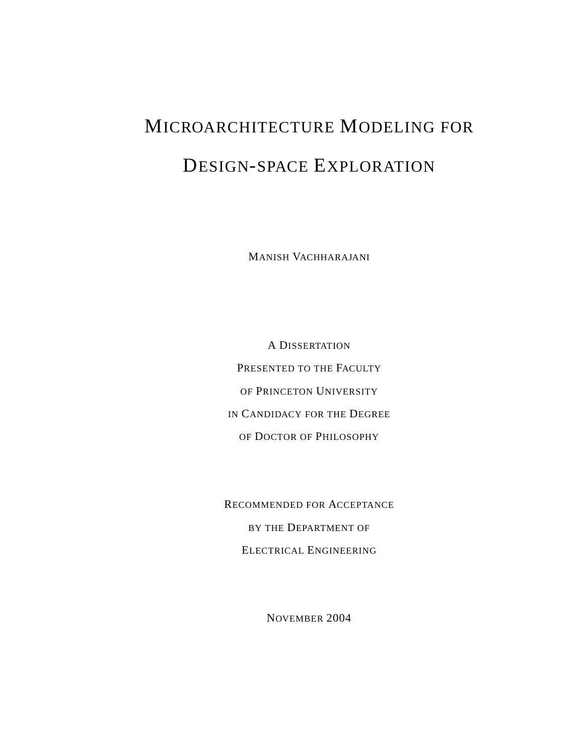# MICROARCHITECTURE MODELING FOR DESIGN-SPACE EXPLORATION

MANISH VACHHARAJANI

A DISSERTATION PRESENTED TO THE FACULTY OF PRINCETON UNIVERSITY IN CANDIDACY FOR THE DEGREE OF DOCTOR OF PHILOSOPHY

RECOMMENDED FOR ACCEPTANCE BY THE DEPARTMENT OF ELECTRICAL ENGINEERING

NOVEMBER 2004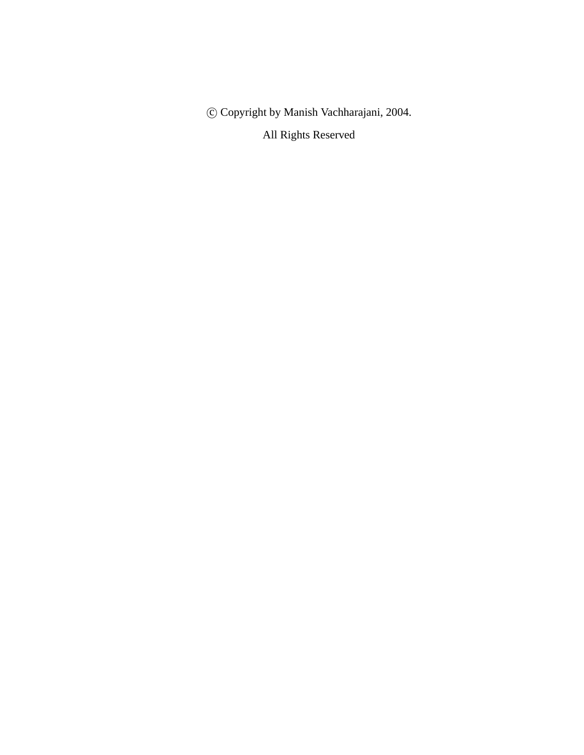c Copyright by Manish Vachharajani, 2004.

All Rights Reserved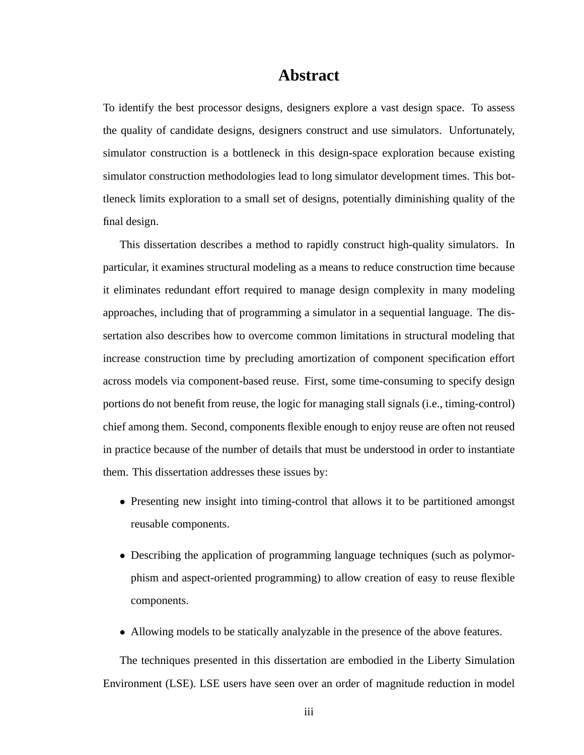#### **Abstract**

To identify the best processor designs, designers explore a vast design space. To assess the quality of candidate designs, designers construct and use simulators. Unfortunately, simulator construction is a bottleneck in this design-space exploration because existing simulator construction methodologies lead to long simulator development times. This bottleneck limits exploration to a small set of designs, potentially diminishing quality of the final design.

This dissertation describes a method to rapidly construct high-quality simulators. In particular, it examines structural modeling as a means to reduce construction time because it eliminates redundant effort required to manage design complexity in many modeling approaches, including that of programming a simulator in a sequential language. The dissertation also describes how to overcome common limitations in structural modeling that increase construction time by precluding amortization of component specification effort across models via component-based reuse. First, some time-consuming to specify design portions do not benefit from reuse, the logic for managing stall signals (i.e., timing-control) chief among them. Second, components flexible enough to enjoy reuse are often not reused in practice because of the number of details that must be understood in order to instantiate them. This dissertation addresses these issues by:

- Presenting new insight into timing-control that allows it to be partitioned amongst reusable components.
- Describing the application of programming language techniques (such as polymorphism and aspect-oriented programming) to allow creation of easy to reuse flexible components.
- Allowing models to be statically analyzable in the presence of the above features.

The techniques presented in this dissertation are embodied in the Liberty Simulation Environment (LSE). LSE users have seen over an order of magnitude reduction in model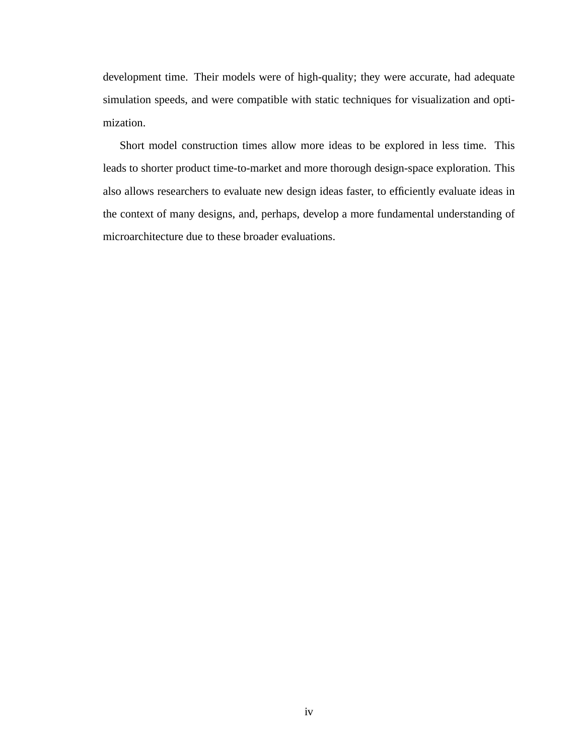development time. Their models were of high-quality; they were accurate, had adequate simulation speeds, and were compatible with static techniques for visualization and optimization.

Short model construction times allow more ideas to be explored in less time. This leads to shorter product time-to-market and more thorough design-space exploration. This also allows researchers to evaluate new design ideas faster, to efficiently evaluate ideas in the context of many designs, and, perhaps, develop a more fundamental understanding of microarchitecture due to these broader evaluations.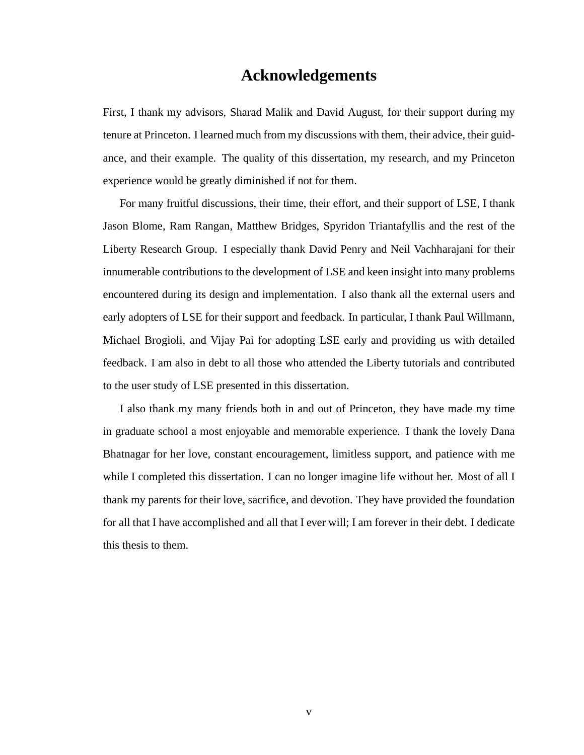#### **Acknowledgements**

First, I thank my advisors, Sharad Malik and David August, for their support during my tenure at Princeton. I learned much from my discussions with them, their advice, their guidance, and their example. The quality of this dissertation, my research, and my Princeton experience would be greatly diminished if not for them.

For many fruitful discussions, their time, their effort, and their support of LSE, I thank Jason Blome, Ram Rangan, Matthew Bridges, Spyridon Triantafyllis and the rest of the Liberty Research Group. I especially thank David Penry and Neil Vachharajani for their innumerable contributions to the development of LSE and keen insight into many problems encountered during its design and implementation. I also thank all the external users and early adopters of LSE for their support and feedback. In particular, I thank Paul Willmann, Michael Brogioli, and Vijay Pai for adopting LSE early and providing us with detailed feedback. I am also in debt to all those who attended the Liberty tutorials and contributed to the user study of LSE presented in this dissertation.

I also thank my many friends both in and out of Princeton, they have made my time in graduate school a most enjoyable and memorable experience. I thank the lovely Dana Bhatnagar for her love, constant encouragement, limitless support, and patience with me while I completed this dissertation. I can no longer imagine life without her. Most of all I thank my parents for their love, sacrifice, and devotion. They have provided the foundation for all that I have accomplished and all that I ever will; I am forever in their debt. I dedicate this thesis to them.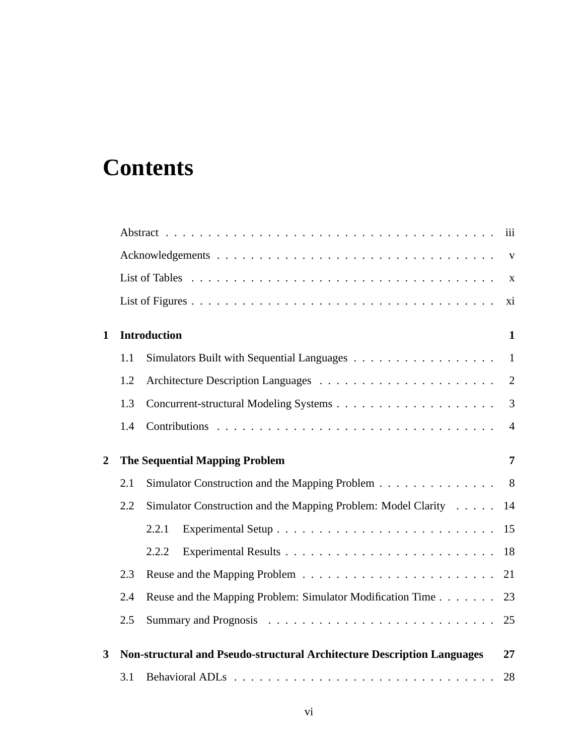## **Contents**

|                |     |                                                                                            | iii            |
|----------------|-----|--------------------------------------------------------------------------------------------|----------------|
|                |     |                                                                                            | $\mathbf{V}$   |
|                |     |                                                                                            | $\mathbf{X}$   |
|                |     |                                                                                            | xi             |
| $\mathbf{1}$   |     | <b>Introduction</b>                                                                        | $\mathbf{1}$   |
|                | 1.1 |                                                                                            | $\mathbf{1}$   |
|                | 1.2 |                                                                                            | $\overline{2}$ |
|                | 1.3 |                                                                                            | 3              |
|                | 1.4 |                                                                                            | $\overline{4}$ |
| $\overline{2}$ |     | <b>The Sequential Mapping Problem</b>                                                      | 7              |
|                | 2.1 | Simulator Construction and the Mapping Problem                                             | 8 <sup>8</sup> |
|                | 2.2 | Simulator Construction and the Mapping Problem: Model Clarity                              | 14             |
|                |     | 2.2.1                                                                                      | 15             |
|                |     | 2.2.2                                                                                      |                |
|                | 2.3 | Reuse and the Mapping Problem $\ldots \ldots \ldots \ldots \ldots \ldots \ldots \ldots 21$ |                |
|                | 2.4 | Reuse and the Mapping Problem: Simulator Modification Time                                 | 23             |
|                | 2.5 |                                                                                            | 25             |
| 3              |     | Non-structural and Pseudo-structural Architecture Description Languages                    | 27             |
|                | 3.1 |                                                                                            |                |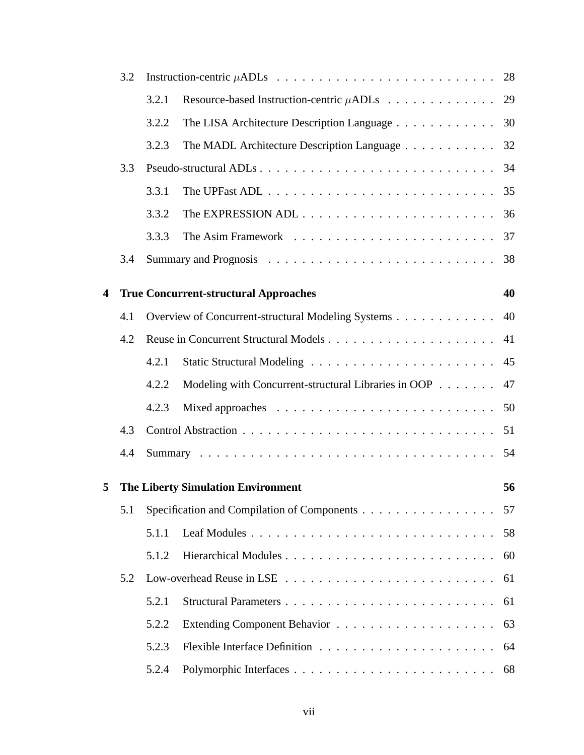|   | 3.2 |       |                                                                                      | 28 |
|---|-----|-------|--------------------------------------------------------------------------------------|----|
|   |     | 3.2.1 | Resource-based Instruction-centric $\mu$ ADLs                                        | 29 |
|   |     | 3.2.2 | The LISA Architecture Description Language                                           | 30 |
|   |     | 3.2.3 | The MADL Architecture Description Language                                           | 32 |
|   | 3.3 |       |                                                                                      | 34 |
|   |     | 3.3.1 | The UPFast ADL $\ldots \ldots \ldots \ldots \ldots \ldots \ldots \ldots \ldots$      | 35 |
|   |     | 3.3.2 | The EXPRESSION ADL                                                                   | 36 |
|   |     | 3.3.3 |                                                                                      |    |
|   | 3.4 |       |                                                                                      | 38 |
| 4 |     |       | <b>True Concurrent-structural Approaches</b>                                         | 40 |
|   | 4.1 |       | Overview of Concurrent-structural Modeling Systems                                   | 40 |
|   | 4.2 |       |                                                                                      | 41 |
|   |     | 4.2.1 |                                                                                      | 45 |
|   |     | 4.2.2 | Modeling with Concurrent-structural Libraries in OOP                                 | 47 |
|   |     | 4.2.3 | Mixed approaches $\ldots \ldots \ldots \ldots \ldots \ldots \ldots \ldots \ldots 50$ |    |
|   | 4.3 |       |                                                                                      | 51 |
|   | 4.4 |       |                                                                                      | 54 |
| 5 |     |       | <b>The Liberty Simulation Environment</b>                                            | 56 |
|   | 5.1 |       | Specification and Compilation of Components 57                                       |    |
|   |     | 5.1.1 |                                                                                      | 58 |
|   |     | 5.1.2 |                                                                                      | 60 |
|   | 5.2 |       |                                                                                      |    |
|   |     | 5.2.1 |                                                                                      |    |
|   |     | 5.2.2 |                                                                                      | 63 |
|   |     | 5.2.3 |                                                                                      |    |
|   |     | 5.2.4 |                                                                                      |    |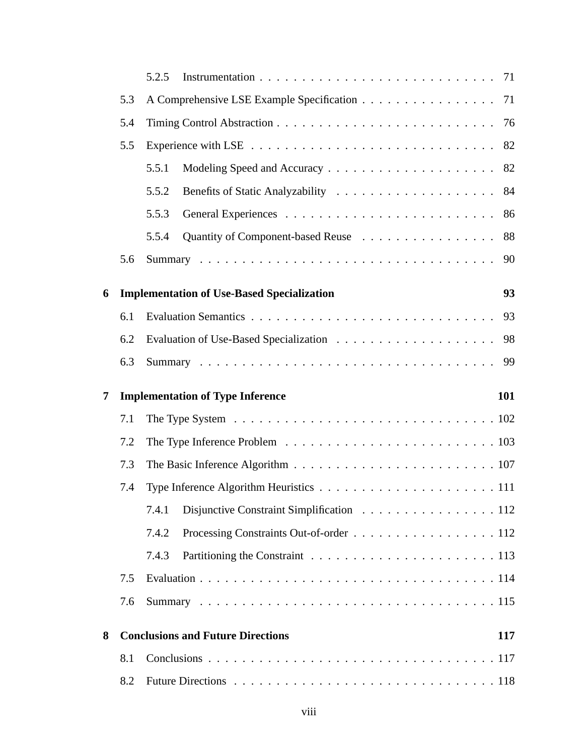|   |     | 5.2.5                                                                                                     |     |
|---|-----|-----------------------------------------------------------------------------------------------------------|-----|
|   | 5.3 | A Comprehensive LSE Example Specification 71                                                              |     |
|   | 5.4 |                                                                                                           |     |
|   | 5.5 | Experience with LSE $\ldots \ldots \ldots \ldots \ldots \ldots \ldots \ldots \ldots \ldots$               |     |
|   |     | 5.5.1                                                                                                     |     |
|   |     | 5.5.2                                                                                                     |     |
|   |     | 5.5.3                                                                                                     |     |
|   |     | 5.5.4<br>Quantity of Component-based Reuse                                                                | 88  |
|   | 5.6 |                                                                                                           | 90  |
| 6 |     | <b>Implementation of Use-Based Specialization</b>                                                         | 93  |
|   | 6.1 |                                                                                                           | 93  |
|   | 6.2 |                                                                                                           | 98  |
|   | 6.3 |                                                                                                           | 99  |
|   |     |                                                                                                           |     |
| 7 |     | <b>Implementation of Type Inference</b>                                                                   | 101 |
|   | 7.1 | The Type System $\ldots \ldots \ldots \ldots \ldots \ldots \ldots \ldots \ldots \ldots \ldots \ldots 102$ |     |
|   | 7.2 | The Type Inference Problem $\ldots \ldots \ldots \ldots \ldots \ldots \ldots \ldots \ldots 103$           |     |
|   | 7.3 |                                                                                                           |     |
|   | 7.4 |                                                                                                           |     |
|   |     | Disjunctive Constraint Simplification 112<br>7.4.1                                                        |     |
|   |     | Processing Constraints Out-of-order 112<br>7.4.2                                                          |     |
|   |     | 7.4.3                                                                                                     |     |
|   | 7.5 |                                                                                                           |     |
|   | 7.6 |                                                                                                           |     |
| 8 |     | <b>Conclusions and Future Directions</b>                                                                  | 117 |
|   | 8.1 |                                                                                                           |     |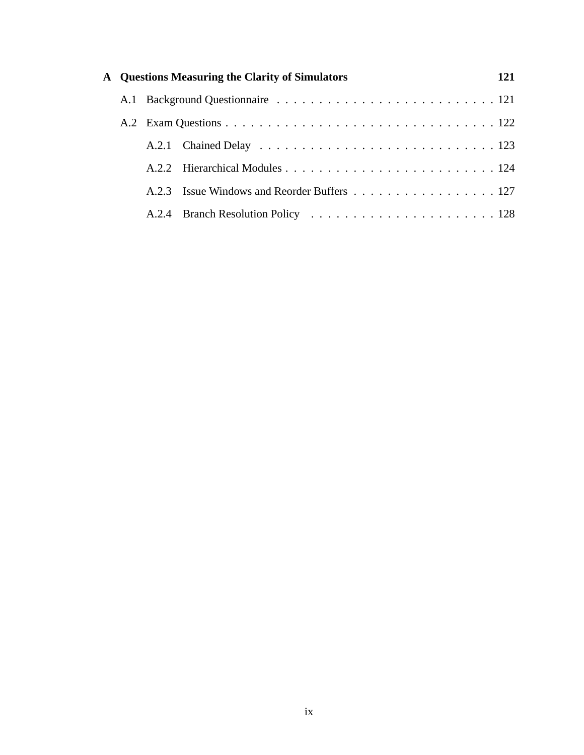|  | A Questions Measuring the Clarity of Simulators<br>121 |  |  |
|--|--------------------------------------------------------|--|--|
|  |                                                        |  |  |
|  |                                                        |  |  |
|  |                                                        |  |  |
|  |                                                        |  |  |
|  | A.2.3 Issue Windows and Reorder Buffers 127            |  |  |
|  |                                                        |  |  |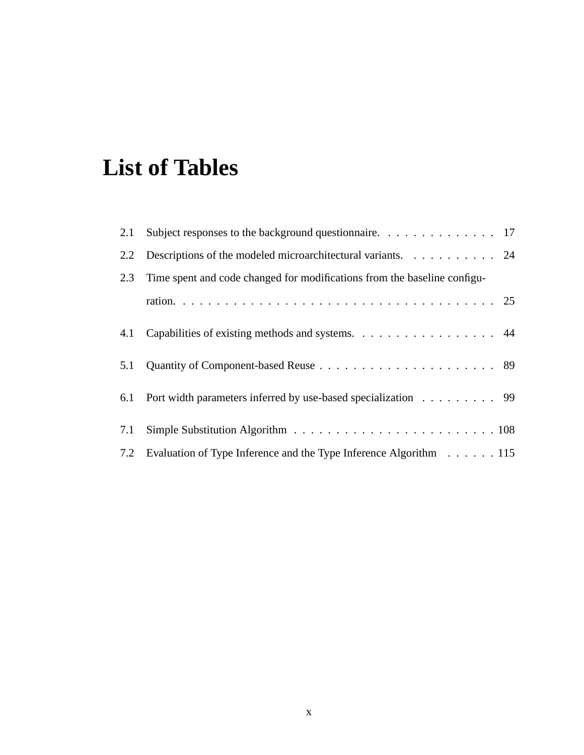## **List of Tables**

| 2.1 | Subject responses to the background questionnaire. 17                    |
|-----|--------------------------------------------------------------------------|
|     | 2.2 Descriptions of the modeled microarchitectural variants. 24          |
| 2.3 | Time spent and code changed for modifications from the baseline configu- |
|     |                                                                          |
|     | 4.1 Capabilities of existing methods and systems. 44                     |
|     |                                                                          |
|     | 6.1 Port width parameters inferred by use-based specialization 99        |
| 7.1 |                                                                          |
|     | 7.2 Evaluation of Type Inference and the Type Inference Algorithm 115    |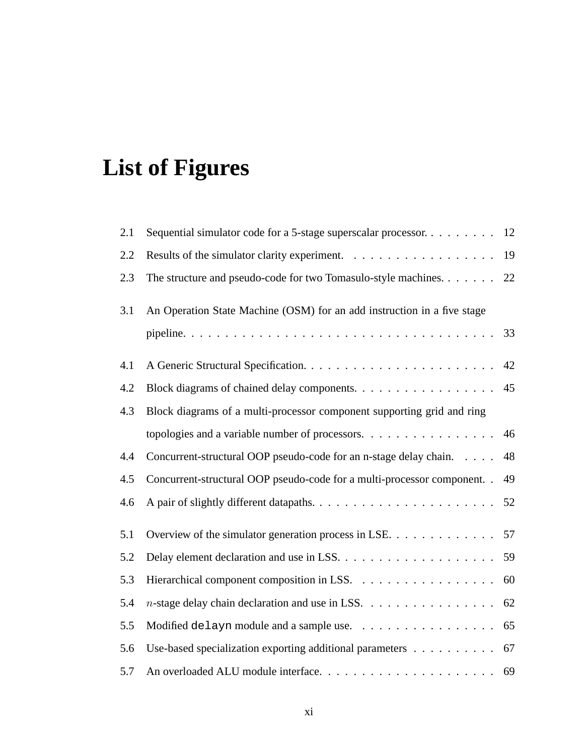# **List of Figures**

| 2.1 | Sequential simulator code for a 5-stage superscalar processor 12                        |    |
|-----|-----------------------------------------------------------------------------------------|----|
| 2.2 |                                                                                         | 19 |
| 2.3 | The structure and pseudo-code for two Tomasulo-style machines.                          | 22 |
| 3.1 | An Operation State Machine (OSM) for an add instruction in a five stage                 |    |
|     |                                                                                         |    |
| 4.1 |                                                                                         | 42 |
| 4.2 | Block diagrams of chained delay components.                                             | 45 |
| 4.3 | Block diagrams of a multi-processor component supporting grid and ring                  |    |
|     | topologies and a variable number of processors.                                         | 46 |
| 4.4 | Concurrent-structural OOP pseudo-code for an n-stage delay chain.                       | 48 |
| 4.5 | Concurrent-structural OOP pseudo-code for a multi-processor component                   | 49 |
| 4.6 |                                                                                         | 52 |
| 5.1 | Overview of the simulator generation process in LSE. $\dots \dots \dots \dots \dots$ 57 |    |
| 5.2 |                                                                                         | 59 |
| 5.3 |                                                                                         | 60 |
| 5.4 |                                                                                         | 62 |
| 5.5 | Modified delayn module and a sample use.                                                | 65 |
| 5.6 | Use-based specialization exporting additional parameters                                | 67 |
| 5.7 |                                                                                         |    |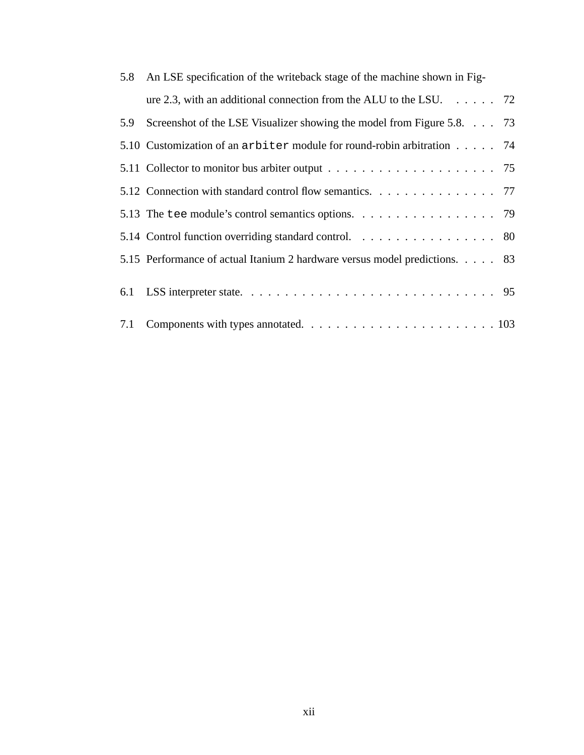| 5.8 An LSE specification of the writeback stage of the machine shown in Fig-  |  |
|-------------------------------------------------------------------------------|--|
| ure 2.3, with an additional connection from the ALU to the LSU. $\ldots$ . 72 |  |
| 5.9 Screenshot of the LSE Visualizer showing the model from Figure 5.8. 73    |  |
| 5.10 Customization of an arbiter module for round-robin arbitration 74        |  |
|                                                                               |  |
| 5.12 Connection with standard control flow semantics. 77                      |  |
|                                                                               |  |
| 5.14 Control function overriding standard control. 80                         |  |
| 5.15 Performance of actual Itanium 2 hardware versus model predictions. 83    |  |
|                                                                               |  |
|                                                                               |  |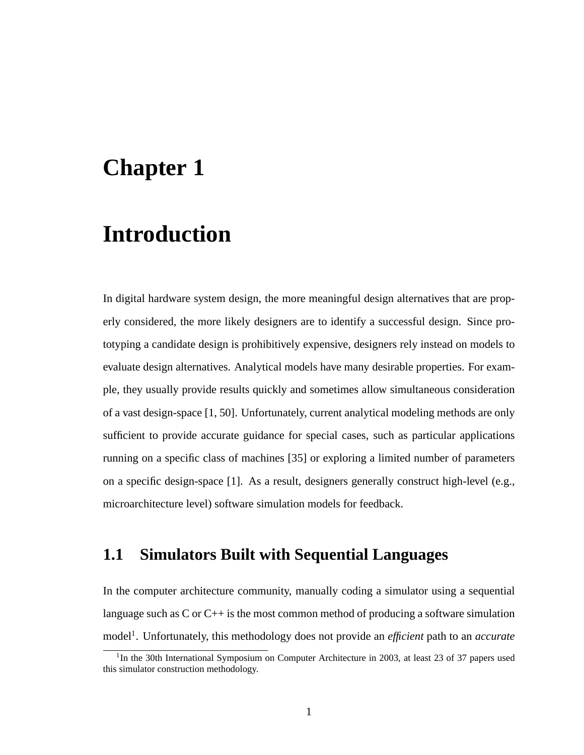### **Chapter 1**

### **Introduction**

In digital hardware system design, the more meaningful design alternatives that are properly considered, the more likely designers are to identify a successful design. Since prototyping a candidate design is prohibitively expensive, designers rely instead on models to evaluate design alternatives. Analytical models have many desirable properties. For example, they usually provide results quickly and sometimes allow simultaneous consideration of a vast design-space [1, 50]. Unfortunately, current analytical modeling methods are only sufficient to provide accurate guidance for special cases, such as particular applications running on a specific class of machines [35] or exploring a limited number of parameters on a specific design-space [1]. As a result, designers generally construct high-level (e.g., microarchitecture level) software simulation models for feedback.

#### **1.1 Simulators Built with Sequential Languages**

In the computer architecture community, manually coding a simulator using a sequential language such as C or  $C_{++}$  is the most common method of producing a software simulation model<sup>1</sup>. Unfortunately, this methodology does not provide an *efficient* path to an *accurate* 

<sup>&</sup>lt;sup>1</sup>In the 30th International Symposium on Computer Architecture in 2003, at least 23 of 37 papers used this simulator construction methodology.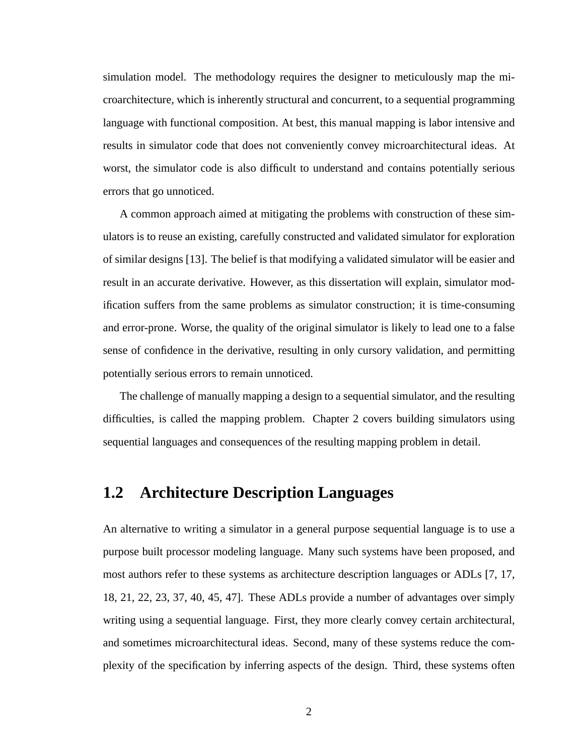simulation model. The methodology requires the designer to meticulously map the microarchitecture, which is inherently structural and concurrent, to a sequential programming language with functional composition. At best, this manual mapping is labor intensive and results in simulator code that does not conveniently convey microarchitectural ideas. At worst, the simulator code is also difficult to understand and contains potentially serious errors that go unnoticed.

A common approach aimed at mitigating the problems with construction of these simulators is to reuse an existing, carefully constructed and validated simulator for exploration of similar designs [13]. The belief is that modifying a validated simulator will be easier and result in an accurate derivative. However, as this dissertation will explain, simulator modification suffers from the same problems as simulator construction; it is time-consuming and error-prone. Worse, the quality of the original simulator is likely to lead one to a false sense of confidence in the derivative, resulting in only cursory validation, and permitting potentially serious errors to remain unnoticed.

The challenge of manually mapping a design to a sequential simulator, and the resulting difficulties, is called the mapping problem. Chapter 2 covers building simulators using sequential languages and consequences of the resulting mapping problem in detail.

#### **1.2 Architecture Description Languages**

An alternative to writing a simulator in a general purpose sequential language is to use a purpose built processor modeling language. Many such systems have been proposed, and most authors refer to these systems as architecture description languages or ADLs [7, 17, 18, 21, 22, 23, 37, 40, 45, 47]. These ADLs provide a number of advantages over simply writing using a sequential language. First, they more clearly convey certain architectural, and sometimes microarchitectural ideas. Second, many of these systems reduce the complexity of the specification by inferring aspects of the design. Third, these systems often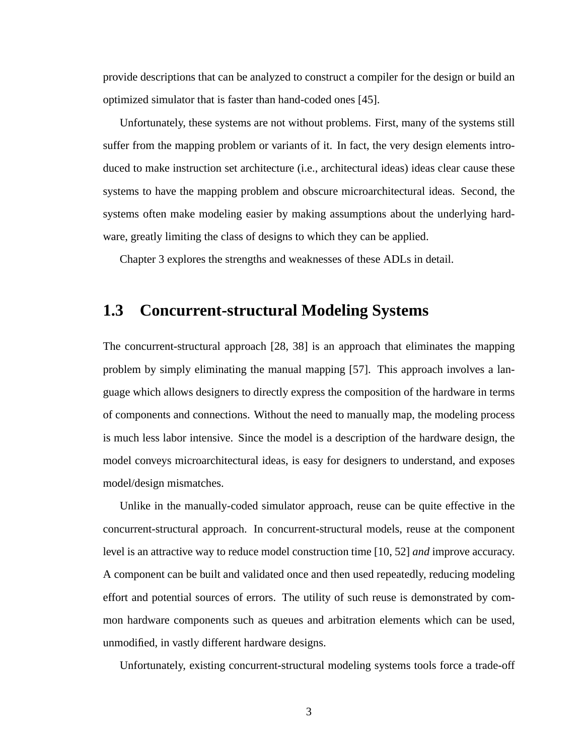provide descriptions that can be analyzed to construct a compiler for the design or build an optimized simulator that is faster than hand-coded ones [45].

Unfortunately, these systems are not without problems. First, many of the systems still suffer from the mapping problem or variants of it. In fact, the very design elements introduced to make instruction set architecture (i.e., architectural ideas) ideas clear cause these systems to have the mapping problem and obscure microarchitectural ideas. Second, the systems often make modeling easier by making assumptions about the underlying hardware, greatly limiting the class of designs to which they can be applied.

Chapter 3 explores the strengths and weaknesses of these ADLs in detail.

#### **1.3 Concurrent-structural Modeling Systems**

The concurrent-structural approach [28, 38] is an approach that eliminates the mapping problem by simply eliminating the manual mapping [57]. This approach involves a language which allows designers to directly express the composition of the hardware in terms of components and connections. Without the need to manually map, the modeling process is much less labor intensive. Since the model is a description of the hardware design, the model conveys microarchitectural ideas, is easy for designers to understand, and exposes model/design mismatches.

Unlike in the manually-coded simulator approach, reuse can be quite effective in the concurrent-structural approach. In concurrent-structural models, reuse at the component level is an attractive way to reduce model construction time [10, 52] *and* improve accuracy. A component can be built and validated once and then used repeatedly, reducing modeling effort and potential sources of errors. The utility of such reuse is demonstrated by common hardware components such as queues and arbitration elements which can be used, unmodified, in vastly different hardware designs.

Unfortunately, existing concurrent-structural modeling systems tools force a trade-off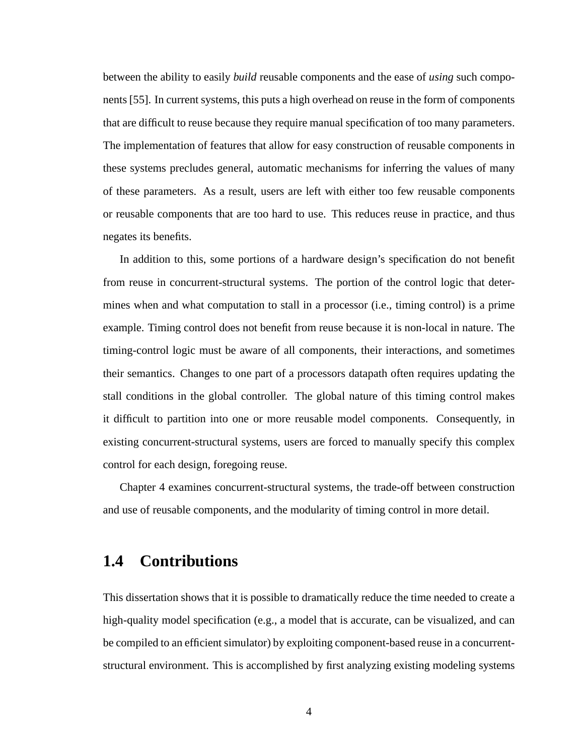between the ability to easily *build* reusable components and the ease of *using* such components [55]. In current systems, this puts a high overhead on reuse in the form of components that are difficult to reuse because they require manual specification of too many parameters. The implementation of features that allow for easy construction of reusable components in these systems precludes general, automatic mechanisms for inferring the values of many of these parameters. As a result, users are left with either too few reusable components or reusable components that are too hard to use. This reduces reuse in practice, and thus negates its benefits.

In addition to this, some portions of a hardware design's specification do not benefit from reuse in concurrent-structural systems. The portion of the control logic that determines when and what computation to stall in a processor (i.e., timing control) is a prime example. Timing control does not benefit from reuse because it is non-local in nature. The timing-control logic must be aware of all components, their interactions, and sometimes their semantics. Changes to one part of a processors datapath often requires updating the stall conditions in the global controller. The global nature of this timing control makes it difficult to partition into one or more reusable model components. Consequently, in existing concurrent-structural systems, users are forced to manually specify this complex control for each design, foregoing reuse.

Chapter 4 examines concurrent-structural systems, the trade-off between construction and use of reusable components, and the modularity of timing control in more detail.

#### **1.4 Contributions**

This dissertation shows that it is possible to dramatically reduce the time needed to create a high-quality model specification (e.g., a model that is accurate, can be visualized, and can be compiled to an efficient simulator) by exploiting component-based reuse in a concurrentstructural environment. This is accomplished by first analyzing existing modeling systems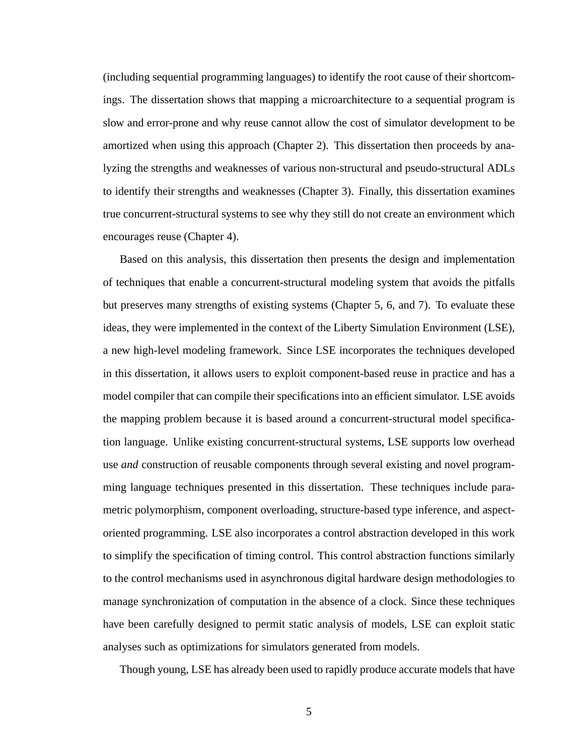(including sequential programming languages) to identify the root cause of their shortcomings. The dissertation shows that mapping a microarchitecture to a sequential program is slow and error-prone and why reuse cannot allow the cost of simulator development to be amortized when using this approach (Chapter 2). This dissertation then proceeds by analyzing the strengths and weaknesses of various non-structural and pseudo-structural ADLs to identify their strengths and weaknesses (Chapter 3). Finally, this dissertation examines true concurrent-structural systems to see why they still do not create an environment which encourages reuse (Chapter 4).

Based on this analysis, this dissertation then presents the design and implementation of techniques that enable a concurrent-structural modeling system that avoids the pitfalls but preserves many strengths of existing systems (Chapter 5, 6, and 7). To evaluate these ideas, they were implemented in the context of the Liberty Simulation Environment (LSE), a new high-level modeling framework. Since LSE incorporates the techniques developed in this dissertation, it allows users to exploit component-based reuse in practice and has a model compiler that can compile their specifications into an efficient simulator. LSE avoids the mapping problem because it is based around a concurrent-structural model specification language. Unlike existing concurrent-structural systems, LSE supports low overhead use *and* construction of reusable components through several existing and novel programming language techniques presented in this dissertation. These techniques include parametric polymorphism, component overloading, structure-based type inference, and aspectoriented programming. LSE also incorporates a control abstraction developed in this work to simplify the specification of timing control. This control abstraction functions similarly to the control mechanisms used in asynchronous digital hardware design methodologies to manage synchronization of computation in the absence of a clock. Since these techniques have been carefully designed to permit static analysis of models, LSE can exploit static analyses such as optimizations for simulators generated from models.

Though young, LSE has already been used to rapidly produce accurate models that have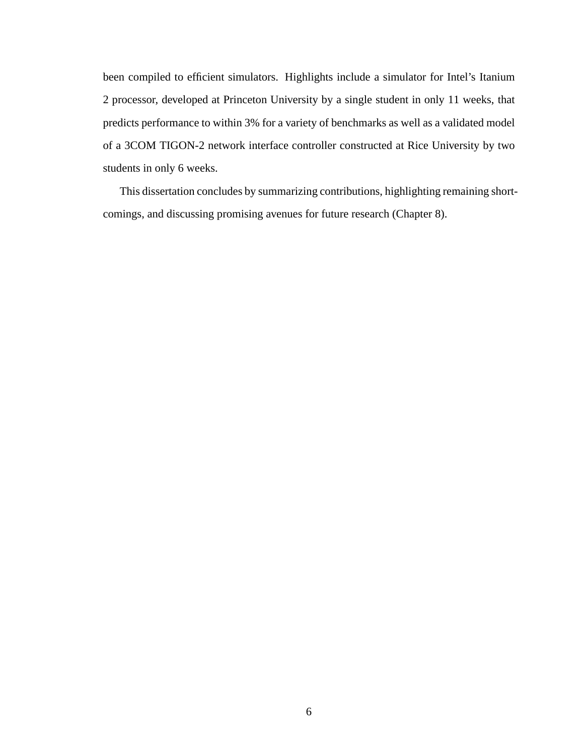been compiled to efficient simulators. Highlights include a simulator for Intel's Itanium 2 processor, developed at Princeton University by a single student in only 11 weeks, that predicts performance to within 3% for a variety of benchmarks as well as a validated model of a 3COM TIGON-2 network interface controller constructed at Rice University by two students in only 6 weeks.

This dissertation concludes by summarizing contributions, highlighting remaining shortcomings, and discussing promising avenues for future research (Chapter 8).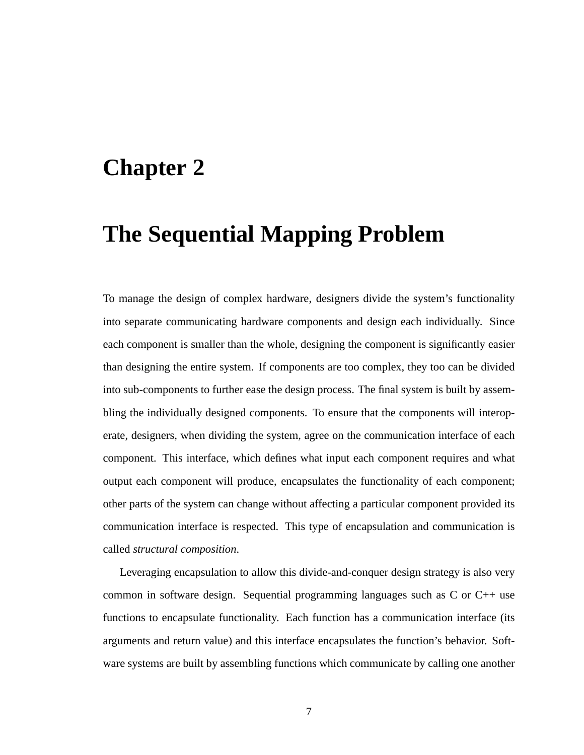### **Chapter 2**

### **The Sequential Mapping Problem**

To manage the design of complex hardware, designers divide the system's functionality into separate communicating hardware components and design each individually. Since each component is smaller than the whole, designing the component is significantly easier than designing the entire system. If components are too complex, they too can be divided into sub-components to further ease the design process. The final system is built by assembling the individually designed components. To ensure that the components will interoperate, designers, when dividing the system, agree on the communication interface of each component. This interface, which defines what input each component requires and what output each component will produce, encapsulates the functionality of each component; other parts of the system can change without affecting a particular component provided its communication interface is respected. This type of encapsulation and communication is called *structural composition*.

Leveraging encapsulation to allow this divide-and-conquer design strategy is also very common in software design. Sequential programming languages such as  $C$  or  $C_{++}$  use functions to encapsulate functionality. Each function has a communication interface (its arguments and return value) and this interface encapsulates the function's behavior. Software systems are built by assembling functions which communicate by calling one another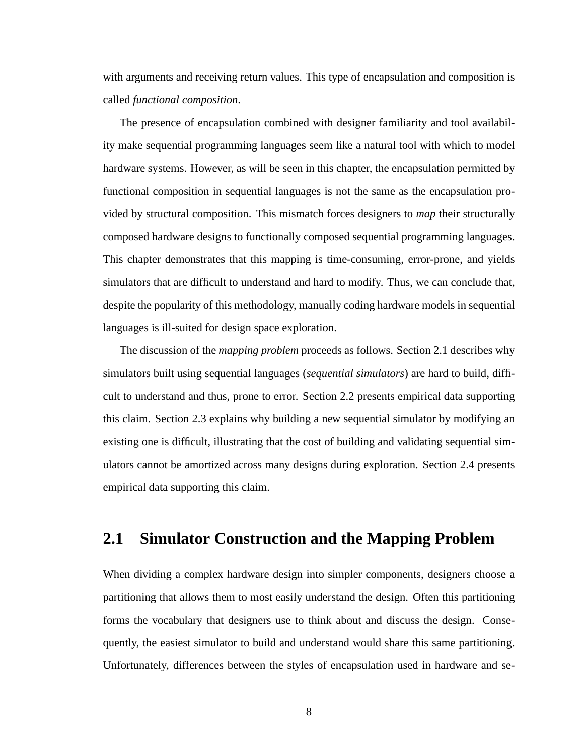with arguments and receiving return values. This type of encapsulation and composition is called *functional composition*.

The presence of encapsulation combined with designer familiarity and tool availability make sequential programming languages seem like a natural tool with which to model hardware systems. However, as will be seen in this chapter, the encapsulation permitted by functional composition in sequential languages is not the same as the encapsulation provided by structural composition. This mismatch forces designers to *map* their structurally composed hardware designs to functionally composed sequential programming languages. This chapter demonstrates that this mapping is time-consuming, error-prone, and yields simulators that are difficult to understand and hard to modify. Thus, we can conclude that, despite the popularity of this methodology, manually coding hardware models in sequential languages is ill-suited for design space exploration.

The discussion of the *mapping problem* proceeds as follows. Section 2.1 describes why simulators built using sequential languages (*sequential simulators*) are hard to build, difficult to understand and thus, prone to error. Section 2.2 presents empirical data supporting this claim. Section 2.3 explains why building a new sequential simulator by modifying an existing one is difficult, illustrating that the cost of building and validating sequential simulators cannot be amortized across many designs during exploration. Section 2.4 presents empirical data supporting this claim.

#### **2.1 Simulator Construction and the Mapping Problem**

When dividing a complex hardware design into simpler components, designers choose a partitioning that allows them to most easily understand the design. Often this partitioning forms the vocabulary that designers use to think about and discuss the design. Consequently, the easiest simulator to build and understand would share this same partitioning. Unfortunately, differences between the styles of encapsulation used in hardware and se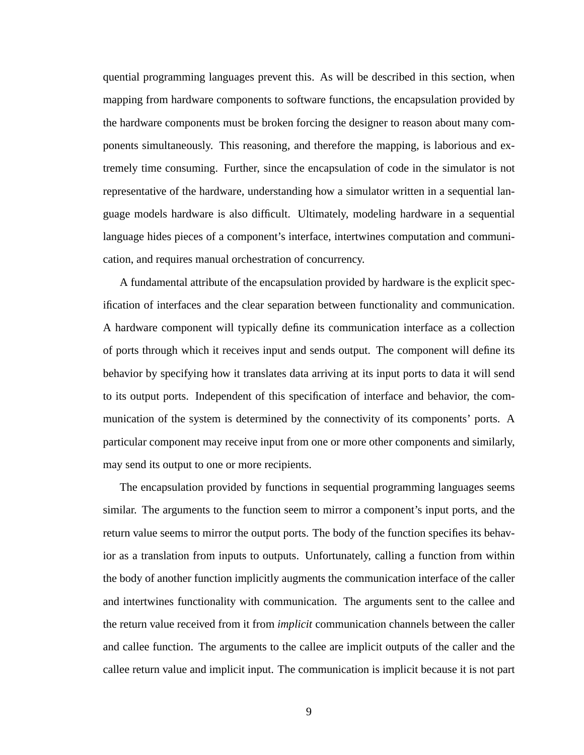quential programming languages prevent this. As will be described in this section, when mapping from hardware components to software functions, the encapsulation provided by the hardware components must be broken forcing the designer to reason about many components simultaneously. This reasoning, and therefore the mapping, is laborious and extremely time consuming. Further, since the encapsulation of code in the simulator is not representative of the hardware, understanding how a simulator written in a sequential language models hardware is also difficult. Ultimately, modeling hardware in a sequential language hides pieces of a component's interface, intertwines computation and communication, and requires manual orchestration of concurrency.

A fundamental attribute of the encapsulation provided by hardware is the explicit specification of interfaces and the clear separation between functionality and communication. A hardware component will typically define its communication interface as a collection of ports through which it receives input and sends output. The component will define its behavior by specifying how it translates data arriving at its input ports to data it will send to its output ports. Independent of this specification of interface and behavior, the communication of the system is determined by the connectivity of its components' ports. A particular component may receive input from one or more other components and similarly, may send its output to one or more recipients.

The encapsulation provided by functions in sequential programming languages seems similar. The arguments to the function seem to mirror a component's input ports, and the return value seems to mirror the output ports. The body of the function specifies its behavior as a translation from inputs to outputs. Unfortunately, calling a function from within the body of another function implicitly augments the communication interface of the caller and intertwines functionality with communication. The arguments sent to the callee and the return value received from it from *implicit* communication channels between the caller and callee function. The arguments to the callee are implicit outputs of the caller and the callee return value and implicit input. The communication is implicit because it is not part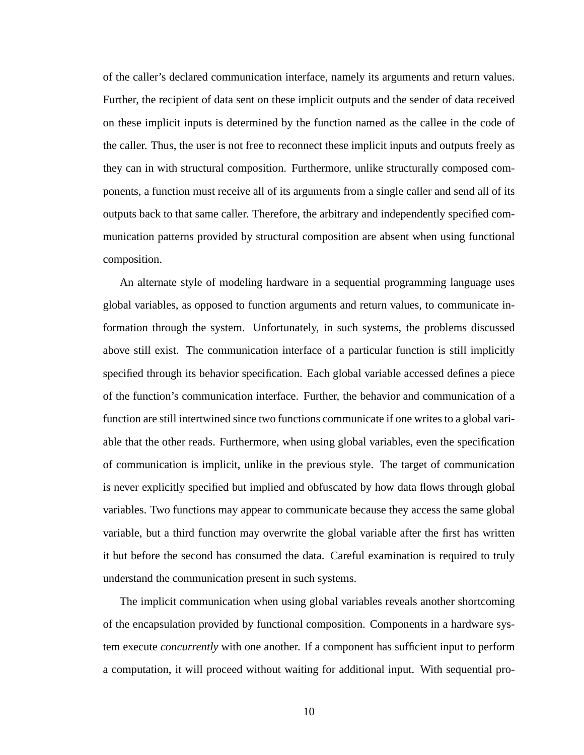of the caller's declared communication interface, namely its arguments and return values. Further, the recipient of data sent on these implicit outputs and the sender of data received on these implicit inputs is determined by the function named as the callee in the code of the caller. Thus, the user is not free to reconnect these implicit inputs and outputs freely as they can in with structural composition. Furthermore, unlike structurally composed components, a function must receive all of its arguments from a single caller and send all of its outputs back to that same caller. Therefore, the arbitrary and independently specified communication patterns provided by structural composition are absent when using functional composition.

An alternate style of modeling hardware in a sequential programming language uses global variables, as opposed to function arguments and return values, to communicate information through the system. Unfortunately, in such systems, the problems discussed above still exist. The communication interface of a particular function is still implicitly specified through its behavior specification. Each global variable accessed defines a piece of the function's communication interface. Further, the behavior and communication of a function are still intertwined since two functions communicate if one writes to a global variable that the other reads. Furthermore, when using global variables, even the specification of communication is implicit, unlike in the previous style. The target of communication is never explicitly specified but implied and obfuscated by how data flows through global variables. Two functions may appear to communicate because they access the same global variable, but a third function may overwrite the global variable after the first has written it but before the second has consumed the data. Careful examination is required to truly understand the communication present in such systems.

The implicit communication when using global variables reveals another shortcoming of the encapsulation provided by functional composition. Components in a hardware system execute *concurrently* with one another. If a component has sufficient input to perform a computation, it will proceed without waiting for additional input. With sequential pro-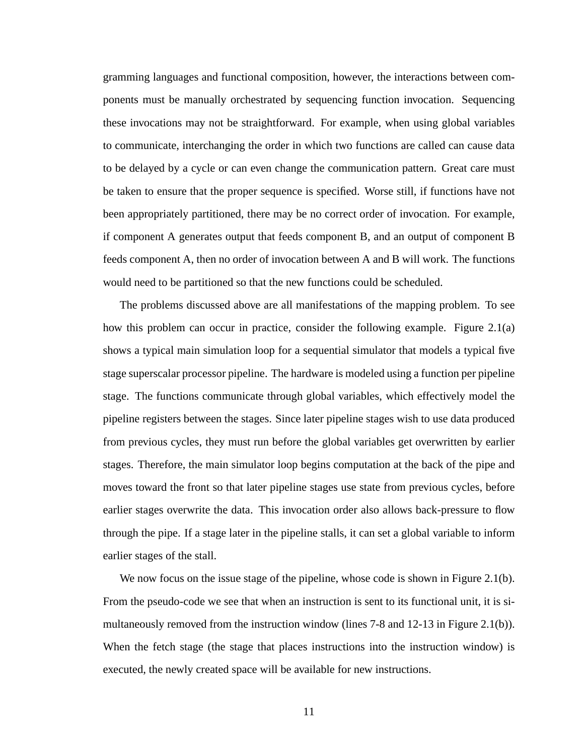gramming languages and functional composition, however, the interactions between components must be manually orchestrated by sequencing function invocation. Sequencing these invocations may not be straightforward. For example, when using global variables to communicate, interchanging the order in which two functions are called can cause data to be delayed by a cycle or can even change the communication pattern. Great care must be taken to ensure that the proper sequence is specified. Worse still, if functions have not been appropriately partitioned, there may be no correct order of invocation. For example, if component A generates output that feeds component B, and an output of component B feeds component A, then no order of invocation between A and B will work. The functions would need to be partitioned so that the new functions could be scheduled.

The problems discussed above are all manifestations of the mapping problem. To see how this problem can occur in practice, consider the following example. Figure 2.1(a) shows a typical main simulation loop for a sequential simulator that models a typical five stage superscalar processor pipeline. The hardware is modeled using a function per pipeline stage. The functions communicate through global variables, which effectively model the pipeline registers between the stages. Since later pipeline stages wish to use data produced from previous cycles, they must run before the global variables get overwritten by earlier stages. Therefore, the main simulator loop begins computation at the back of the pipe and moves toward the front so that later pipeline stages use state from previous cycles, before earlier stages overwrite the data. This invocation order also allows back-pressure to flow through the pipe. If a stage later in the pipeline stalls, it can set a global variable to inform earlier stages of the stall.

We now focus on the issue stage of the pipeline, whose code is shown in Figure 2.1(b). From the pseudo-code we see that when an instruction is sent to its functional unit, it is simultaneously removed from the instruction window (lines 7-8 and 12-13 in Figure 2.1(b)). When the fetch stage (the stage that places instructions into the instruction window) is executed, the newly created space will be available for new instructions.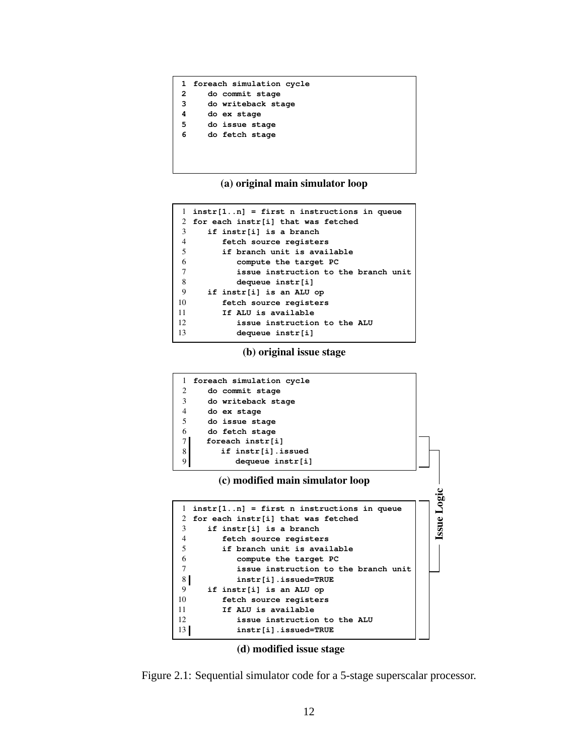|  |  | 1 foreach simulation cycle |  |  |
|--|--|----------------------------|--|--|
|--|--|----------------------------|--|--|

- **2 do commit stage**
- **3 do writeback stage**
- **4 do ex stage**
- **do issue stage 5**
- **do fetch stage 6**

**(a) original main simulator loop**

|                | $l$ instr[1n] = first n instructions in queue |
|----------------|-----------------------------------------------|
|                | 2 for each instr[i] that was fetched          |
| 3              | if instr[i] is a branch                       |
| $\overline{4}$ | fetch source registers                        |
| 5              | if branch unit is available                   |
| 6              | compute the target PC                         |
| 7              | issue instruction to the branch unit          |
| 8              | dequeue instr[i]                              |
| 9              | if instr[i] is an ALU op                      |
| 10             | fetch source registers                        |
| 11             | If ALU is available                           |
| 12             | issue instruction to the ALU                  |
| 13             | dequeue instr[i]                              |
|                |                                               |

**(b) original issue stage**

| 1<br>foreach simulation cycle                    |             |
|--------------------------------------------------|-------------|
| 2<br>do commit stage                             |             |
| 3<br>do writeback stage                          |             |
| $\overline{4}$<br>do ex stage                    |             |
| 5<br>do issue stage                              |             |
| 6<br>do fetch stage                              |             |
| foreach instr[i]<br>7                            |             |
| 8<br>if instr[i].issued                          |             |
| 9<br>dequeue instr[i]                            |             |
| (c) modified main simulator loop                 |             |
| $instr[1n] = first n instructions in queue$<br>1 | Issue Logic |
| 2<br>for each instr[i] that was fetched          |             |
| 3<br>if instr[i] is a branch                     |             |
| $\overline{4}$<br>fetch source registers         |             |
| 5<br>if branch unit is available                 |             |
| 6<br>compute the target PC                       |             |
| 7<br>issue instruction to the branch unit        |             |
| 8<br>instr[i].issued=TRUE                        |             |
| 9<br>if instr[i] is an ALU op                    |             |
| 10<br>fetch source registers                     |             |
| 11<br>If ALU is available                        |             |
| 12<br>issue instruction to the ALU               |             |
| 13<br>instr[i].issued=TRUE                       |             |
|                                                  |             |

**(d) modified issue stage**

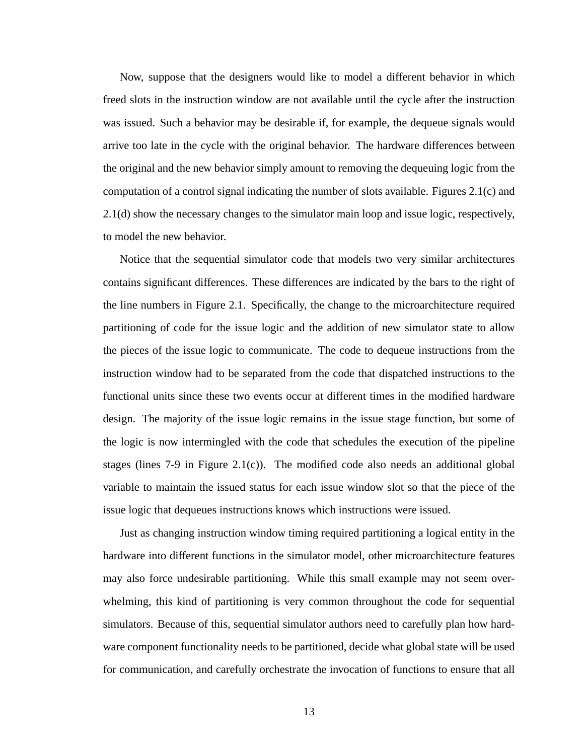Now, suppose that the designers would like to model a different behavior in which freed slots in the instruction window are not available until the cycle after the instruction was issued. Such a behavior may be desirable if, for example, the dequeue signals would arrive too late in the cycle with the original behavior. The hardware differences between the original and the new behavior simply amount to removing the dequeuing logic from the computation of a control signal indicating the number of slots available. Figures 2.1(c) and 2.1(d) show the necessary changes to the simulator main loop and issue logic, respectively, to model the new behavior.

Notice that the sequential simulator code that models two very similar architectures contains significant differences. These differences are indicated by the bars to the right of the line numbers in Figure 2.1. Specifically, the change to the microarchitecture required partitioning of code for the issue logic and the addition of new simulator state to allow the pieces of the issue logic to communicate. The code to dequeue instructions from the instruction window had to be separated from the code that dispatched instructions to the functional units since these two events occur at different times in the modified hardware design. The majority of the issue logic remains in the issue stage function, but some of the logic is now intermingled with the code that schedules the execution of the pipeline stages (lines 7-9 in Figure 2.1(c)). The modified code also needs an additional global variable to maintain the issued status for each issue window slot so that the piece of the issue logic that dequeues instructions knows which instructions were issued.

Just as changing instruction window timing required partitioning a logical entity in the hardware into different functions in the simulator model, other microarchitecture features may also force undesirable partitioning. While this small example may not seem overwhelming, this kind of partitioning is very common throughout the code for sequential simulators. Because of this, sequential simulator authors need to carefully plan how hardware component functionality needs to be partitioned, decide what global state will be used for communication, and carefully orchestrate the invocation of functions to ensure that all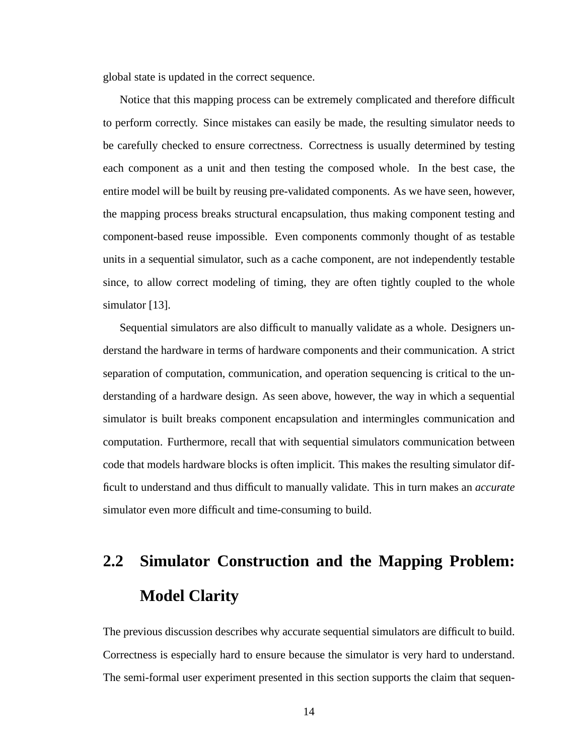global state is updated in the correct sequence.

Notice that this mapping process can be extremely complicated and therefore difficult to perform correctly. Since mistakes can easily be made, the resulting simulator needs to be carefully checked to ensure correctness. Correctness is usually determined by testing each component as a unit and then testing the composed whole. In the best case, the entire model will be built by reusing pre-validated components. As we have seen, however, the mapping process breaks structural encapsulation, thus making component testing and component-based reuse impossible. Even components commonly thought of as testable units in a sequential simulator, such as a cache component, are not independently testable since, to allow correct modeling of timing, they are often tightly coupled to the whole simulator [13].

Sequential simulators are also difficult to manually validate as a whole. Designers understand the hardware in terms of hardware components and their communication. A strict separation of computation, communication, and operation sequencing is critical to the understanding of a hardware design. As seen above, however, the way in which a sequential simulator is built breaks component encapsulation and intermingles communication and computation. Furthermore, recall that with sequential simulators communication between code that models hardware blocks is often implicit. This makes the resulting simulator difficult to understand and thus difficult to manually validate. This in turn makes an *accurate* simulator even more difficult and time-consuming to build.

## **2.2 Simulator Construction and the Mapping Problem: Model Clarity**

The previous discussion describes why accurate sequential simulators are difficult to build. Correctness is especially hard to ensure because the simulator is very hard to understand. The semi-formal user experiment presented in this section supports the claim that sequen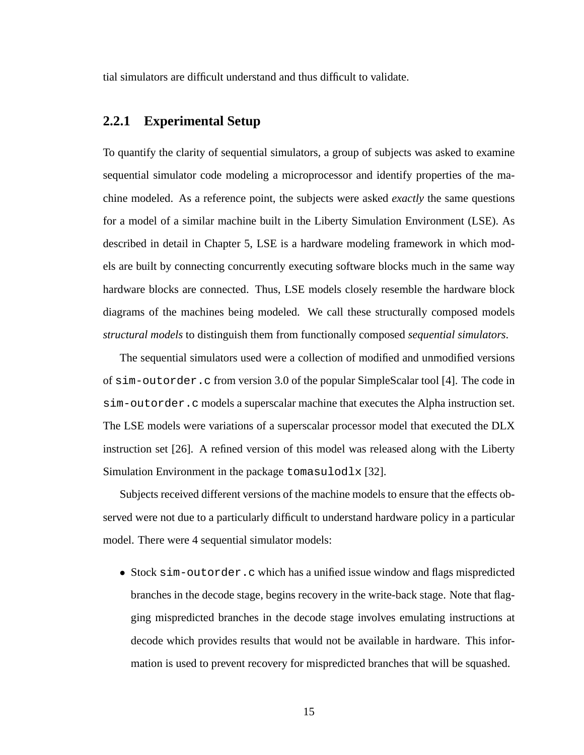tial simulators are difficult understand and thus difficult to validate.

#### **2.2.1 Experimental Setup**

To quantify the clarity of sequential simulators, a group of subjects was asked to examine sequential simulator code modeling a microprocessor and identify properties of the machine modeled. As a reference point, the subjects were asked *exactly* the same questions for a model of a similar machine built in the Liberty Simulation Environment (LSE). As described in detail in Chapter 5, LSE is a hardware modeling framework in which models are built by connecting concurrently executing software blocks much in the same way hardware blocks are connected. Thus, LSE models closely resemble the hardware block diagrams of the machines being modeled. We call these structurally composed models *structural models* to distinguish them from functionally composed *sequential simulators*.

The sequential simulators used were a collection of modified and unmodified versions of sim-outorder.c from version 3.0 of the popular SimpleScalar tool [4]. The code in sim-outorder.c models a superscalar machine that executes the Alpha instruction set. The LSE models were variations of a superscalar processor model that executed the DLX instruction set [26]. A refined version of this model was released along with the Liberty Simulation Environment in the package tomasulodlx [32].

Subjects received different versions of the machine models to ensure that the effects observed were not due to a particularly difficult to understand hardware policy in a particular model. There were 4 sequential simulator models:

• Stock sim-outorder.c which has a unified issue window and flags mispredicted branches in the decode stage, begins recovery in the write-back stage. Note that flagging mispredicted branches in the decode stage involves emulating instructions at decode which provides results that would not be available in hardware. This information is used to prevent recovery for mispredicted branches that will be squashed.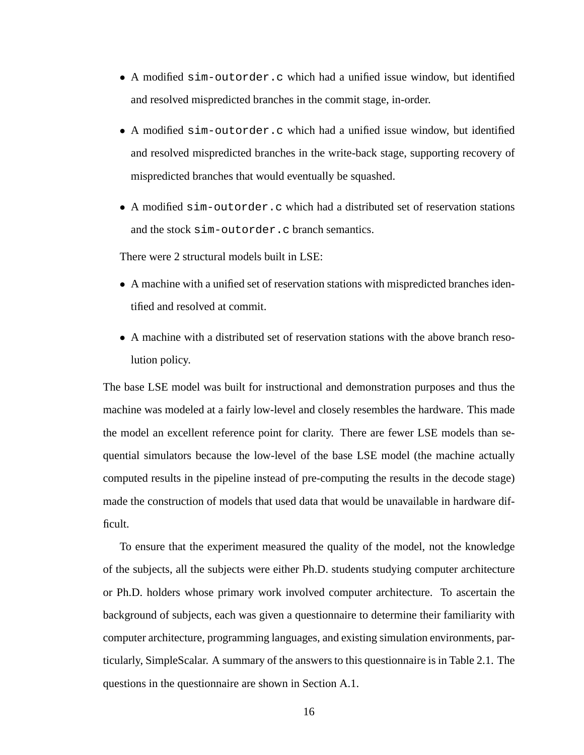- A modified sim-outorder.c which had a unified issue window, but identified and resolved mispredicted branches in the commit stage, in-order.
- A modified sim-outorder.c which had a unified issue window, but identified and resolved mispredicted branches in the write-back stage, supporting recovery of mispredicted branches that would eventually be squashed.
- A modified sim-outorder.c which had a distributed set of reservation stations and the stock sim-outorder.c branch semantics.

There were 2 structural models built in LSE:

- A machine with a unified set of reservation stations with mispredicted branches identified and resolved at commit.
- A machine with a distributed set of reservation stations with the above branch resolution policy.

The base LSE model was built for instructional and demonstration purposes and thus the machine was modeled at a fairly low-level and closely resembles the hardware. This made the model an excellent reference point for clarity. There are fewer LSE models than sequential simulators because the low-level of the base LSE model (the machine actually computed results in the pipeline instead of pre-computing the results in the decode stage) made the construction of models that used data that would be unavailable in hardware difficult.

To ensure that the experiment measured the quality of the model, not the knowledge of the subjects, all the subjects were either Ph.D. students studying computer architecture or Ph.D. holders whose primary work involved computer architecture. To ascertain the background of subjects, each was given a questionnaire to determine their familiarity with computer architecture, programming languages, and existing simulation environments, particularly, SimpleScalar. A summary of the answers to this questionnaire is in Table 2.1. The questions in the questionnaire are shown in Section A.1.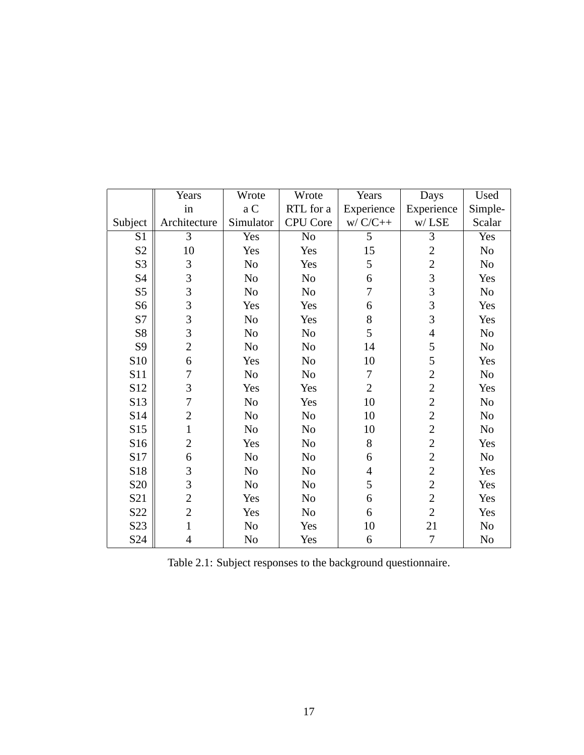|                 | Years          | Wrote          | Wrote           | Years          | Days             | Used     |
|-----------------|----------------|----------------|-----------------|----------------|------------------|----------|
|                 | in             | a C            | RTL for a       | Experience     | Experience       | Simple-  |
| Subject         | Architecture   | Simulator      | <b>CPU</b> Core | $w/C/C++$      | $\le/LSE$        | Scalar   |
| S1              | 3              | Yes            | N <sub>0</sub>  | 5              | 3                | Yes      |
| S <sub>2</sub>  | 10             | Yes            | Yes             | 15             | $\overline{2}$   | No       |
| S <sub>3</sub>  | 3              | N <sub>0</sub> | Yes             | 5              | $\overline{2}$   | No       |
| <b>S4</b>       | $\overline{3}$ | N <sub>o</sub> | N <sub>0</sub>  | 6              | $\overline{3}$   | Yes      |
| S <sub>5</sub>  | 3              | N <sub>0</sub> | N <sub>0</sub>  | 7              | 3                | No       |
| S <sub>6</sub>  | 3              | Yes            | Yes             | 6              | $\overline{3}$   | Yes      |
| S7              | 3              | N <sub>0</sub> | Yes             | 8              | $\overline{3}$   | Yes      |
| S <sub>8</sub>  | 3              | N <sub>o</sub> | N <sub>0</sub>  | 5              | $\overline{4}$   | No       |
| <b>S9</b>       | $\overline{2}$ | N <sub>0</sub> | N <sub>0</sub>  | 14             | 5                | No       |
| S10             | 6              | Yes            | N <sub>0</sub>  | 10             | 5                | Yes      |
| S11             | $\overline{7}$ | N <sub>o</sub> | N <sub>0</sub>  | $\tau$         | $\overline{2}$   | No       |
| S12             | 3              | Yes            | Yes             | $\overline{2}$ | $\overline{2}$   | Yes      |
| S13             | $\overline{7}$ | N <sub>0</sub> | Yes             | 10             | $\overline{2}$   | No       |
| S14             | $\overline{2}$ | N <sub>o</sub> | N <sub>0</sub>  | 10             | $\overline{c}$   | No       |
| S15             | $\mathbf{1}$   | N <sub>o</sub> | No              | 10             | $\overline{2}$   | $\rm No$ |
| S16             | $\overline{2}$ | Yes            | N <sub>0</sub>  | 8              | $\overline{2}$   | Yes      |
| S17             | 6              | No             | N <sub>0</sub>  | 6              | $\overline{2}$   | No       |
| S18             | 3              | N <sub>o</sub> | N <sub>0</sub>  | $\overline{4}$ | $\overline{2}$   | Yes      |
| S <sub>20</sub> | 3              | No             | No              | 5              | $\overline{c}$   | Yes      |
| S <sub>21</sub> | $\overline{2}$ | Yes            | No              | 6              | $\overline{2}$   | Yes      |
| S22             | $\overline{2}$ | Yes            | N <sub>0</sub>  | 6              | $\overline{2}$   | Yes      |
| S23             | 1              | No             | Yes             | 10             | 21               | No       |
| S24             | $\overline{4}$ | No             | Yes             | 6              | $\boldsymbol{7}$ | No       |

Table 2.1: Subject responses to the background questionnaire.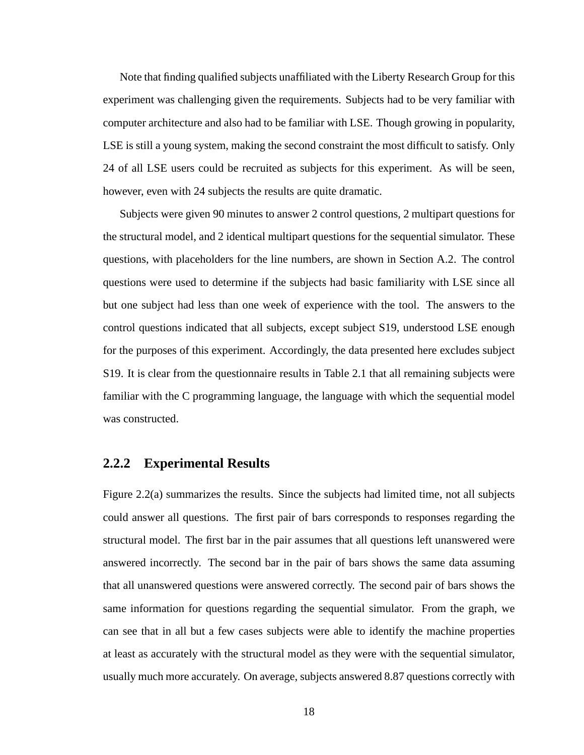Note that finding qualified subjects unaffiliated with the Liberty Research Group for this experiment was challenging given the requirements. Subjects had to be very familiar with computer architecture and also had to be familiar with LSE. Though growing in popularity, LSE is still a young system, making the second constraint the most difficult to satisfy. Only 24 of all LSE users could be recruited as subjects for this experiment. As will be seen, however, even with 24 subjects the results are quite dramatic.

Subjects were given 90 minutes to answer 2 control questions, 2 multipart questions for the structural model, and 2 identical multipart questions for the sequential simulator. These questions, with placeholders for the line numbers, are shown in Section A.2. The control questions were used to determine if the subjects had basic familiarity with LSE since all but one subject had less than one week of experience with the tool. The answers to the control questions indicated that all subjects, except subject S19, understood LSE enough for the purposes of this experiment. Accordingly, the data presented here excludes subject S19. It is clear from the questionnaire results in Table 2.1 that all remaining subjects were familiar with the C programming language, the language with which the sequential model was constructed.

#### **2.2.2 Experimental Results**

Figure 2.2(a) summarizes the results. Since the subjects had limited time, not all subjects could answer all questions. The first pair of bars corresponds to responses regarding the structural model. The first bar in the pair assumes that all questions left unanswered were answered incorrectly. The second bar in the pair of bars shows the same data assuming that all unanswered questions were answered correctly. The second pair of bars shows the same information for questions regarding the sequential simulator. From the graph, we can see that in all but a few cases subjects were able to identify the machine properties at least as accurately with the structural model as they were with the sequential simulator, usually much more accurately. On average, subjects answered 8.87 questions correctly with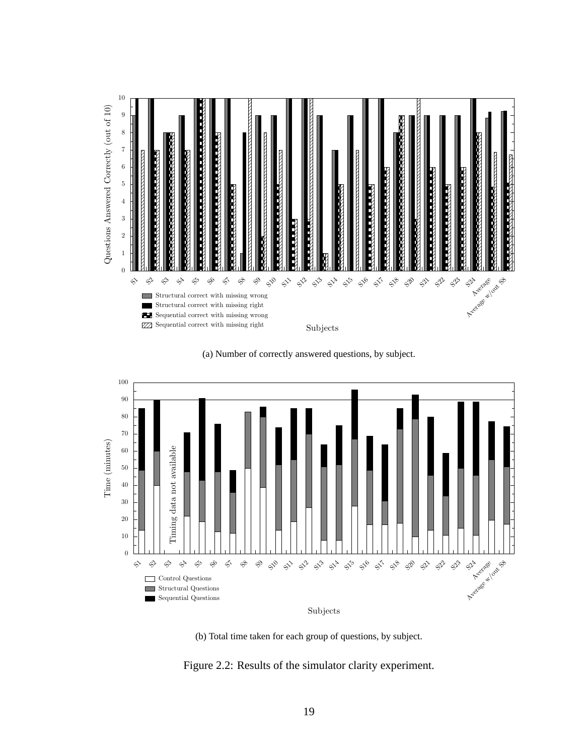





(b) Total time taken for each group of questions, by subject.

Figure 2.2: Results of the simulator clarity experiment.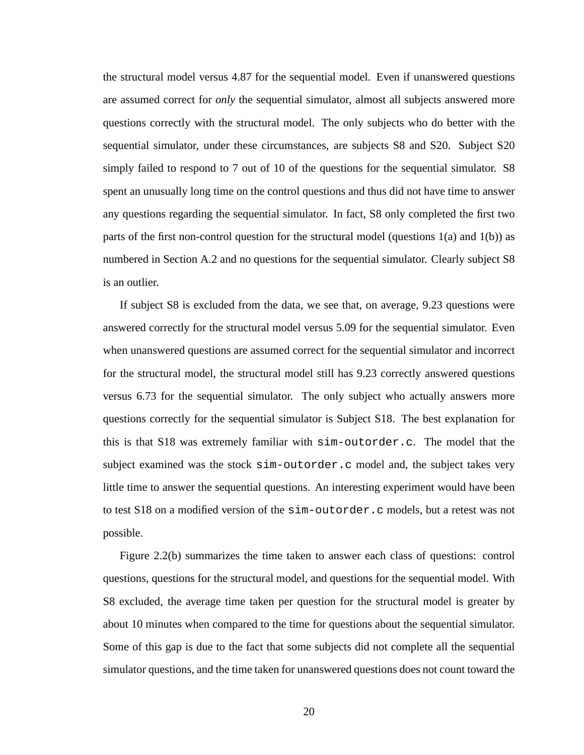the structural model versus 4.87 for the sequential model. Even if unanswered questions are assumed correct for *only* the sequential simulator, almost all subjects answered more questions correctly with the structural model. The only subjects who do better with the sequential simulator, under these circumstances, are subjects S8 and S20. Subject S20 simply failed to respond to 7 out of 10 of the questions for the sequential simulator. S8 spent an unusually long time on the control questions and thus did not have time to answer any questions regarding the sequential simulator. In fact, S8 only completed the first two parts of the first non-control question for the structural model (questions  $1(a)$  and  $1(b)$ ) as numbered in Section A.2 and no questions for the sequential simulator. Clearly subject S8 is an outlier.

If subject S8 is excluded from the data, we see that, on average, 9.23 questions were answered correctly for the structural model versus 5.09 for the sequential simulator. Even when unanswered questions are assumed correct for the sequential simulator and incorrect for the structural model, the structural model still has 9.23 correctly answered questions versus 6.73 for the sequential simulator. The only subject who actually answers more questions correctly for the sequential simulator is Subject S18. The best explanation for this is that S18 was extremely familiar with sim-outorder.c. The model that the subject examined was the stock sim-outorder.c model and, the subject takes very little time to answer the sequential questions. An interesting experiment would have been to test S18 on a modified version of the sim-outorder.c models, but a retest was not possible.

Figure 2.2(b) summarizes the time taken to answer each class of questions: control questions, questions for the structural model, and questions for the sequential model. With S8 excluded, the average time taken per question for the structural model is greater by about 10 minutes when compared to the time for questions about the sequential simulator. Some of this gap is due to the fact that some subjects did not complete all the sequential simulator questions, and the time taken for unanswered questions does not count toward the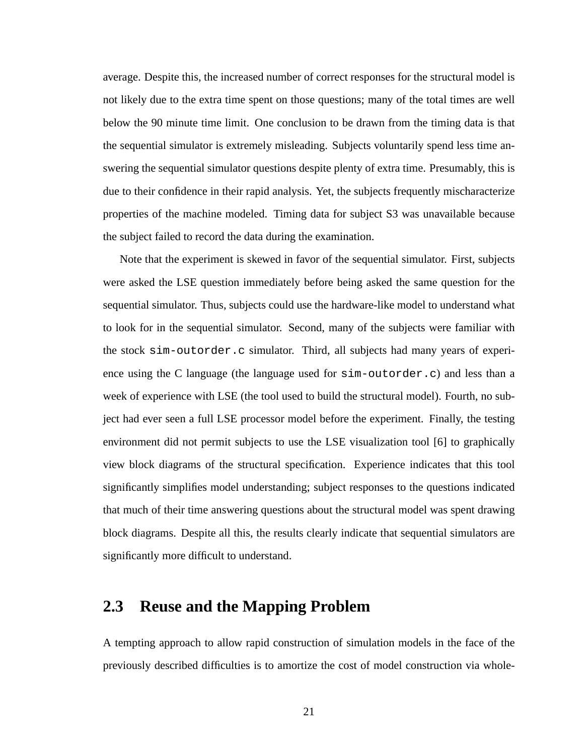average. Despite this, the increased number of correct responses for the structural model is not likely due to the extra time spent on those questions; many of the total times are well below the 90 minute time limit. One conclusion to be drawn from the timing data is that the sequential simulator is extremely misleading. Subjects voluntarily spend less time answering the sequential simulator questions despite plenty of extra time. Presumably, this is due to their confidence in their rapid analysis. Yet, the subjects frequently mischaracterize properties of the machine modeled. Timing data for subject S3 was unavailable because the subject failed to record the data during the examination.

Note that the experiment is skewed in favor of the sequential simulator. First, subjects were asked the LSE question immediately before being asked the same question for the sequential simulator. Thus, subjects could use the hardware-like model to understand what to look for in the sequential simulator. Second, many of the subjects were familiar with the stock sim-outorder.c simulator. Third, all subjects had many years of experience using the C language (the language used for sim-outorder.c) and less than a week of experience with LSE (the tool used to build the structural model). Fourth, no subject had ever seen a full LSE processor model before the experiment. Finally, the testing environment did not permit subjects to use the LSE visualization tool [6] to graphically view block diagrams of the structural specification. Experience indicates that this tool significantly simplifies model understanding; subject responses to the questions indicated that much of their time answering questions about the structural model was spent drawing block diagrams. Despite all this, the results clearly indicate that sequential simulators are significantly more difficult to understand.

#### **2.3 Reuse and the Mapping Problem**

A tempting approach to allow rapid construction of simulation models in the face of the previously described difficulties is to amortize the cost of model construction via whole-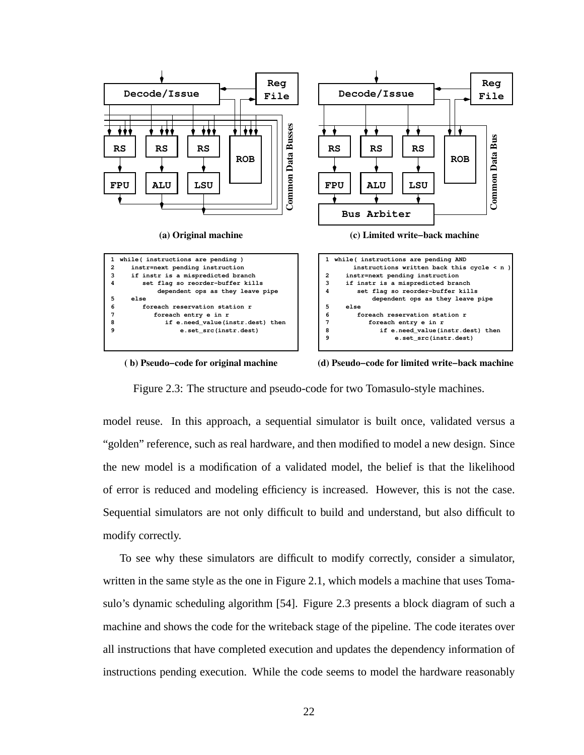

**( b) Pseudo−code for original machine**

**(d) Pseudo−code for limited write−back machine**

Figure 2.3: The structure and pseudo-code for two Tomasulo-style machines.

model reuse. In this approach, a sequential simulator is built once, validated versus a "golden" reference, such as real hardware, and then modified to model a new design. Since the new model is a modification of a validated model, the belief is that the likelihood of error is reduced and modeling efficiency is increased. However, this is not the case. Sequential simulators are not only difficult to build and understand, but also difficult to modify correctly.

To see why these simulators are difficult to modify correctly, consider a simulator, written in the same style as the one in Figure 2.1, which models a machine that uses Tomasulo's dynamic scheduling algorithm [54]. Figure 2.3 presents a block diagram of such a machine and shows the code for the writeback stage of the pipeline. The code iterates over all instructions that have completed execution and updates the dependency information of instructions pending execution. While the code seems to model the hardware reasonably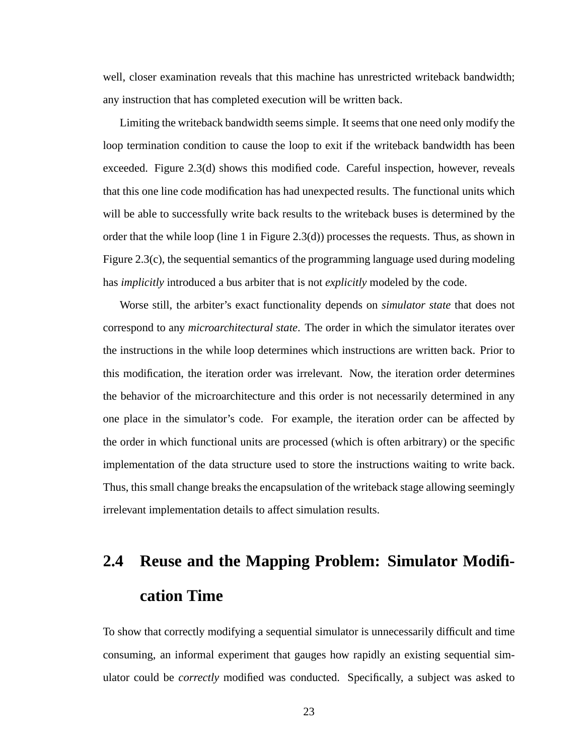well, closer examination reveals that this machine has unrestricted writeback bandwidth; any instruction that has completed execution will be written back.

Limiting the writeback bandwidth seems simple. It seems that one need only modify the loop termination condition to cause the loop to exit if the writeback bandwidth has been exceeded. Figure 2.3(d) shows this modified code. Careful inspection, however, reveals that this one line code modification has had unexpected results. The functional units which will be able to successfully write back results to the writeback buses is determined by the order that the while loop (line 1 in Figure 2.3(d)) processes the requests. Thus, as shown in Figure 2.3(c), the sequential semantics of the programming language used during modeling has *implicitly* introduced a bus arbiter that is not *explicitly* modeled by the code.

Worse still, the arbiter's exact functionality depends on *simulator state* that does not correspond to any *microarchitectural state*. The order in which the simulator iterates over the instructions in the while loop determines which instructions are written back. Prior to this modification, the iteration order was irrelevant. Now, the iteration order determines the behavior of the microarchitecture and this order is not necessarily determined in any one place in the simulator's code. For example, the iteration order can be affected by the order in which functional units are processed (which is often arbitrary) or the specific implementation of the data structure used to store the instructions waiting to write back. Thus, this small change breaks the encapsulation of the writeback stage allowing seemingly irrelevant implementation details to affect simulation results.

## **2.4 Reuse and the Mapping Problem: Simulator Modification Time**

To show that correctly modifying a sequential simulator is unnecessarily difficult and time consuming, an informal experiment that gauges how rapidly an existing sequential simulator could be *correctly* modified was conducted. Specifically, a subject was asked to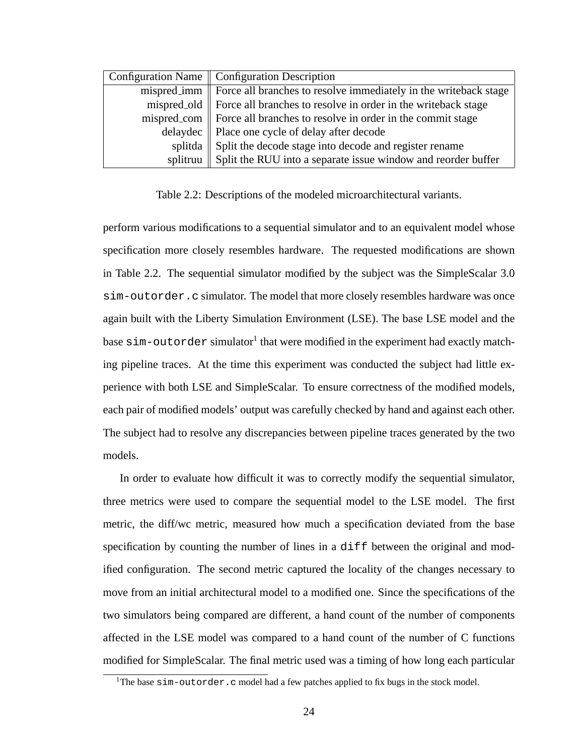|                     | Configuration Name   Configuration Description                                         |
|---------------------|----------------------------------------------------------------------------------------|
|                     | mispred_imm    Force all branches to resolve immediately in the writeback stage        |
|                     | mispred old $\parallel$ Force all branches to resolve in order in the write back stage |
|                     | mispred.com $\parallel$ Force all branches to resolve in order in the commit stage     |
|                     | delaydec    Place one cycle of delay after decode                                      |
| splitda $\parallel$ | Split the decode stage into decode and register rename                                 |
| splitruu            | Split the RUU into a separate issue window and reorder buffer                          |

Table 2.2: Descriptions of the modeled microarchitectural variants.

perform various modifications to a sequential simulator and to an equivalent model whose specification more closely resembles hardware. The requested modifications are shown in Table 2.2. The sequential simulator modified by the subject was the SimpleScalar 3.0 sim-outorder.c simulator. The model that more closely resembles hardware was once again built with the Liberty Simulation Environment (LSE). The base LSE model and the base sim-outorder simulator<sup>1</sup> that were modified in the experiment had exactly matching pipeline traces. At the time this experiment was conducted the subject had little experience with both LSE and SimpleScalar. To ensure correctness of the modified models, each pair of modified models' output was carefully checked by hand and against each other. The subject had to resolve any discrepancies between pipeline traces generated by the two models.

In order to evaluate how difficult it was to correctly modify the sequential simulator, three metrics were used to compare the sequential model to the LSE model. The first metric, the diff/wc metric, measured how much a specification deviated from the base specification by counting the number of lines in a diff between the original and modified configuration. The second metric captured the locality of the changes necessary to move from an initial architectural model to a modified one. Since the specifications of the two simulators being compared are different, a hand count of the number of components affected in the LSE model was compared to a hand count of the number of C functions modified for SimpleScalar. The final metric used was a timing of how long each particular

<sup>&</sup>lt;sup>1</sup>The base sim-outorder.c model had a few patches applied to fix bugs in the stock model.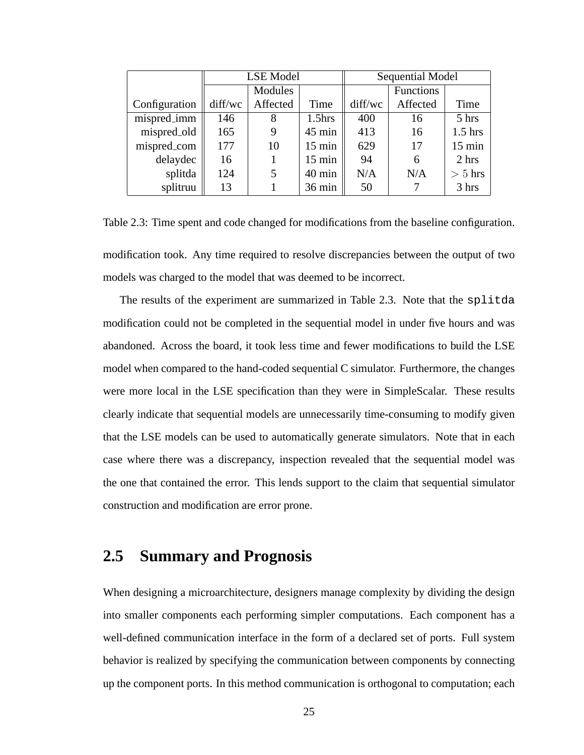|               | <b>LSE</b> Model |          |                    | Sequential Model |           |                  |
|---------------|------------------|----------|--------------------|------------------|-----------|------------------|
|               |                  | Modules  |                    |                  | Functions |                  |
| Configuration | diff/wc          | Affected | Time               | diff/wc          | Affected  | Time             |
| mispred_imm   | 146              | 8        | 1.5 <sub>hrs</sub> | 400              | 16        | 5 hrs            |
| mispred_old   | 165              | 9        | $45$ min           | 413              | 16        | $1.5$ hrs        |
| mispred_com   | 177              | 10       | $15 \text{ min}$   | 629              | 17        | $15 \text{ min}$ |
| delaydec      | 16               |          | $15 \text{ min}$   | 94               | 6         | 2 hrs            |
| splitda       | 124              | 5        | 40 min             | N/A              | N/A       | $> 5$ hrs        |
| splitruu      | 13               |          | 36 min             | 50               |           | 3 hrs            |

Table 2.3: Time spent and code changed for modifications from the baseline configuration. modification took. Any time required to resolve discrepancies between the output of two models was charged to the model that was deemed to be incorrect.

The results of the experiment are summarized in Table 2.3. Note that the splitda modification could not be completed in the sequential model in under five hours and was abandoned. Across the board, it took less time and fewer modifications to build the LSE model when compared to the hand-coded sequential C simulator. Furthermore, the changes were more local in the LSE specification than they were in SimpleScalar. These results clearly indicate that sequential models are unnecessarily time-consuming to modify given that the LSE models can be used to automatically generate simulators. Note that in each case where there was a discrepancy, inspection revealed that the sequential model was the one that contained the error. This lends support to the claim that sequential simulator construction and modification are error prone.

## **2.5 Summary and Prognosis**

When designing a microarchitecture, designers manage complexity by dividing the design into smaller components each performing simpler computations. Each component has a well-defined communication interface in the form of a declared set of ports. Full system behavior is realized by specifying the communication between components by connecting up the component ports. In this method communication is orthogonal to computation; each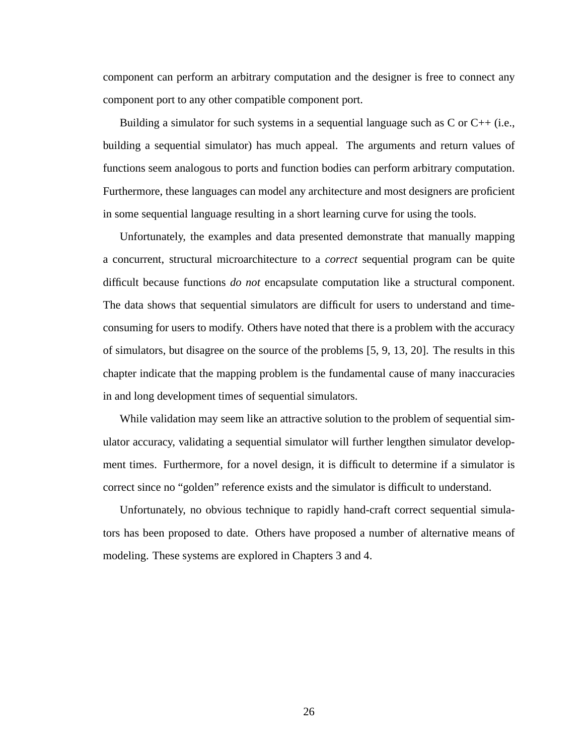component can perform an arbitrary computation and the designer is free to connect any component port to any other compatible component port.

Building a simulator for such systems in a sequential language such as  $C$  or  $C++$  (i.e., building a sequential simulator) has much appeal. The arguments and return values of functions seem analogous to ports and function bodies can perform arbitrary computation. Furthermore, these languages can model any architecture and most designers are proficient in some sequential language resulting in a short learning curve for using the tools.

Unfortunately, the examples and data presented demonstrate that manually mapping a concurrent, structural microarchitecture to a *correct* sequential program can be quite difficult because functions *do not* encapsulate computation like a structural component. The data shows that sequential simulators are difficult for users to understand and timeconsuming for users to modify. Others have noted that there is a problem with the accuracy of simulators, but disagree on the source of the problems [5, 9, 13, 20]. The results in this chapter indicate that the mapping problem is the fundamental cause of many inaccuracies in and long development times of sequential simulators.

While validation may seem like an attractive solution to the problem of sequential simulator accuracy, validating a sequential simulator will further lengthen simulator development times. Furthermore, for a novel design, it is difficult to determine if a simulator is correct since no "golden" reference exists and the simulator is difficult to understand.

Unfortunately, no obvious technique to rapidly hand-craft correct sequential simulators has been proposed to date. Others have proposed a number of alternative means of modeling. These systems are explored in Chapters 3 and 4.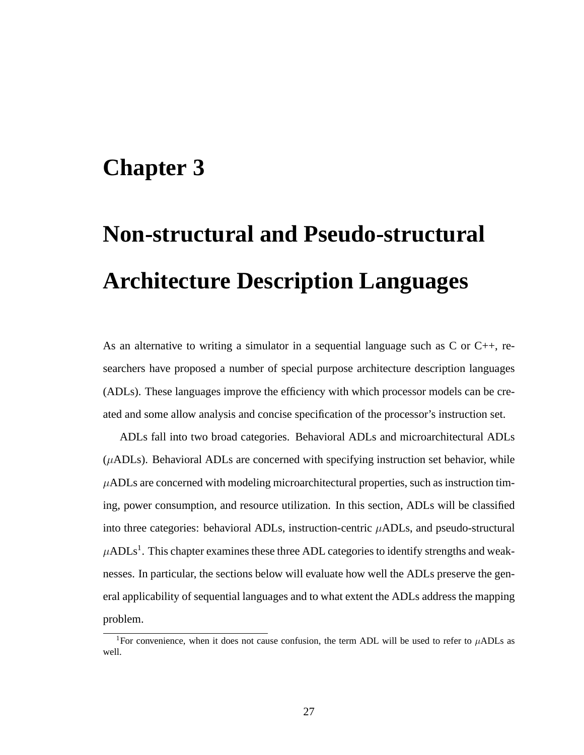# **Chapter 3**

# **Non-structural and Pseudo-structural Architecture Description Languages**

As an alternative to writing a simulator in a sequential language such as  $C$  or  $C_{++}$ , researchers have proposed a number of special purpose architecture description languages (ADLs). These languages improve the efficiency with which processor models can be created and some allow analysis and concise specification of the processor's instruction set.

ADLs fall into two broad categories. Behavioral ADLs and microarchitectural ADLs  $(\mu ADLs)$ . Behavioral ADLs are concerned with specifying instruction set behavior, while  $\mu$ ADLs are concerned with modeling microarchitectural properties, such as instruction timing, power consumption, and resource utilization. In this section, ADLs will be classified into three categories: behavioral ADLs, instruction-centric  $\mu$ ADLs, and pseudo-structural  $\mu$ ADLs<sup>1</sup>. This chapter examines these three ADL categories to identify strengths and weaknesses. In particular, the sections below will evaluate how well the ADLs preserve the general applicability of sequential languages and to what extent the ADLs address the mapping problem.

<sup>&</sup>lt;sup>1</sup>For convenience, when it does not cause confusion, the term ADL will be used to refer to  $\mu$ ADLs as well.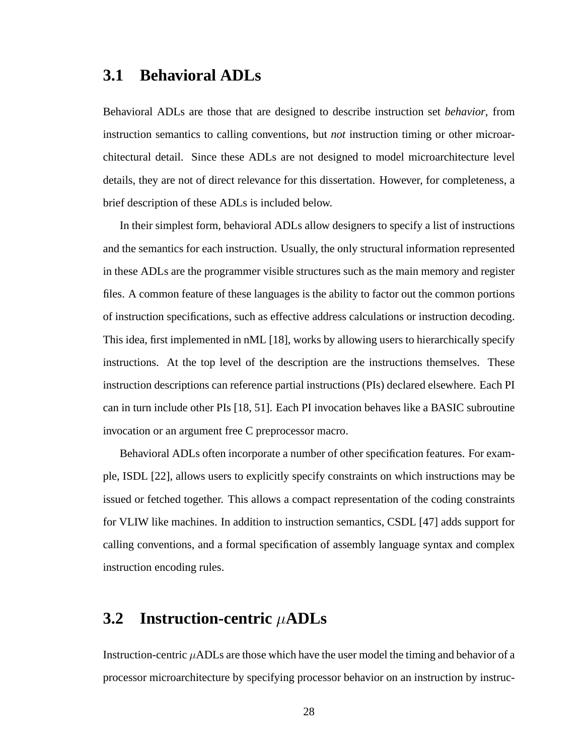# **3.1 Behavioral ADLs**

Behavioral ADLs are those that are designed to describe instruction set *behavior*, from instruction semantics to calling conventions, but *not* instruction timing or other microarchitectural detail. Since these ADLs are not designed to model microarchitecture level details, they are not of direct relevance for this dissertation. However, for completeness, a brief description of these ADLs is included below.

In their simplest form, behavioral ADLs allow designers to specify a list of instructions and the semantics for each instruction. Usually, the only structural information represented in these ADLs are the programmer visible structures such as the main memory and register files. A common feature of these languages is the ability to factor out the common portions of instruction specifications, such as effective address calculations or instruction decoding. This idea, first implemented in nML [18], works by allowing users to hierarchically specify instructions. At the top level of the description are the instructions themselves. These instruction descriptions can reference partial instructions (PIs) declared elsewhere. Each PI can in turn include other PIs [18, 51]. Each PI invocation behaves like a BASIC subroutine invocation or an argument free C preprocessor macro.

Behavioral ADLs often incorporate a number of other specification features. For example, ISDL [22], allows users to explicitly specify constraints on which instructions may be issued or fetched together. This allows a compact representation of the coding constraints for VLIW like machines. In addition to instruction semantics, CSDL [47] adds support for calling conventions, and a formal specification of assembly language syntax and complex instruction encoding rules.

### **3.2 Instruction-centric** µ**ADLs**

Instruction-centric  $\mu$ ADLs are those which have the user model the timing and behavior of a processor microarchitecture by specifying processor behavior on an instruction by instruc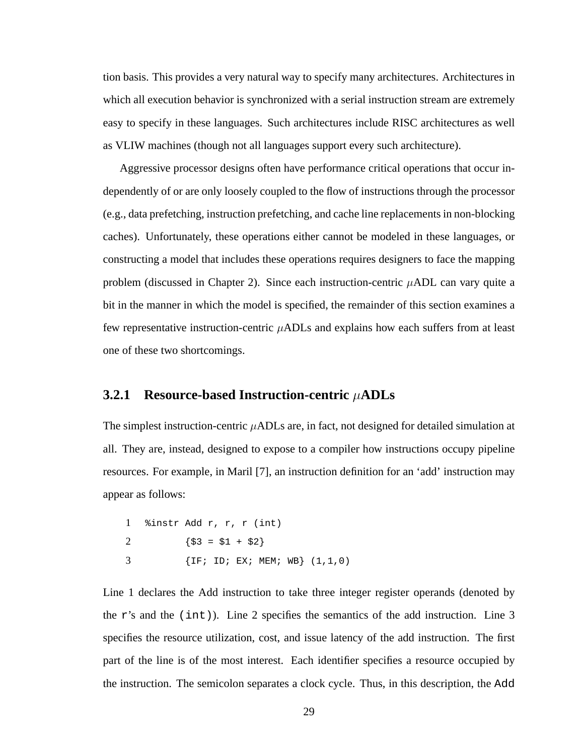tion basis. This provides a very natural way to specify many architectures. Architectures in which all execution behavior is synchronized with a serial instruction stream are extremely easy to specify in these languages. Such architectures include RISC architectures as well as VLIW machines (though not all languages support every such architecture).

Aggressive processor designs often have performance critical operations that occur independently of or are only loosely coupled to the flow of instructions through the processor (e.g., data prefetching, instruction prefetching, and cache line replacements in non-blocking caches). Unfortunately, these operations either cannot be modeled in these languages, or constructing a model that includes these operations requires designers to face the mapping problem (discussed in Chapter 2). Since each instruction-centric  $\mu$ ADL can vary quite a bit in the manner in which the model is specified, the remainder of this section examines a few representative instruction-centric  $\mu$ ADLs and explains how each suffers from at least one of these two shortcomings.

#### **3.2.1 Resource-based Instruction-centric** µ**ADLs**

The simplest instruction-centric  $\mu$ ADLs are, in fact, not designed for detailed simulation at all. They are, instead, designed to expose to a compiler how instructions occupy pipeline resources. For example, in Maril [7], an instruction definition for an 'add' instruction may appear as follows:

```
1 %instr Add r, r, r (int)
2 \{53 = 51 + 52\}3 {IF; ID; EX; MEM; WB} (1,1,0)
```
Line 1 declares the Add instruction to take three integer register operands (denoted by the r's and the (int)). Line 2 specifies the semantics of the add instruction. Line 3 specifies the resource utilization, cost, and issue latency of the add instruction. The first part of the line is of the most interest. Each identifier specifies a resource occupied by the instruction. The semicolon separates a clock cycle. Thus, in this description, the Add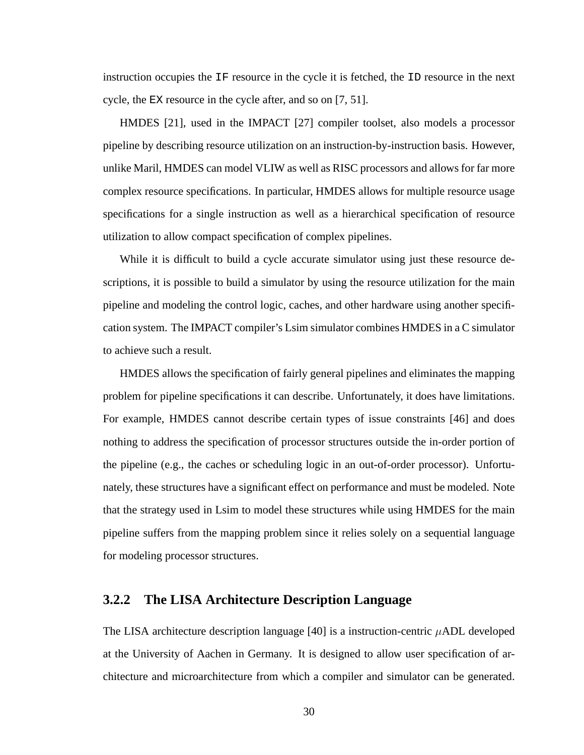instruction occupies the IF resource in the cycle it is fetched, the ID resource in the next cycle, the EX resource in the cycle after, and so on [7, 51].

HMDES [21], used in the IMPACT [27] compiler toolset, also models a processor pipeline by describing resource utilization on an instruction-by-instruction basis. However, unlike Maril, HMDES can model VLIW as well as RISC processors and allows for far more complex resource specifications. In particular, HMDES allows for multiple resource usage specifications for a single instruction as well as a hierarchical specification of resource utilization to allow compact specification of complex pipelines.

While it is difficult to build a cycle accurate simulator using just these resource descriptions, it is possible to build a simulator by using the resource utilization for the main pipeline and modeling the control logic, caches, and other hardware using another specification system. The IMPACT compiler's Lsim simulator combines HMDES in a C simulator to achieve such a result.

HMDES allows the specification of fairly general pipelines and eliminates the mapping problem for pipeline specifications it can describe. Unfortunately, it does have limitations. For example, HMDES cannot describe certain types of issue constraints [46] and does nothing to address the specification of processor structures outside the in-order portion of the pipeline (e.g., the caches or scheduling logic in an out-of-order processor). Unfortunately, these structures have a significant effect on performance and must be modeled. Note that the strategy used in Lsim to model these structures while using HMDES for the main pipeline suffers from the mapping problem since it relies solely on a sequential language for modeling processor structures.

### **3.2.2 The LISA Architecture Description Language**

The LISA architecture description language  $[40]$  is a instruction-centric  $\mu$ ADL developed at the University of Aachen in Germany. It is designed to allow user specification of architecture and microarchitecture from which a compiler and simulator can be generated.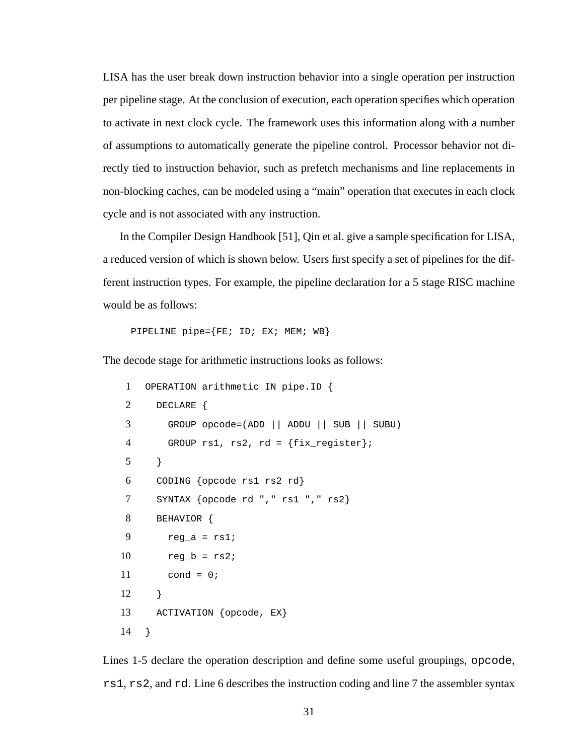LISA has the user break down instruction behavior into a single operation per instruction per pipeline stage. At the conclusion of execution, each operation specifies which operation to activate in next clock cycle. The framework uses this information along with a number of assumptions to automatically generate the pipeline control. Processor behavior not directly tied to instruction behavior, such as prefetch mechanisms and line replacements in non-blocking caches, can be modeled using a "main" operation that executes in each clock cycle and is not associated with any instruction.

In the Compiler Design Handbook [51], Qin et al. give a sample specification for LISA, a reduced version of which is shown below. Users first specify a set of pipelines for the different instruction types. For example, the pipeline declaration for a 5 stage RISC machine would be as follows:

PIPELINE pipe={FE; ID; EX; MEM; WB}

The decode stage for arithmetic instructions looks as follows:

| 1      | OPERATION arithmetic IN pipe.ID {          |
|--------|--------------------------------------------|
| 2      | DECLARE {                                  |
| 3      | GROUP $opcode=(ADD    ADD    SUB    SUB$   |
| 4      | GROUP rs1, rs2, rd = $\{fix\_register\}$ ; |
| 5      | ł                                          |
| 6      | CODING {opcode rs1 rs2 rd}                 |
| $\tau$ | SYNTAX $\{opcode rd$ "," $rs1$ "," $rs2\}$ |
| 8      | BEHAVIOR {                                 |
| 9      | $reg_a = rs1;$                             |
| 10     | $reg_b = rs2;$                             |
| 11     | cond = $0$ ;                               |
| 12     | ł                                          |
| 13     | $ACTIVATION \{opcode, EX\}$                |
| 14     | ł                                          |

Lines 1-5 declare the operation description and define some useful groupings, opcode, rs1, rs2, and rd. Line 6 describes the instruction coding and line 7 the assembler syntax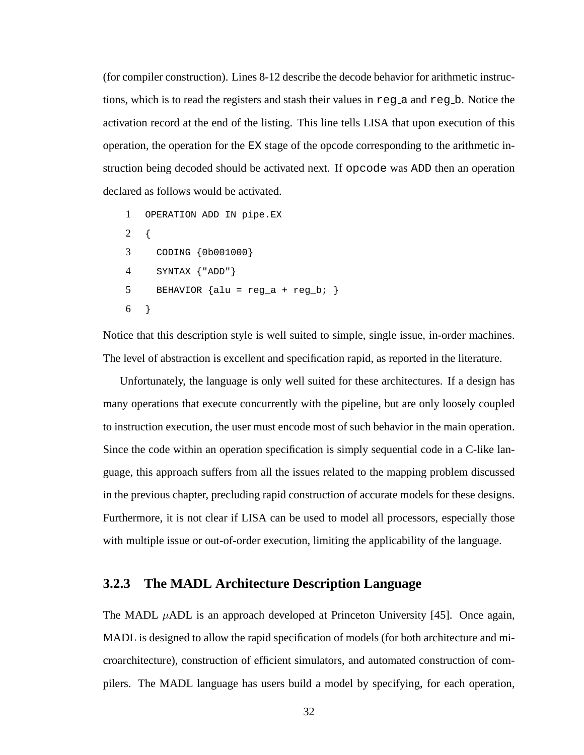(for compiler construction). Lines 8-12 describe the decode behavior for arithmetic instructions, which is to read the registers and stash their values in  $\text{req}_a$  and  $\text{req}_b$ . Notice the activation record at the end of the listing. This line tells LISA that upon execution of this operation, the operation for the EX stage of the opcode corresponding to the arithmetic instruction being decoded should be activated next. If opcode was ADD then an operation declared as follows would be activated.

```
1 OPERATION ADD IN pipe.EX
2 {
3 CODING {0b001000}
4 SYNTAX {"ADD"}
5 BEHAVIOR \{alu = req \ a + req \ b \}6 }
```
Notice that this description style is well suited to simple, single issue, in-order machines. The level of abstraction is excellent and specification rapid, as reported in the literature.

Unfortunately, the language is only well suited for these architectures. If a design has many operations that execute concurrently with the pipeline, but are only loosely coupled to instruction execution, the user must encode most of such behavior in the main operation. Since the code within an operation specification is simply sequential code in a C-like language, this approach suffers from all the issues related to the mapping problem discussed in the previous chapter, precluding rapid construction of accurate models for these designs. Furthermore, it is not clear if LISA can be used to model all processors, especially those with multiple issue or out-of-order execution, limiting the applicability of the language.

### **3.2.3 The MADL Architecture Description Language**

The MADL  $\mu$ ADL is an approach developed at Princeton University [45]. Once again, MADL is designed to allow the rapid specification of models (for both architecture and microarchitecture), construction of efficient simulators, and automated construction of compilers. The MADL language has users build a model by specifying, for each operation,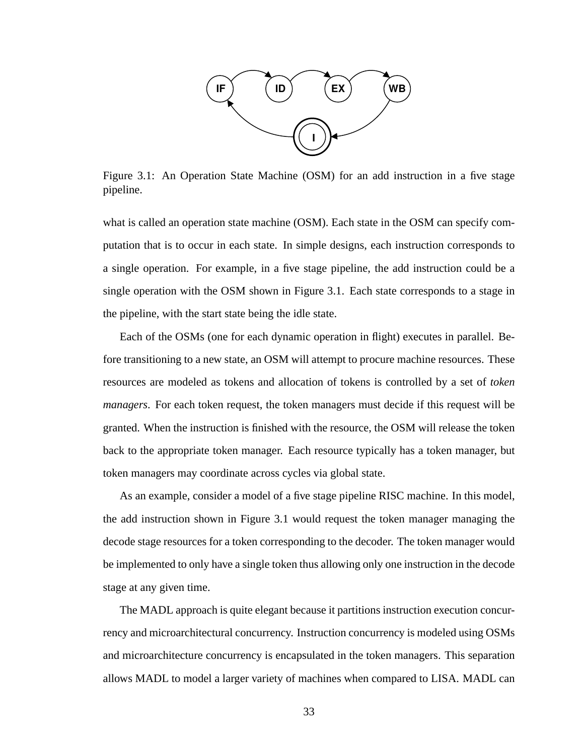

Figure 3.1: An Operation State Machine (OSM) for an add instruction in a five stage pipeline.

what is called an operation state machine (OSM). Each state in the OSM can specify computation that is to occur in each state. In simple designs, each instruction corresponds to a single operation. For example, in a five stage pipeline, the add instruction could be a single operation with the OSM shown in Figure 3.1. Each state corresponds to a stage in the pipeline, with the start state being the idle state.

Each of the OSMs (one for each dynamic operation in flight) executes in parallel. Before transitioning to a new state, an OSM will attempt to procure machine resources. These resources are modeled as tokens and allocation of tokens is controlled by a set of *token managers*. For each token request, the token managers must decide if this request will be granted. When the instruction is finished with the resource, the OSM will release the token back to the appropriate token manager. Each resource typically has a token manager, but token managers may coordinate across cycles via global state.

As an example, consider a model of a five stage pipeline RISC machine. In this model, the add instruction shown in Figure 3.1 would request the token manager managing the decode stage resources for a token corresponding to the decoder. The token manager would be implemented to only have a single token thus allowing only one instruction in the decode stage at any given time.

The MADL approach is quite elegant because it partitions instruction execution concurrency and microarchitectural concurrency. Instruction concurrency is modeled using OSMs and microarchitecture concurrency is encapsulated in the token managers. This separation allows MADL to model a larger variety of machines when compared to LISA. MADL can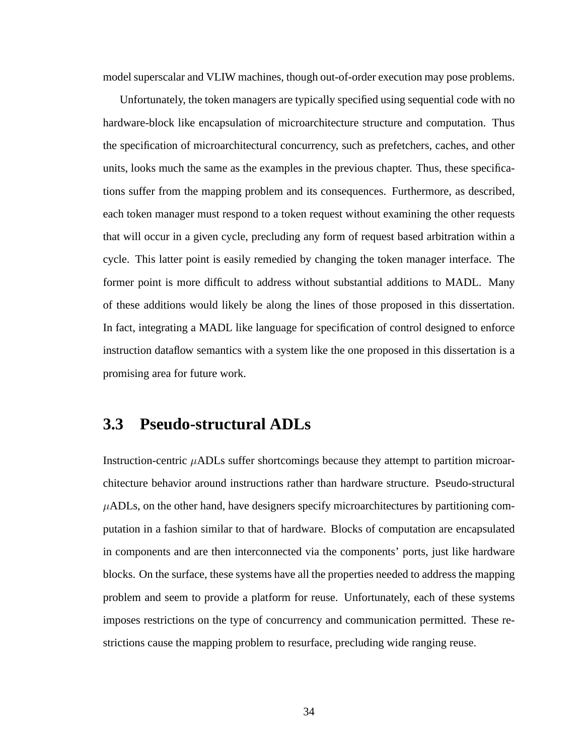model superscalar and VLIW machines, though out-of-order execution may pose problems.

Unfortunately, the token managers are typically specified using sequential code with no hardware-block like encapsulation of microarchitecture structure and computation. Thus the specification of microarchitectural concurrency, such as prefetchers, caches, and other units, looks much the same as the examples in the previous chapter. Thus, these specifications suffer from the mapping problem and its consequences. Furthermore, as described, each token manager must respond to a token request without examining the other requests that will occur in a given cycle, precluding any form of request based arbitration within a cycle. This latter point is easily remedied by changing the token manager interface. The former point is more difficult to address without substantial additions to MADL. Many of these additions would likely be along the lines of those proposed in this dissertation. In fact, integrating a MADL like language for specification of control designed to enforce instruction dataflow semantics with a system like the one proposed in this dissertation is a promising area for future work.

### **3.3 Pseudo-structural ADLs**

Instruction-centric  $\mu$ ADLs suffer shortcomings because they attempt to partition microarchitecture behavior around instructions rather than hardware structure. Pseudo-structural  $\mu$ ADLs, on the other hand, have designers specify microarchitectures by partitioning computation in a fashion similar to that of hardware. Blocks of computation are encapsulated in components and are then interconnected via the components' ports, just like hardware blocks. On the surface, these systems have all the properties needed to address the mapping problem and seem to provide a platform for reuse. Unfortunately, each of these systems imposes restrictions on the type of concurrency and communication permitted. These restrictions cause the mapping problem to resurface, precluding wide ranging reuse.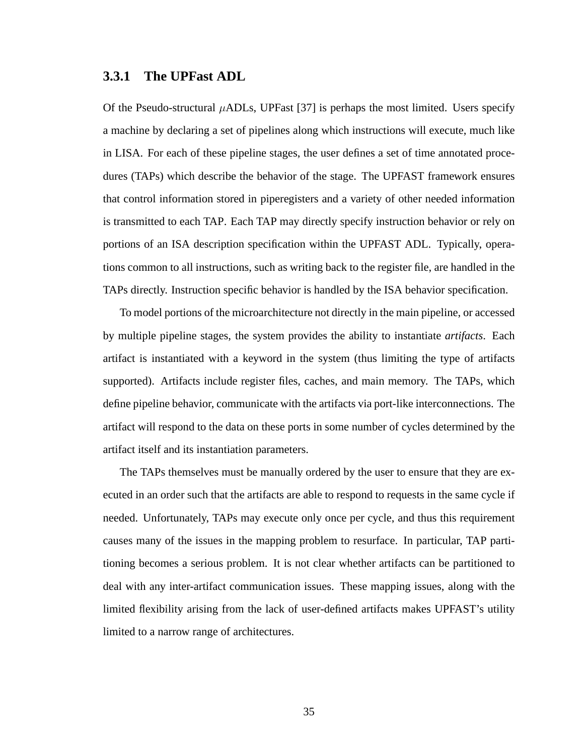#### **3.3.1 The UPFast ADL**

Of the Pseudo-structural  $\mu$ ADLs, UPFast [37] is perhaps the most limited. Users specify a machine by declaring a set of pipelines along which instructions will execute, much like in LISA. For each of these pipeline stages, the user defines a set of time annotated procedures (TAPs) which describe the behavior of the stage. The UPFAST framework ensures that control information stored in piperegisters and a variety of other needed information is transmitted to each TAP. Each TAP may directly specify instruction behavior or rely on portions of an ISA description specification within the UPFAST ADL. Typically, operations common to all instructions, such as writing back to the register file, are handled in the TAPs directly. Instruction specific behavior is handled by the ISA behavior specification.

To model portions of the microarchitecture not directly in the main pipeline, or accessed by multiple pipeline stages, the system provides the ability to instantiate *artifacts*. Each artifact is instantiated with a keyword in the system (thus limiting the type of artifacts supported). Artifacts include register files, caches, and main memory. The TAPs, which define pipeline behavior, communicate with the artifacts via port-like interconnections. The artifact will respond to the data on these ports in some number of cycles determined by the artifact itself and its instantiation parameters.

The TAPs themselves must be manually ordered by the user to ensure that they are executed in an order such that the artifacts are able to respond to requests in the same cycle if needed. Unfortunately, TAPs may execute only once per cycle, and thus this requirement causes many of the issues in the mapping problem to resurface. In particular, TAP partitioning becomes a serious problem. It is not clear whether artifacts can be partitioned to deal with any inter-artifact communication issues. These mapping issues, along with the limited flexibility arising from the lack of user-defined artifacts makes UPFAST's utility limited to a narrow range of architectures.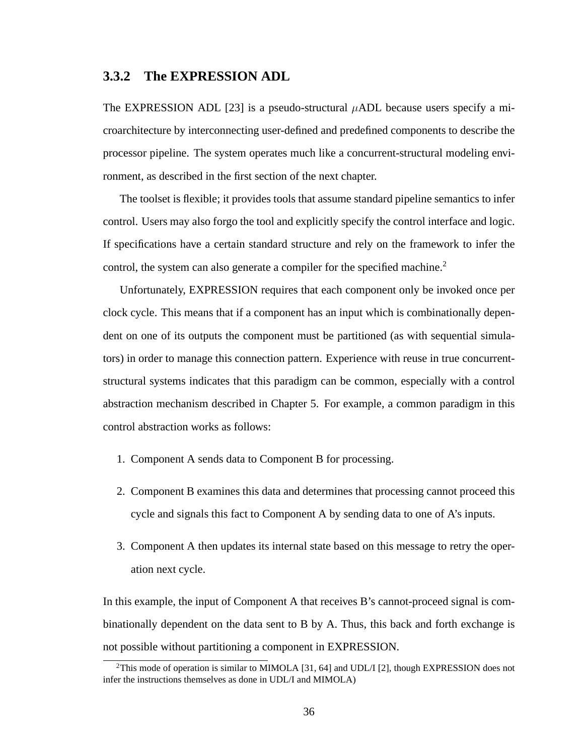#### **3.3.2 The EXPRESSION ADL**

The EXPRESSION ADL [23] is a pseudo-structural  $\mu$ ADL because users specify a microarchitecture by interconnecting user-defined and predefined components to describe the processor pipeline. The system operates much like a concurrent-structural modeling environment, as described in the first section of the next chapter.

The toolset is flexible; it provides tools that assume standard pipeline semantics to infer control. Users may also forgo the tool and explicitly specify the control interface and logic. If specifications have a certain standard structure and rely on the framework to infer the control, the system can also generate a compiler for the specified machine.<sup>2</sup>

Unfortunately, EXPRESSION requires that each component only be invoked once per clock cycle. This means that if a component has an input which is combinationally dependent on one of its outputs the component must be partitioned (as with sequential simulators) in order to manage this connection pattern. Experience with reuse in true concurrentstructural systems indicates that this paradigm can be common, especially with a control abstraction mechanism described in Chapter 5. For example, a common paradigm in this control abstraction works as follows:

- 1. Component A sends data to Component B for processing.
- 2. Component B examines this data and determines that processing cannot proceed this cycle and signals this fact to Component A by sending data to one of A's inputs.
- 3. Component A then updates its internal state based on this message to retry the operation next cycle.

In this example, the input of Component A that receives B's cannot-proceed signal is combinationally dependent on the data sent to B by A. Thus, this back and forth exchange is not possible without partitioning a component in EXPRESSION.

<sup>&</sup>lt;sup>2</sup>This mode of operation is similar to MIMOLA [31, 64] and UDL/I [2], though EXPRESSION does not infer the instructions themselves as done in UDL/I and MIMOLA)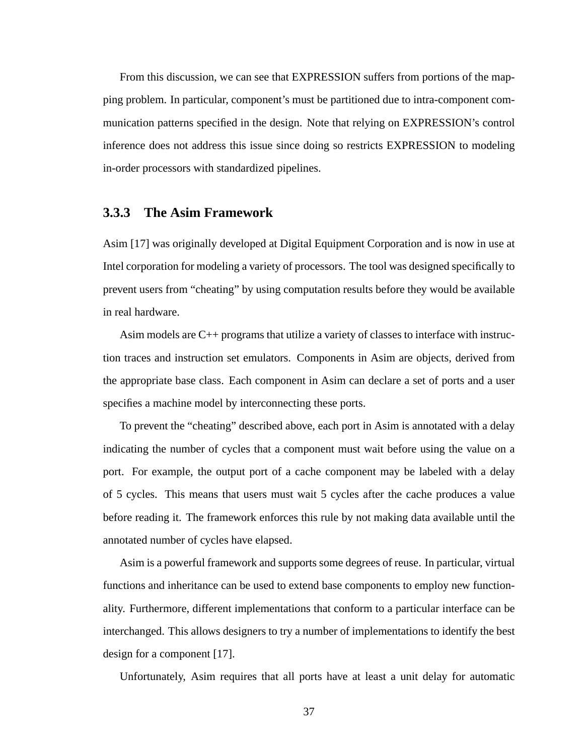From this discussion, we can see that EXPRESSION suffers from portions of the mapping problem. In particular, component's must be partitioned due to intra-component communication patterns specified in the design. Note that relying on EXPRESSION's control inference does not address this issue since doing so restricts EXPRESSION to modeling in-order processors with standardized pipelines.

#### **3.3.3 The Asim Framework**

Asim [17] was originally developed at Digital Equipment Corporation and is now in use at Intel corporation for modeling a variety of processors. The tool was designed specifically to prevent users from "cheating" by using computation results before they would be available in real hardware.

Asim models are C++ programs that utilize a variety of classes to interface with instruction traces and instruction set emulators. Components in Asim are objects, derived from the appropriate base class. Each component in Asim can declare a set of ports and a user specifies a machine model by interconnecting these ports.

To prevent the "cheating" described above, each port in Asim is annotated with a delay indicating the number of cycles that a component must wait before using the value on a port. For example, the output port of a cache component may be labeled with a delay of 5 cycles. This means that users must wait 5 cycles after the cache produces a value before reading it. The framework enforces this rule by not making data available until the annotated number of cycles have elapsed.

Asim is a powerful framework and supports some degrees of reuse. In particular, virtual functions and inheritance can be used to extend base components to employ new functionality. Furthermore, different implementations that conform to a particular interface can be interchanged. This allows designers to try a number of implementations to identify the best design for a component [17].

Unfortunately, Asim requires that all ports have at least a unit delay for automatic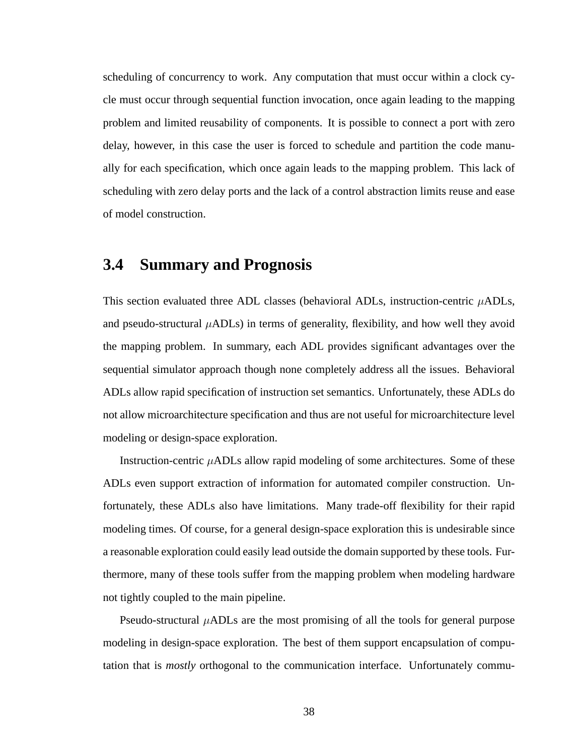scheduling of concurrency to work. Any computation that must occur within a clock cycle must occur through sequential function invocation, once again leading to the mapping problem and limited reusability of components. It is possible to connect a port with zero delay, however, in this case the user is forced to schedule and partition the code manually for each specification, which once again leads to the mapping problem. This lack of scheduling with zero delay ports and the lack of a control abstraction limits reuse and ease of model construction.

### **3.4 Summary and Prognosis**

This section evaluated three ADL classes (behavioral ADLs, instruction-centric  $\mu$ ADLs, and pseudo-structural  $\mu$ ADLs) in terms of generality, flexibility, and how well they avoid the mapping problem. In summary, each ADL provides significant advantages over the sequential simulator approach though none completely address all the issues. Behavioral ADLs allow rapid specification of instruction set semantics. Unfortunately, these ADLs do not allow microarchitecture specification and thus are not useful for microarchitecture level modeling or design-space exploration.

Instruction-centric  $\mu$ ADLs allow rapid modeling of some architectures. Some of these ADLs even support extraction of information for automated compiler construction. Unfortunately, these ADLs also have limitations. Many trade-off flexibility for their rapid modeling times. Of course, for a general design-space exploration this is undesirable since a reasonable exploration could easily lead outside the domain supported by these tools. Furthermore, many of these tools suffer from the mapping problem when modeling hardware not tightly coupled to the main pipeline.

Pseudo-structural  $\mu$ ADLs are the most promising of all the tools for general purpose modeling in design-space exploration. The best of them support encapsulation of computation that is *mostly* orthogonal to the communication interface. Unfortunately commu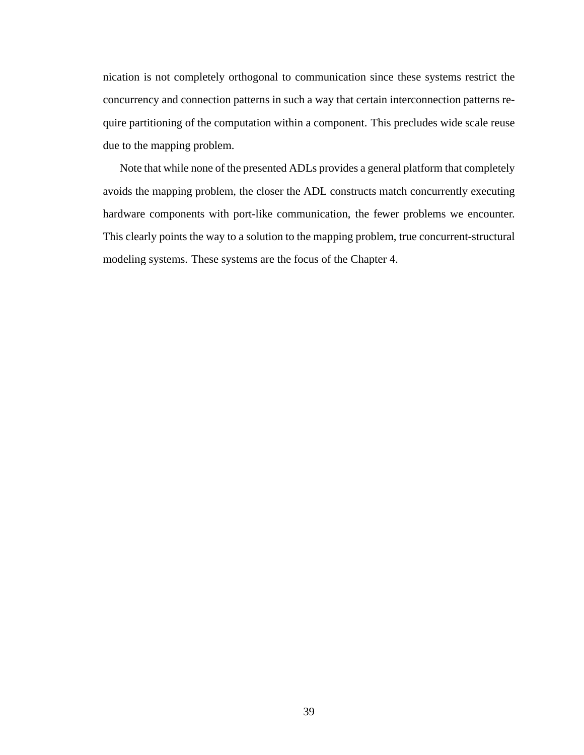nication is not completely orthogonal to communication since these systems restrict the concurrency and connection patterns in such a way that certain interconnection patterns require partitioning of the computation within a component. This precludes wide scale reuse due to the mapping problem.

Note that while none of the presented ADLs provides a general platform that completely avoids the mapping problem, the closer the ADL constructs match concurrently executing hardware components with port-like communication, the fewer problems we encounter. This clearly points the way to a solution to the mapping problem, true concurrent-structural modeling systems. These systems are the focus of the Chapter 4.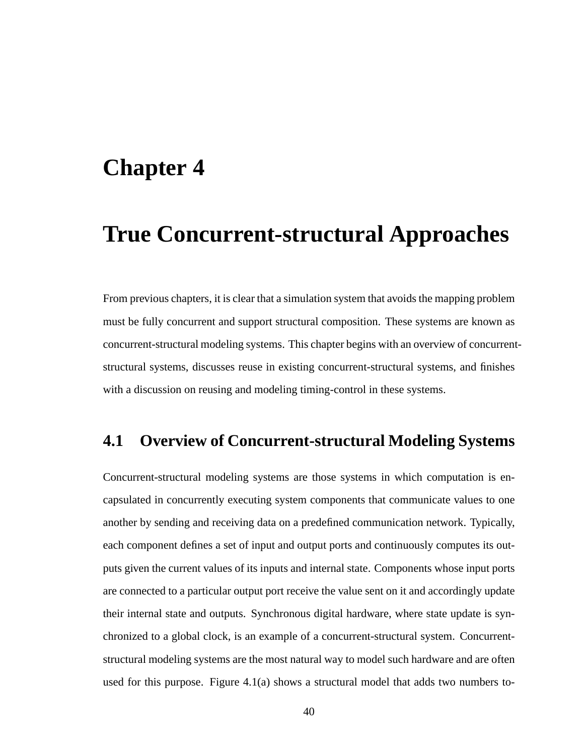# **Chapter 4**

# **True Concurrent-structural Approaches**

From previous chapters, it is clear that a simulation system that avoids the mapping problem must be fully concurrent and support structural composition. These systems are known as concurrent-structural modeling systems. This chapter begins with an overview of concurrentstructural systems, discusses reuse in existing concurrent-structural systems, and finishes with a discussion on reusing and modeling timing-control in these systems.

# **4.1 Overview of Concurrent-structural Modeling Systems**

Concurrent-structural modeling systems are those systems in which computation is encapsulated in concurrently executing system components that communicate values to one another by sending and receiving data on a predefined communication network. Typically, each component defines a set of input and output ports and continuously computes its outputs given the current values of its inputs and internal state. Components whose input ports are connected to a particular output port receive the value sent on it and accordingly update their internal state and outputs. Synchronous digital hardware, where state update is synchronized to a global clock, is an example of a concurrent-structural system. Concurrentstructural modeling systems are the most natural way to model such hardware and are often used for this purpose. Figure 4.1(a) shows a structural model that adds two numbers to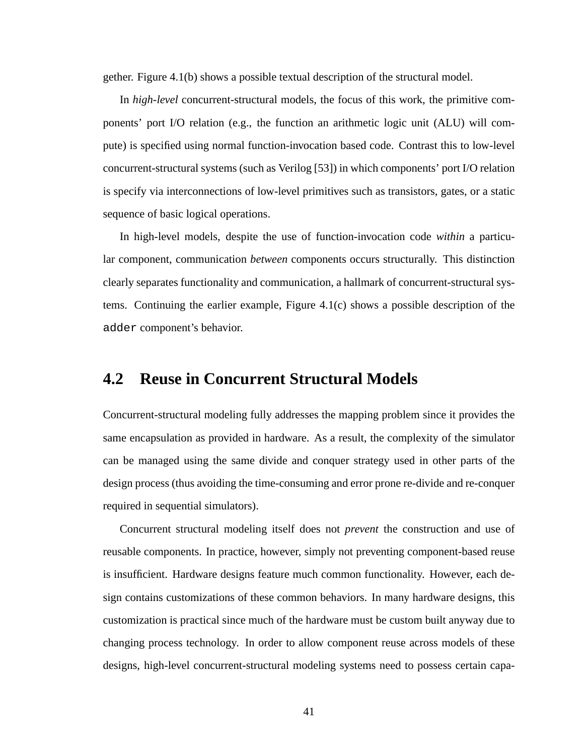gether. Figure 4.1(b) shows a possible textual description of the structural model.

In *high-level* concurrent-structural models, the focus of this work, the primitive components' port I/O relation (e.g., the function an arithmetic logic unit (ALU) will compute) is specified using normal function-invocation based code. Contrast this to low-level concurrent-structural systems (such as Verilog [53]) in which components' port I/O relation is specify via interconnections of low-level primitives such as transistors, gates, or a static sequence of basic logical operations.

In high-level models, despite the use of function-invocation code *within* a particular component, communication *between* components occurs structurally. This distinction clearly separates functionality and communication, a hallmark of concurrent-structural systems. Continuing the earlier example, Figure 4.1(c) shows a possible description of the adder component's behavior.

# **4.2 Reuse in Concurrent Structural Models**

Concurrent-structural modeling fully addresses the mapping problem since it provides the same encapsulation as provided in hardware. As a result, the complexity of the simulator can be managed using the same divide and conquer strategy used in other parts of the design process (thus avoiding the time-consuming and error prone re-divide and re-conquer required in sequential simulators).

Concurrent structural modeling itself does not *prevent* the construction and use of reusable components. In practice, however, simply not preventing component-based reuse is insufficient. Hardware designs feature much common functionality. However, each design contains customizations of these common behaviors. In many hardware designs, this customization is practical since much of the hardware must be custom built anyway due to changing process technology. In order to allow component reuse across models of these designs, high-level concurrent-structural modeling systems need to possess certain capa-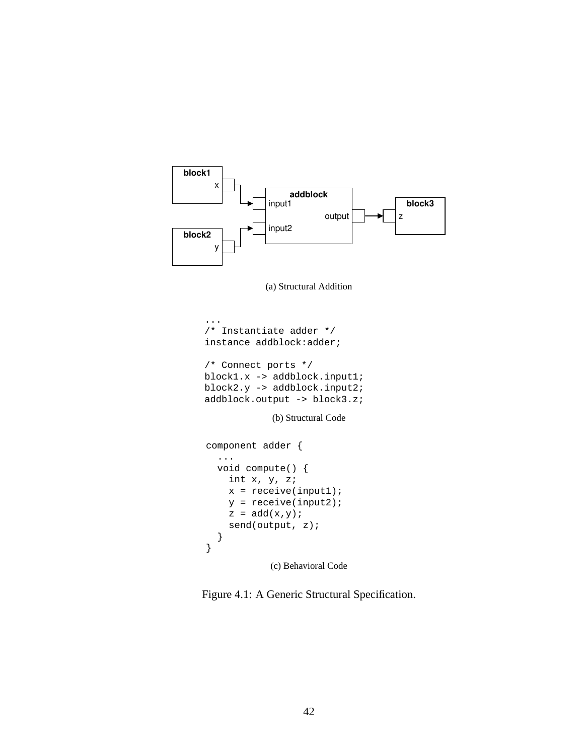

(a) Structural Addition

```
...
/* Instantiate adder */
instance addblock:adder;
/* Connect ports */
block1.x -> addblock.input1;
block2.y -> addblock.input2;
addblock.output -> block3.z;
            (b) Structural Code
component adder {
  ...
  void compute() {
    int x, y, z;
    x = receive(input1);y = receive(input2);z = add(x,y);send(output, z);
  }
}
```
(c) Behavioral Code

Figure 4.1: A Generic Structural Specification.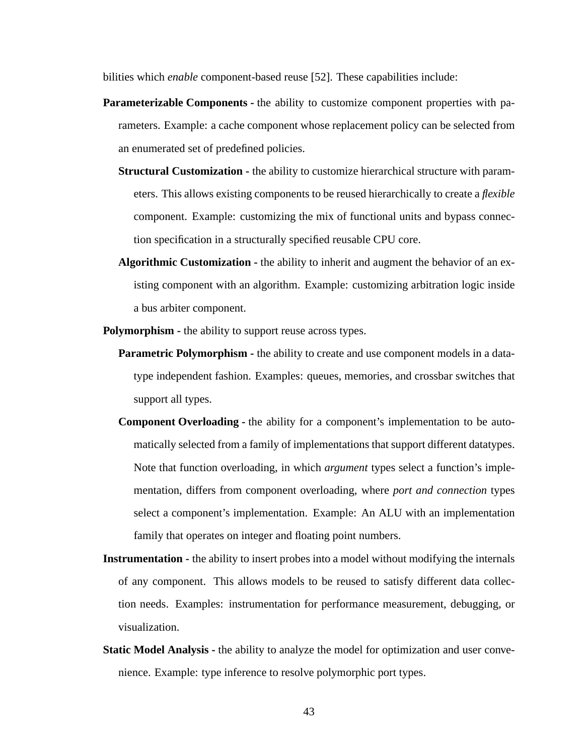bilities which *enable* component-based reuse [52]. These capabilities include:

- **Parameterizable Components -** the ability to customize component properties with parameters. Example: a cache component whose replacement policy can be selected from an enumerated set of predefined policies.
	- **Structural Customization -** the ability to customize hierarchical structure with parameters. This allows existing components to be reused hierarchically to create a *flexible* component. Example: customizing the mix of functional units and bypass connection specification in a structurally specified reusable CPU core.
	- **Algorithmic Customization -** the ability to inherit and augment the behavior of an existing component with an algorithm. Example: customizing arbitration logic inside a bus arbiter component.
- **Polymorphism -** the ability to support reuse across types.
	- **Parametric Polymorphism -** the ability to create and use component models in a datatype independent fashion. Examples: queues, memories, and crossbar switches that support all types.
	- **Component Overloading -** the ability for a component's implementation to be automatically selected from a family of implementations that support different datatypes. Note that function overloading, in which *argument* types select a function's implementation, differs from component overloading, where *port and connection* types select a component's implementation. Example: An ALU with an implementation family that operates on integer and floating point numbers.
- **Instrumentation -** the ability to insert probes into a model without modifying the internals of any component. This allows models to be reused to satisfy different data collection needs. Examples: instrumentation for performance measurement, debugging, or visualization.
- **Static Model Analysis -** the ability to analyze the model for optimization and user convenience. Example: type inference to resolve polymorphic port types.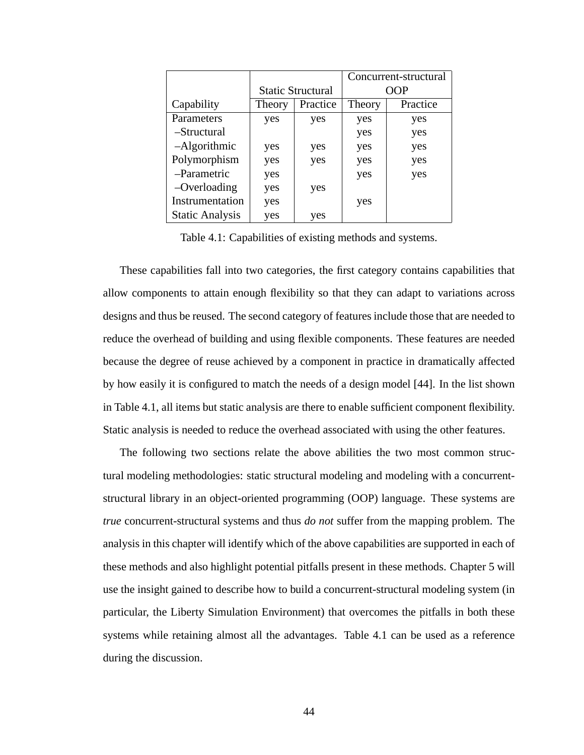|                        |        |                          | Concurrent-structural |          |  |
|------------------------|--------|--------------------------|-----------------------|----------|--|
|                        |        | <b>Static Structural</b> | OOP                   |          |  |
| Capability             | Theory | Practice                 | Theory                | Practice |  |
| Parameters             | yes    | yes                      | yes                   | yes      |  |
| -Structural            |        |                          | yes                   | yes      |  |
| -Algorithmic           | yes    | yes                      | yes                   | yes      |  |
| Polymorphism           | yes    | yes                      | yes                   | yes      |  |
| -Parametric            | yes    |                          | yes                   | yes      |  |
| -Overloading           | yes    | yes                      |                       |          |  |
| Instrumentation        | yes    |                          | yes                   |          |  |
| <b>Static Analysis</b> | yes    | yes                      |                       |          |  |

Table 4.1: Capabilities of existing methods and systems.

These capabilities fall into two categories, the first category contains capabilities that allow components to attain enough flexibility so that they can adapt to variations across designs and thus be reused. The second category of features include those that are needed to reduce the overhead of building and using flexible components. These features are needed because the degree of reuse achieved by a component in practice in dramatically affected by how easily it is configured to match the needs of a design model [44]. In the list shown in Table 4.1, all items but static analysis are there to enable sufficient component flexibility. Static analysis is needed to reduce the overhead associated with using the other features.

The following two sections relate the above abilities the two most common structural modeling methodologies: static structural modeling and modeling with a concurrentstructural library in an object-oriented programming (OOP) language. These systems are *true* concurrent-structural systems and thus *do not* suffer from the mapping problem. The analysis in this chapter will identify which of the above capabilities are supported in each of these methods and also highlight potential pitfalls present in these methods. Chapter 5 will use the insight gained to describe how to build a concurrent-structural modeling system (in particular, the Liberty Simulation Environment) that overcomes the pitfalls in both these systems while retaining almost all the advantages. Table 4.1 can be used as a reference during the discussion.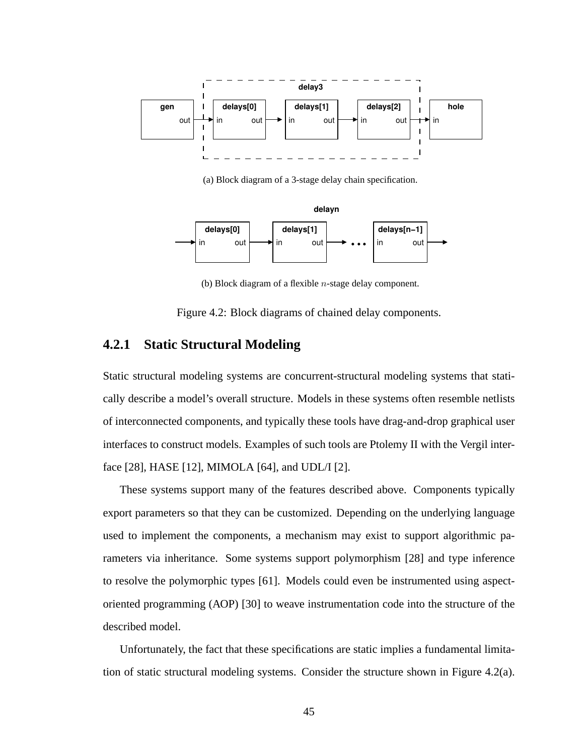

(a) Block diagram of a 3-stage delay chain specification.



(b) Block diagram of a flexible n-stage delay component.

Figure 4.2: Block diagrams of chained delay components.

### **4.2.1 Static Structural Modeling**

Static structural modeling systems are concurrent-structural modeling systems that statically describe a model's overall structure. Models in these systems often resemble netlists of interconnected components, and typically these tools have drag-and-drop graphical user interfaces to construct models. Examples of such tools are Ptolemy II with the Vergil interface [28], HASE [12], MIMOLA [64], and UDL/I [2].

These systems support many of the features described above. Components typically export parameters so that they can be customized. Depending on the underlying language used to implement the components, a mechanism may exist to support algorithmic parameters via inheritance. Some systems support polymorphism [28] and type inference to resolve the polymorphic types [61]. Models could even be instrumented using aspectoriented programming (AOP) [30] to weave instrumentation code into the structure of the described model.

Unfortunately, the fact that these specifications are static implies a fundamental limitation of static structural modeling systems. Consider the structure shown in Figure 4.2(a).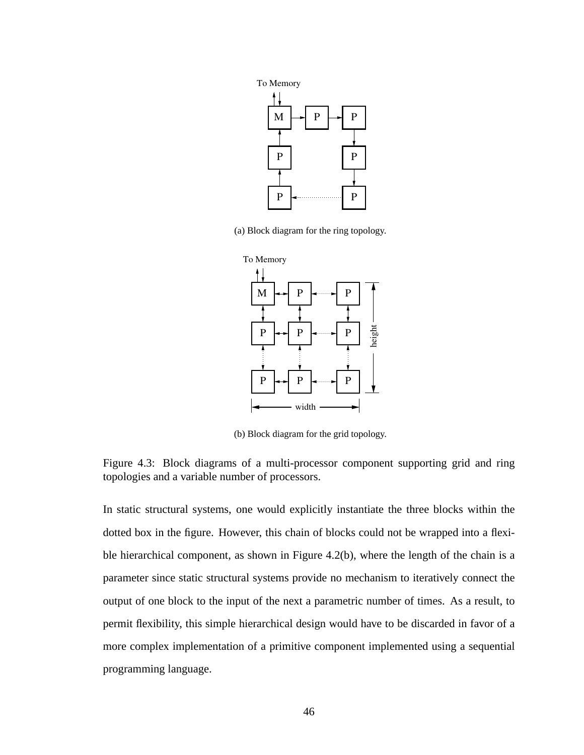

(a) Block diagram for the ring topology.



(b) Block diagram for the grid topology.

Figure 4.3: Block diagrams of a multi-processor component supporting grid and ring topologies and a variable number of processors.

In static structural systems, one would explicitly instantiate the three blocks within the dotted box in the figure. However, this chain of blocks could not be wrapped into a flexible hierarchical component, as shown in Figure 4.2(b), where the length of the chain is a parameter since static structural systems provide no mechanism to iteratively connect the output of one block to the input of the next a parametric number of times. As a result, to permit flexibility, this simple hierarchical design would have to be discarded in favor of a more complex implementation of a primitive component implemented using a sequential programming language.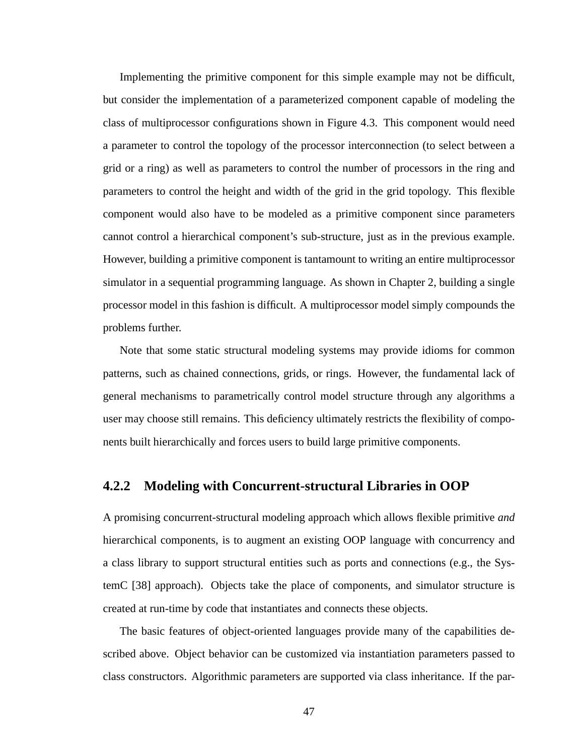Implementing the primitive component for this simple example may not be difficult, but consider the implementation of a parameterized component capable of modeling the class of multiprocessor configurations shown in Figure 4.3. This component would need a parameter to control the topology of the processor interconnection (to select between a grid or a ring) as well as parameters to control the number of processors in the ring and parameters to control the height and width of the grid in the grid topology. This flexible component would also have to be modeled as a primitive component since parameters cannot control a hierarchical component's sub-structure, just as in the previous example. However, building a primitive component is tantamount to writing an entire multiprocessor simulator in a sequential programming language. As shown in Chapter 2, building a single processor model in this fashion is difficult. A multiprocessor model simply compounds the problems further.

Note that some static structural modeling systems may provide idioms for common patterns, such as chained connections, grids, or rings. However, the fundamental lack of general mechanisms to parametrically control model structure through any algorithms a user may choose still remains. This deficiency ultimately restricts the flexibility of components built hierarchically and forces users to build large primitive components.

### **4.2.2 Modeling with Concurrent-structural Libraries in OOP**

A promising concurrent-structural modeling approach which allows flexible primitive *and* hierarchical components, is to augment an existing OOP language with concurrency and a class library to support structural entities such as ports and connections (e.g., the SystemC [38] approach). Objects take the place of components, and simulator structure is created at run-time by code that instantiates and connects these objects.

The basic features of object-oriented languages provide many of the capabilities described above. Object behavior can be customized via instantiation parameters passed to class constructors. Algorithmic parameters are supported via class inheritance. If the par-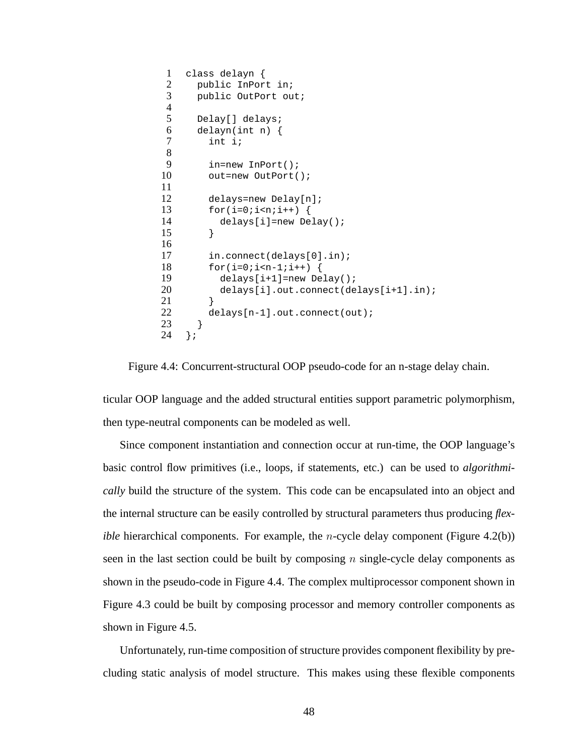```
1 class delayn {
2 public InPort in;<br>3 public OutPort ou
      public OutPort out;
4
5 Delay[] delays;
6 delayn(int n) {
7 int i;
8
9 in=new InPort();
10 out=new OutPort();
11
12 delays=new Delay[n];
13 for(i=0; i < n; i++) {
14 delays[i]=new Delay();
15 }
16
17 in.connect(delays[0].in);
18 for(i=0;i<n-1;i++) {<br>19 delays[i+1]=new De
          delays[i+1]=new Delay();
20 delays[i].out.connect(delays[i+1].in);
21 }
22 delays[n-1].out.connect(out);
23 }
24 };
```
Figure 4.4: Concurrent-structural OOP pseudo-code for an n-stage delay chain.

ticular OOP language and the added structural entities support parametric polymorphism, then type-neutral components can be modeled as well.

Since component instantiation and connection occur at run-time, the OOP language's basic control flow primitives (i.e., loops, if statements, etc.) can be used to *algorithmically* build the structure of the system. This code can be encapsulated into an object and the internal structure can be easily controlled by structural parameters thus producing *flexible* hierarchical components. For example, the *n*-cycle delay component (Figure 4.2(b)) seen in the last section could be built by composing  $n$  single-cycle delay components as shown in the pseudo-code in Figure 4.4. The complex multiprocessor component shown in Figure 4.3 could be built by composing processor and memory controller components as shown in Figure 4.5.

Unfortunately, run-time composition of structure provides component flexibility by precluding static analysis of model structure. This makes using these flexible components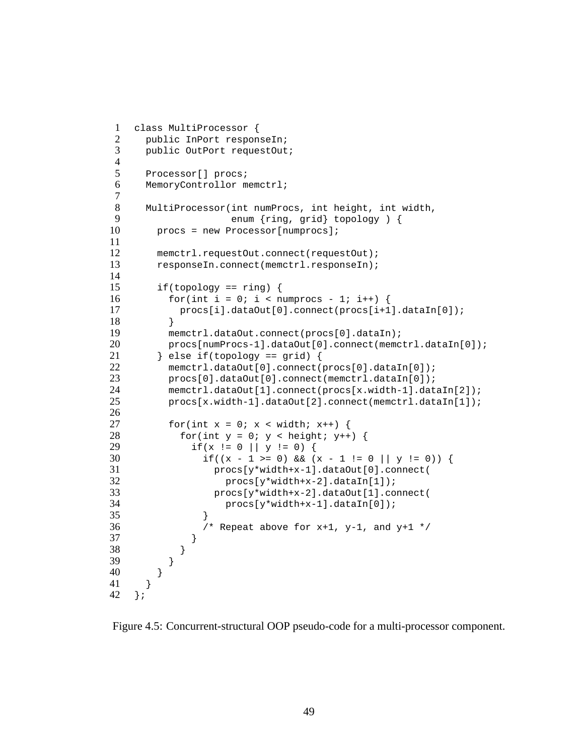```
1 class MultiProcessor {
2 public InPort responseIn;
3 public OutPort requestOut;
\frac{4}{5}Processor[] procs;
6 MemoryControllor memctrl;
7
8 MultiProcessor(int numProcs, int height, int width,
9 enum {ring, grid} topology ) {<br>10 procs = new Processor[numprocs];
       \text{process} = \text{new Processor}[\text{numbers}];11
12 memctrl.requestOut.connect(requestOut);
13 responseIn.connect(memctrl.responseIn);
14
15 if(topology == ring) {
16 for(int i = 0; i < numprocs - 1; i++) {
17 procs[i].dataOut[0].connect(procs[i+1].dataIn[0]);
18 }
19 memctrl.dataOut.connect(procs[0].dataIn);
20 procs[numProcs-1].dataOut[0].connect(memctrl.dataIn[0]);
21 } else if(topology == grid) {<br>22 memetrl.dataOut[0].connect(
22 memctrl.dataOut[0].connect(procs[0].dataIn[0]);<br>23 procs[0].dataOut[0].connect(memctrl.dataIn[0]);
         23 procs[0].dataOut[0].connect(memctrl.dataIn[0]);
24 memctrl.dataOut[1].connect(procs[x.width-1].dataIn[2]);
25 procs[x.width-1].dataOut[2].connect(memctrl.dataIn[1]);
26
27 for(int x = 0; x < width; x++) {
28 for(int y = 0; y < height; y++) {<br>29 if(x != 0 || y != 0) {
             if(x := 0 || y := 0)30 if((x - 1 >= 0) & x(x - 1 != 0 || y != 0))31 procs[y*width+x-1].dataOut[0].connect(
32 procs[y*width+x-2].dataIn[1]);
33 procs[y*width+x-2].dataOut[1].connect(
34 procs[y*width+x-1].dataIn[0]);
35 }
36 /* Repeat above for x+1, y-1, and y+1 */
37 }
38 }
39 }
40 }
41 }
42 };
```
Figure 4.5: Concurrent-structural OOP pseudo-code for a multi-processor component.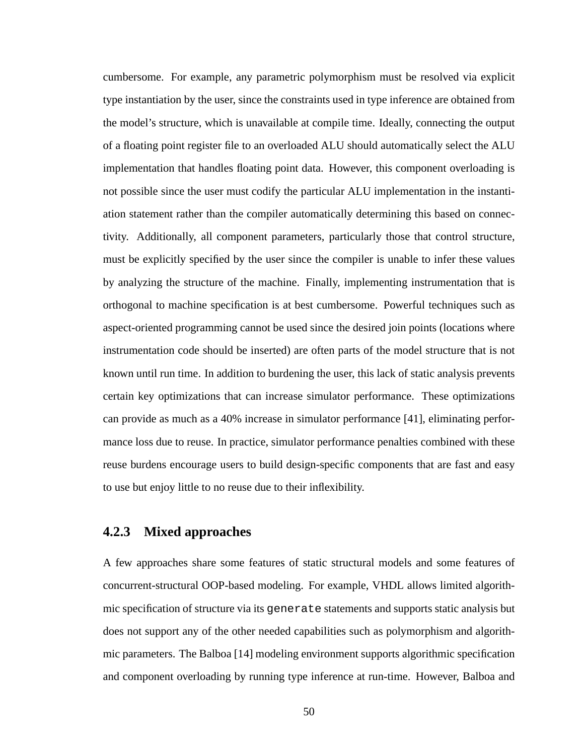cumbersome. For example, any parametric polymorphism must be resolved via explicit type instantiation by the user, since the constraints used in type inference are obtained from the model's structure, which is unavailable at compile time. Ideally, connecting the output of a floating point register file to an overloaded ALU should automatically select the ALU implementation that handles floating point data. However, this component overloading is not possible since the user must codify the particular ALU implementation in the instantiation statement rather than the compiler automatically determining this based on connectivity. Additionally, all component parameters, particularly those that control structure, must be explicitly specified by the user since the compiler is unable to infer these values by analyzing the structure of the machine. Finally, implementing instrumentation that is orthogonal to machine specification is at best cumbersome. Powerful techniques such as aspect-oriented programming cannot be used since the desired join points (locations where instrumentation code should be inserted) are often parts of the model structure that is not known until run time. In addition to burdening the user, this lack of static analysis prevents certain key optimizations that can increase simulator performance. These optimizations can provide as much as a 40% increase in simulator performance [41], eliminating performance loss due to reuse. In practice, simulator performance penalties combined with these reuse burdens encourage users to build design-specific components that are fast and easy to use but enjoy little to no reuse due to their inflexibility.

### **4.2.3 Mixed approaches**

A few approaches share some features of static structural models and some features of concurrent-structural OOP-based modeling. For example, VHDL allows limited algorithmic specification of structure via its generate statements and supports static analysis but does not support any of the other needed capabilities such as polymorphism and algorithmic parameters. The Balboa [14] modeling environment supports algorithmic specification and component overloading by running type inference at run-time. However, Balboa and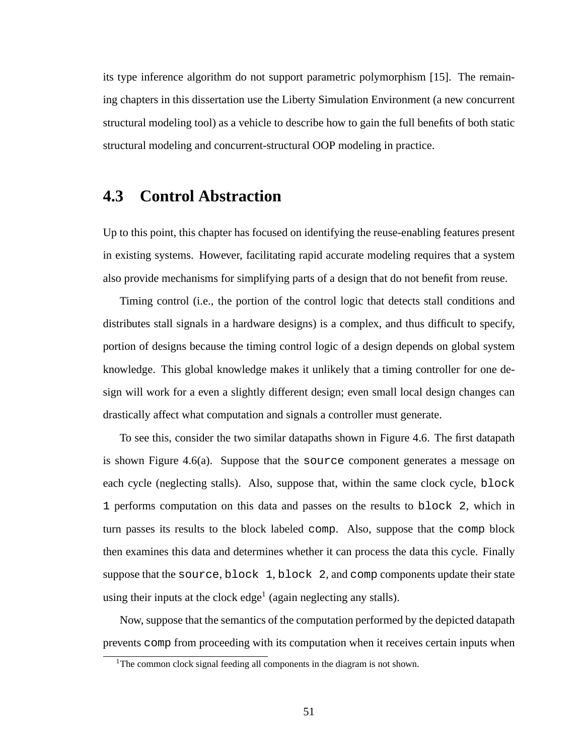its type inference algorithm do not support parametric polymorphism [15]. The remaining chapters in this dissertation use the Liberty Simulation Environment (a new concurrent structural modeling tool) as a vehicle to describe how to gain the full benefits of both static structural modeling and concurrent-structural OOP modeling in practice.

### **4.3 Control Abstraction**

Up to this point, this chapter has focused on identifying the reuse-enabling features present in existing systems. However, facilitating rapid accurate modeling requires that a system also provide mechanisms for simplifying parts of a design that do not benefit from reuse.

Timing control (i.e., the portion of the control logic that detects stall conditions and distributes stall signals in a hardware designs) is a complex, and thus difficult to specify, portion of designs because the timing control logic of a design depends on global system knowledge. This global knowledge makes it unlikely that a timing controller for one design will work for a even a slightly different design; even small local design changes can drastically affect what computation and signals a controller must generate.

To see this, consider the two similar datapaths shown in Figure 4.6. The first datapath is shown Figure 4.6(a). Suppose that the source component generates a message on each cycle (neglecting stalls). Also, suppose that, within the same clock cycle, block 1 performs computation on this data and passes on the results to block 2, which in turn passes its results to the block labeled comp. Also, suppose that the comp block then examines this data and determines whether it can process the data this cycle. Finally suppose that the source, block 1, block 2, and comp components update their state using their inputs at the clock edge<sup>1</sup> (again neglecting any stalls).

Now, suppose that the semantics of the computation performed by the depicted datapath prevents comp from proceeding with its computation when it receives certain inputs when

<sup>&</sup>lt;sup>1</sup>The common clock signal feeding all components in the diagram is not shown.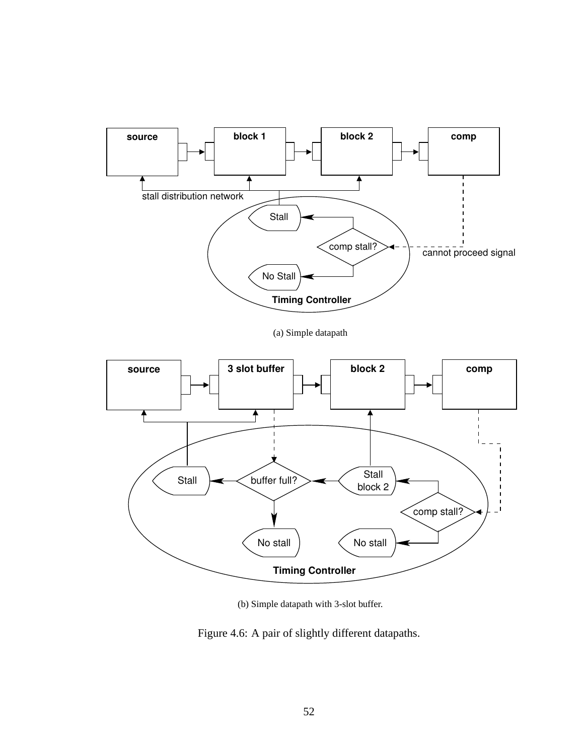

(a) Simple datapath



(b) Simple datapath with 3-slot buffer.

Figure 4.6: A pair of slightly different datapaths.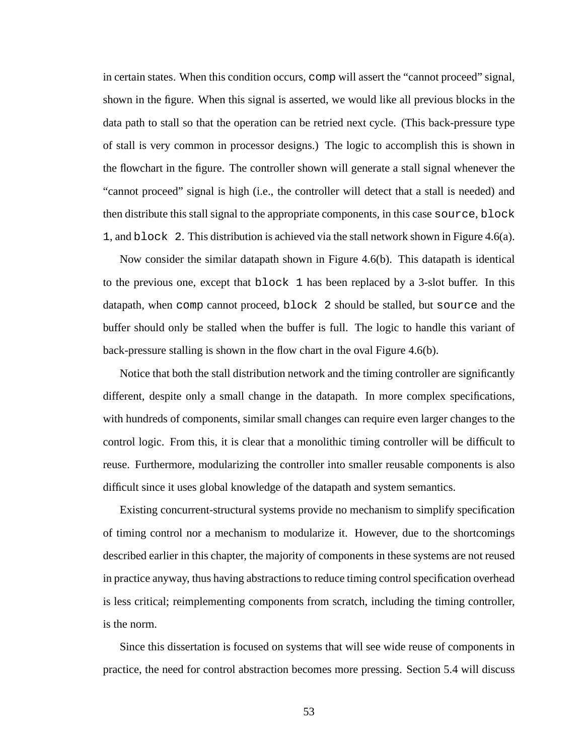in certain states. When this condition occurs, comp will assert the "cannot proceed" signal, shown in the figure. When this signal is asserted, we would like all previous blocks in the data path to stall so that the operation can be retried next cycle. (This back-pressure type of stall is very common in processor designs.) The logic to accomplish this is shown in the flowchart in the figure. The controller shown will generate a stall signal whenever the "cannot proceed" signal is high (i.e., the controller will detect that a stall is needed) and then distribute this stall signal to the appropriate components, in this case source, block 1, and block 2. This distribution is achieved via the stall network shown in Figure 4.6(a).

Now consider the similar datapath shown in Figure 4.6(b). This datapath is identical to the previous one, except that block 1 has been replaced by a 3-slot buffer. In this datapath, when comp cannot proceed, block 2 should be stalled, but source and the buffer should only be stalled when the buffer is full. The logic to handle this variant of back-pressure stalling is shown in the flow chart in the oval Figure 4.6(b).

Notice that both the stall distribution network and the timing controller are significantly different, despite only a small change in the datapath. In more complex specifications, with hundreds of components, similar small changes can require even larger changes to the control logic. From this, it is clear that a monolithic timing controller will be difficult to reuse. Furthermore, modularizing the controller into smaller reusable components is also difficult since it uses global knowledge of the datapath and system semantics.

Existing concurrent-structural systems provide no mechanism to simplify specification of timing control nor a mechanism to modularize it. However, due to the shortcomings described earlier in this chapter, the majority of components in these systems are not reused in practice anyway, thus having abstractions to reduce timing control specification overhead is less critical; reimplementing components from scratch, including the timing controller, is the norm.

Since this dissertation is focused on systems that will see wide reuse of components in practice, the need for control abstraction becomes more pressing. Section 5.4 will discuss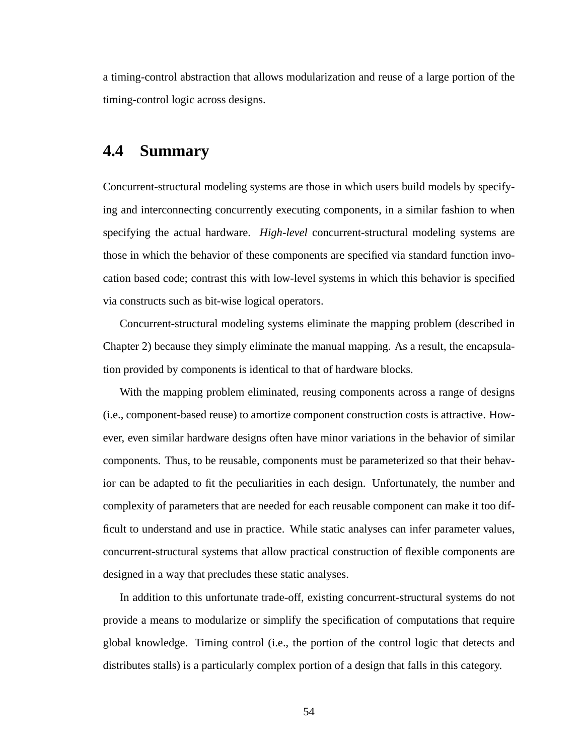a timing-control abstraction that allows modularization and reuse of a large portion of the timing-control logic across designs.

### **4.4 Summary**

Concurrent-structural modeling systems are those in which users build models by specifying and interconnecting concurrently executing components, in a similar fashion to when specifying the actual hardware. *High-level* concurrent-structural modeling systems are those in which the behavior of these components are specified via standard function invocation based code; contrast this with low-level systems in which this behavior is specified via constructs such as bit-wise logical operators.

Concurrent-structural modeling systems eliminate the mapping problem (described in Chapter 2) because they simply eliminate the manual mapping. As a result, the encapsulation provided by components is identical to that of hardware blocks.

With the mapping problem eliminated, reusing components across a range of designs (i.e., component-based reuse) to amortize component construction costs is attractive. However, even similar hardware designs often have minor variations in the behavior of similar components. Thus, to be reusable, components must be parameterized so that their behavior can be adapted to fit the peculiarities in each design. Unfortunately, the number and complexity of parameters that are needed for each reusable component can make it too difficult to understand and use in practice. While static analyses can infer parameter values, concurrent-structural systems that allow practical construction of flexible components are designed in a way that precludes these static analyses.

In addition to this unfortunate trade-off, existing concurrent-structural systems do not provide a means to modularize or simplify the specification of computations that require global knowledge. Timing control (i.e., the portion of the control logic that detects and distributes stalls) is a particularly complex portion of a design that falls in this category.

54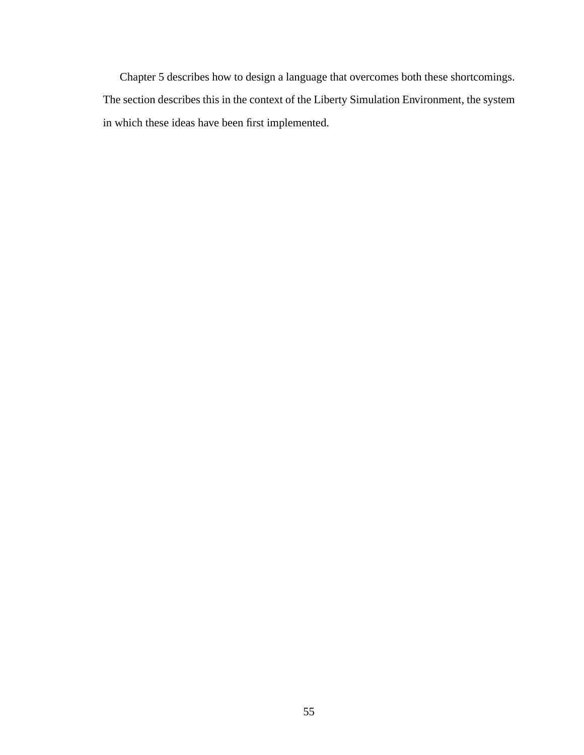Chapter 5 describes how to design a language that overcomes both these shortcomings. The section describes this in the context of the Liberty Simulation Environment, the system in which these ideas have been first implemented.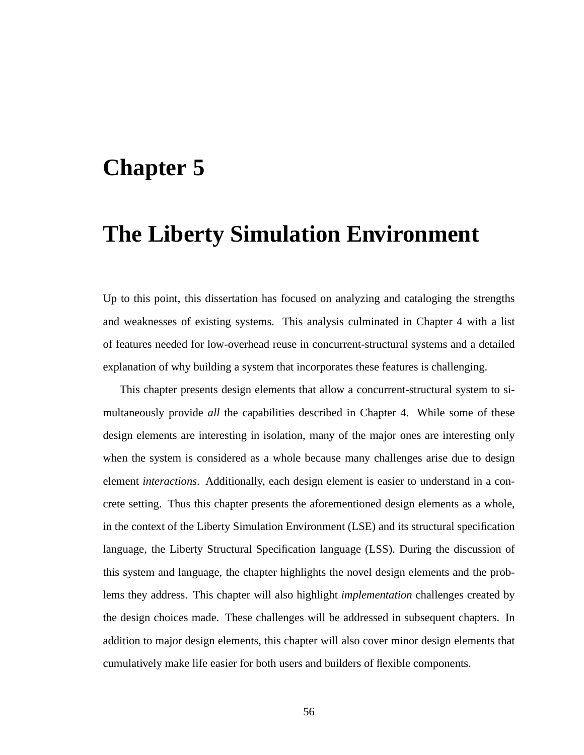# **Chapter 5**

# **The Liberty Simulation Environment**

Up to this point, this dissertation has focused on analyzing and cataloging the strengths and weaknesses of existing systems. This analysis culminated in Chapter 4 with a list of features needed for low-overhead reuse in concurrent-structural systems and a detailed explanation of why building a system that incorporates these features is challenging.

This chapter presents design elements that allow a concurrent-structural system to simultaneously provide *all* the capabilities described in Chapter 4. While some of these design elements are interesting in isolation, many of the major ones are interesting only when the system is considered as a whole because many challenges arise due to design element *interactions*. Additionally, each design element is easier to understand in a concrete setting. Thus this chapter presents the aforementioned design elements as a whole, in the context of the Liberty Simulation Environment (LSE) and its structural specification language, the Liberty Structural Specification language (LSS). During the discussion of this system and language, the chapter highlights the novel design elements and the problems they address. This chapter will also highlight *implementation* challenges created by the design choices made. These challenges will be addressed in subsequent chapters. In addition to major design elements, this chapter will also cover minor design elements that cumulatively make life easier for both users and builders of flexible components.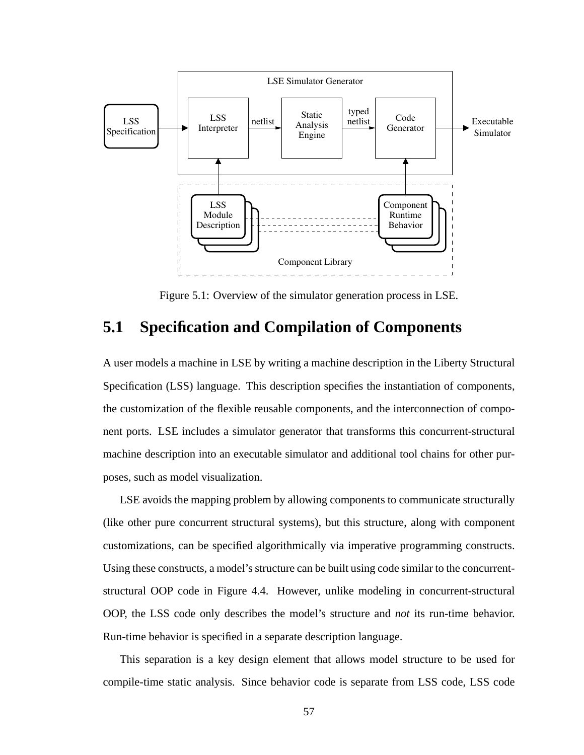

Figure 5.1: Overview of the simulator generation process in LSE.

# **5.1 Specification and Compilation of Components**

A user models a machine in LSE by writing a machine description in the Liberty Structural Specification (LSS) language. This description specifies the instantiation of components, the customization of the flexible reusable components, and the interconnection of component ports. LSE includes a simulator generator that transforms this concurrent-structural machine description into an executable simulator and additional tool chains for other purposes, such as model visualization.

LSE avoids the mapping problem by allowing components to communicate structurally (like other pure concurrent structural systems), but this structure, along with component customizations, can be specified algorithmically via imperative programming constructs. Using these constructs, a model's structure can be built using code similar to the concurrentstructural OOP code in Figure 4.4. However, unlike modeling in concurrent-structural OOP, the LSS code only describes the model's structure and *not* its run-time behavior. Run-time behavior is specified in a separate description language.

This separation is a key design element that allows model structure to be used for compile-time static analysis. Since behavior code is separate from LSS code, LSS code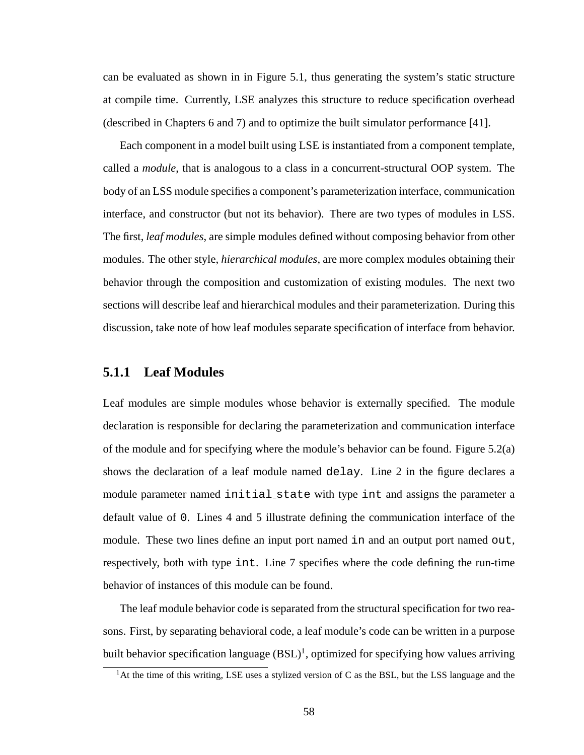can be evaluated as shown in in Figure 5.1, thus generating the system's static structure at compile time. Currently, LSE analyzes this structure to reduce specification overhead (described in Chapters 6 and 7) and to optimize the built simulator performance [41].

Each component in a model built using LSE is instantiated from a component template, called a *module*, that is analogous to a class in a concurrent-structural OOP system. The body of an LSS module specifies a component's parameterization interface, communication interface, and constructor (but not its behavior). There are two types of modules in LSS. The first, *leaf modules*, are simple modules defined without composing behavior from other modules. The other style, *hierarchical modules*, are more complex modules obtaining their behavior through the composition and customization of existing modules. The next two sections will describe leaf and hierarchical modules and their parameterization. During this discussion, take note of how leaf modules separate specification of interface from behavior.

### **5.1.1 Leaf Modules**

Leaf modules are simple modules whose behavior is externally specified. The module declaration is responsible for declaring the parameterization and communication interface of the module and for specifying where the module's behavior can be found. Figure 5.2(a) shows the declaration of a leaf module named delay. Line 2 in the figure declares a module parameter named initial state with type int and assigns the parameter a default value of 0. Lines 4 and 5 illustrate defining the communication interface of the module. These two lines define an input port named in and an output port named out, respectively, both with type int. Line 7 specifies where the code defining the run-time behavior of instances of this module can be found.

The leaf module behavior code is separated from the structural specification for two reasons. First, by separating behavioral code, a leaf module's code can be written in a purpose built behavior specification language  $(BSL)^1$ , optimized for specifying how values arriving

<sup>&</sup>lt;sup>1</sup>At the time of this writing, LSE uses a stylized version of C as the BSL, but the LSS language and the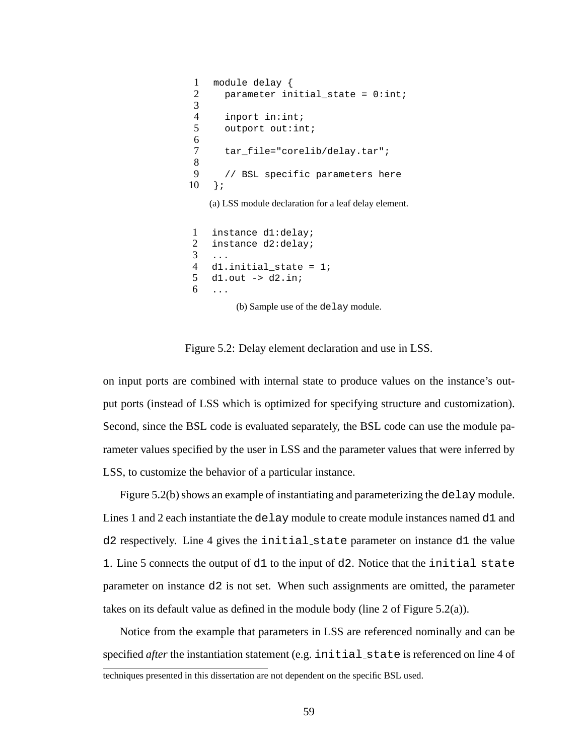```
1 module delay {
2 parameter initial_state = 0:int;3
4 inport in:int;
5 outport out:int;
6
7 tar file="corelib/delay.tar";
8
9 // BSL specific parameters here<br>10 \};
    \};
```
(a) LSS module declaration for a leaf delay element.

```
1 instance d1:delay;
2 instance d2:delay;
3 ...
4 dl.initial state = 1;
5 d1.out -> d2.in;
6 ...
```
(b) Sample use of the delay module.

Figure 5.2: Delay element declaration and use in LSS.

on input ports are combined with internal state to produce values on the instance's output ports (instead of LSS which is optimized for specifying structure and customization). Second, since the BSL code is evaluated separately, the BSL code can use the module parameter values specified by the user in LSS and the parameter values that were inferred by LSS, to customize the behavior of a particular instance.

Figure 5.2(b) shows an example of instantiating and parameterizing the delay module. Lines 1 and 2 each instantiate the delay module to create module instances named d1 and d2 respectively. Line 4 gives the initial state parameter on instance d1 the value 1. Line 5 connects the output of  $d1$  to the input of  $d2$ . Notice that the initial state parameter on instance d2 is not set. When such assignments are omitted, the parameter takes on its default value as defined in the module body (line 2 of Figure 5.2(a)).

Notice from the example that parameters in LSS are referenced nominally and can be specified *after* the instantiation statement (e.g. initial state is referenced on line 4 of

techniques presented in this dissertation are not dependent on the specific BSL used.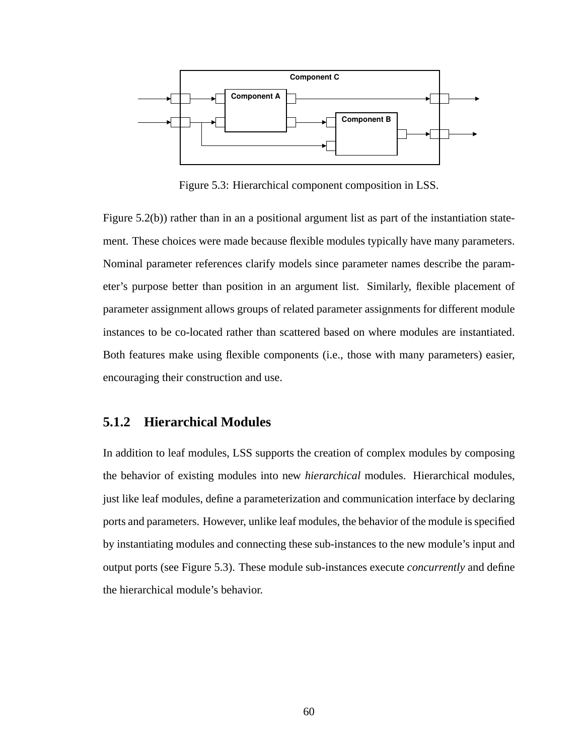

Figure 5.3: Hierarchical component composition in LSS.

Figure 5.2(b)) rather than in an a positional argument list as part of the instantiation statement. These choices were made because flexible modules typically have many parameters. Nominal parameter references clarify models since parameter names describe the parameter's purpose better than position in an argument list. Similarly, flexible placement of parameter assignment allows groups of related parameter assignments for different module instances to be co-located rather than scattered based on where modules are instantiated. Both features make using flexible components (i.e., those with many parameters) easier, encouraging their construction and use.

### **5.1.2 Hierarchical Modules**

In addition to leaf modules, LSS supports the creation of complex modules by composing the behavior of existing modules into new *hierarchical* modules. Hierarchical modules, just like leaf modules, define a parameterization and communication interface by declaring ports and parameters. However, unlike leaf modules, the behavior of the module is specified by instantiating modules and connecting these sub-instances to the new module's input and output ports (see Figure 5.3). These module sub-instances execute *concurrently* and define the hierarchical module's behavior.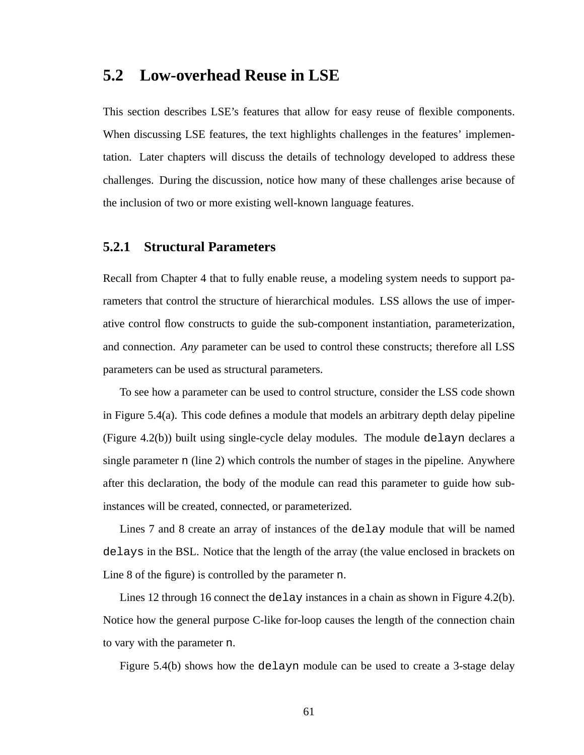# **5.2 Low-overhead Reuse in LSE**

This section describes LSE's features that allow for easy reuse of flexible components. When discussing LSE features, the text highlights challenges in the features' implementation. Later chapters will discuss the details of technology developed to address these challenges. During the discussion, notice how many of these challenges arise because of the inclusion of two or more existing well-known language features.

# **5.2.1 Structural Parameters**

Recall from Chapter 4 that to fully enable reuse, a modeling system needs to support parameters that control the structure of hierarchical modules. LSS allows the use of imperative control flow constructs to guide the sub-component instantiation, parameterization, and connection. *Any* parameter can be used to control these constructs; therefore all LSS parameters can be used as structural parameters.

To see how a parameter can be used to control structure, consider the LSS code shown in Figure 5.4(a). This code defines a module that models an arbitrary depth delay pipeline (Figure 4.2(b)) built using single-cycle delay modules. The module delayn declares a single parameter n (line 2) which controls the number of stages in the pipeline. Anywhere after this declaration, the body of the module can read this parameter to guide how subinstances will be created, connected, or parameterized.

Lines 7 and 8 create an array of instances of the delay module that will be named delays in the BSL. Notice that the length of the array (the value enclosed in brackets on Line 8 of the figure) is controlled by the parameter n.

Lines 12 through 16 connect the delay instances in a chain as shown in Figure 4.2(b). Notice how the general purpose C-like for-loop causes the length of the connection chain to vary with the parameter n.

Figure 5.4(b) shows how the delayn module can be used to create a 3-stage delay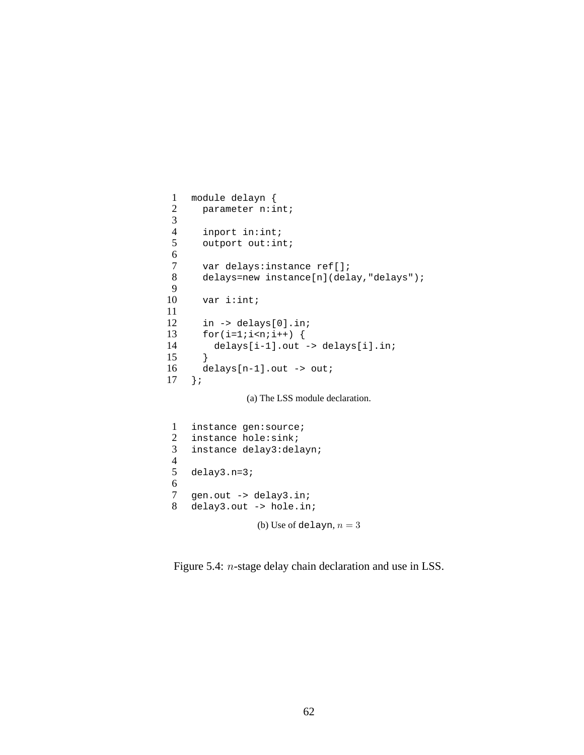```
1 module delayn {
 2 parameter n:int;
 3
 4 inport in:int;<br>5 outport out:in
        outport out: int;
 6
 7 var delays: instance ref[];
 8 delays=new instance[n](delay,"delays");
\frac{9}{10}var i:int;
11
12 in -> delays[0].in;
13 for(i=1;i=n;i++) {<br>14 delass[i-1].outdelays[i-1].out -> delays[i].in;
\begin{matrix} 15 & 3 \\ 16 & 1 \end{matrix}delays[n-1].out \rightarrow out;17 \; \; \; \; \};
```
(a) The LSS module declaration.

```
1 instance gen:source;
2 instance hole:sink;
3 instance delay3:delayn;
\frac{4}{5}delay3.n=3;
6<br>7
   gen.out -> delay3.in;
8 delay3.out -> hole.in;
                (b) Use of delayn, n = 3
```
Figure 5.4: n-stage delay chain declaration and use in LSS.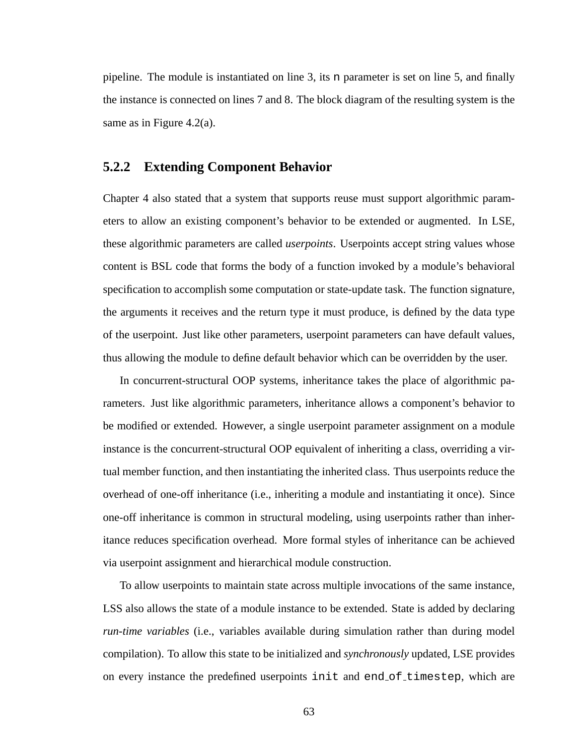pipeline. The module is instantiated on line 3, its n parameter is set on line 5, and finally the instance is connected on lines 7 and 8. The block diagram of the resulting system is the same as in Figure 4.2(a).

# **5.2.2 Extending Component Behavior**

Chapter 4 also stated that a system that supports reuse must support algorithmic parameters to allow an existing component's behavior to be extended or augmented. In LSE, these algorithmic parameters are called *userpoints*. Userpoints accept string values whose content is BSL code that forms the body of a function invoked by a module's behavioral specification to accomplish some computation or state-update task. The function signature, the arguments it receives and the return type it must produce, is defined by the data type of the userpoint. Just like other parameters, userpoint parameters can have default values, thus allowing the module to define default behavior which can be overridden by the user.

In concurrent-structural OOP systems, inheritance takes the place of algorithmic parameters. Just like algorithmic parameters, inheritance allows a component's behavior to be modified or extended. However, a single userpoint parameter assignment on a module instance is the concurrent-structural OOP equivalent of inheriting a class, overriding a virtual member function, and then instantiating the inherited class. Thus userpoints reduce the overhead of one-off inheritance (i.e., inheriting a module and instantiating it once). Since one-off inheritance is common in structural modeling, using userpoints rather than inheritance reduces specification overhead. More formal styles of inheritance can be achieved via userpoint assignment and hierarchical module construction.

To allow userpoints to maintain state across multiple invocations of the same instance, LSS also allows the state of a module instance to be extended. State is added by declaring *run-time variables* (i.e., variables available during simulation rather than during model compilation). To allow this state to be initialized and *synchronously* updated, LSE provides on every instance the predefined userpoints init and end of timestep, which are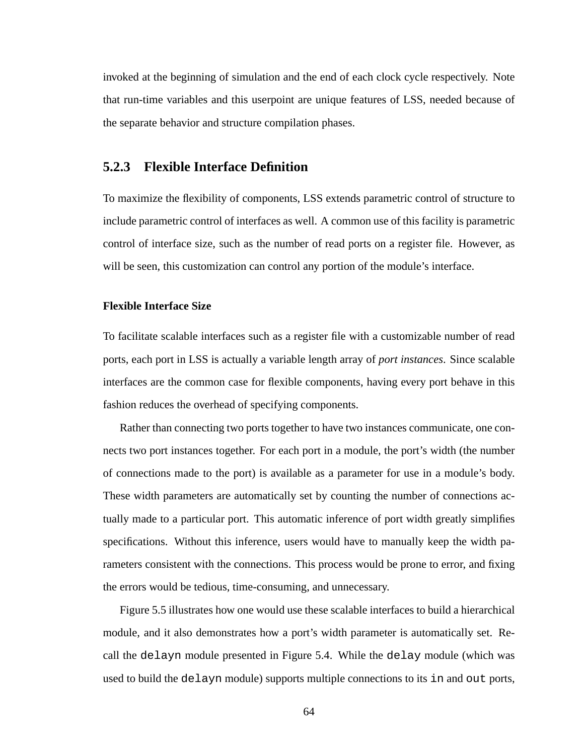invoked at the beginning of simulation and the end of each clock cycle respectively. Note that run-time variables and this userpoint are unique features of LSS, needed because of the separate behavior and structure compilation phases.

# **5.2.3 Flexible Interface Definition**

To maximize the flexibility of components, LSS extends parametric control of structure to include parametric control of interfaces as well. A common use of this facility is parametric control of interface size, such as the number of read ports on a register file. However, as will be seen, this customization can control any portion of the module's interface.

### **Flexible Interface Size**

To facilitate scalable interfaces such as a register file with a customizable number of read ports, each port in LSS is actually a variable length array of *port instances*. Since scalable interfaces are the common case for flexible components, having every port behave in this fashion reduces the overhead of specifying components.

Rather than connecting two ports together to have two instances communicate, one connects two port instances together. For each port in a module, the port's width (the number of connections made to the port) is available as a parameter for use in a module's body. These width parameters are automatically set by counting the number of connections actually made to a particular port. This automatic inference of port width greatly simplifies specifications. Without this inference, users would have to manually keep the width parameters consistent with the connections. This process would be prone to error, and fixing the errors would be tedious, time-consuming, and unnecessary.

Figure 5.5 illustrates how one would use these scalable interfaces to build a hierarchical module, and it also demonstrates how a port's width parameter is automatically set. Recall the delayn module presented in Figure 5.4. While the delay module (which was used to build the delayn module) supports multiple connections to its in and out ports,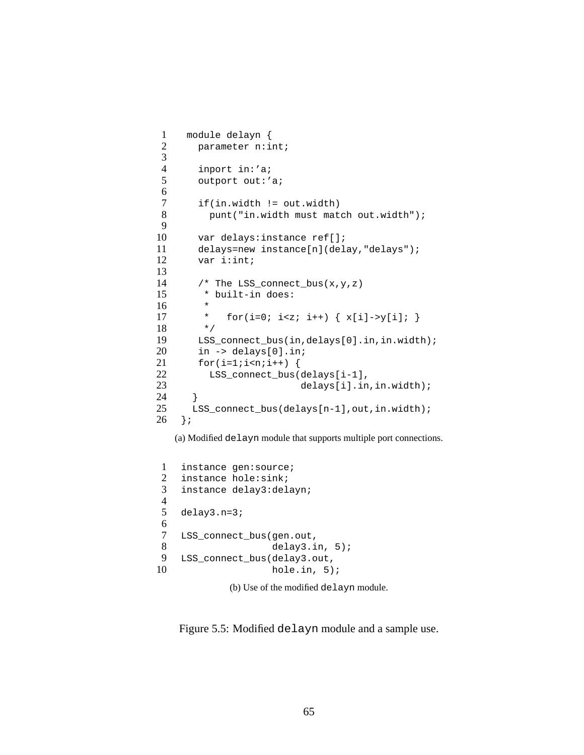```
1 module delayn {
2 parameter n:int;
3
4 inport in:'a;<br>5 outport out:'
       outport out:'a;
6
7 if(in.width != out.width)
         punt("in.width must match out.width");
\frac{9}{10}var delays: instance ref[];
11 delays=new instance[n](delay,"delays");
12 var i:int;
13
14 /* The LSS_connect_bus(x,y,z)
15 * built-in does:
16
17 * for(i=0; i<z; i++) { x[i]->y[i]; }
18 */
19 LSS_connect_bus(in,delays[0].in,in.width);<br>20 in -> delays[0].in;
       in -> delays[0].in;
21 for(i=1; i \le n; i++) {
22 LSS_connect_bus(delays[i-1],
23 delays[i].in,in.width);
24 }<br>25 L
      LSS_connect_bus(delays[n-1],out,in.width);
26 };
```
(a) Modified delayn module that supports multiple port connections.

```
1 instance gen: source;
2 instance hole:sink;
3 instance delay3:delayn;
4
5 delay3.n=3;
\frac{6}{7}LSS_connect_bus(gen.out,
8 delay3.in, 5);
9 LSS_connect_bus(delay3.out,
10 hole.in, 5);
```
(b) Use of the modified delayn module.

Figure 5.5: Modified delayn module and a sample use.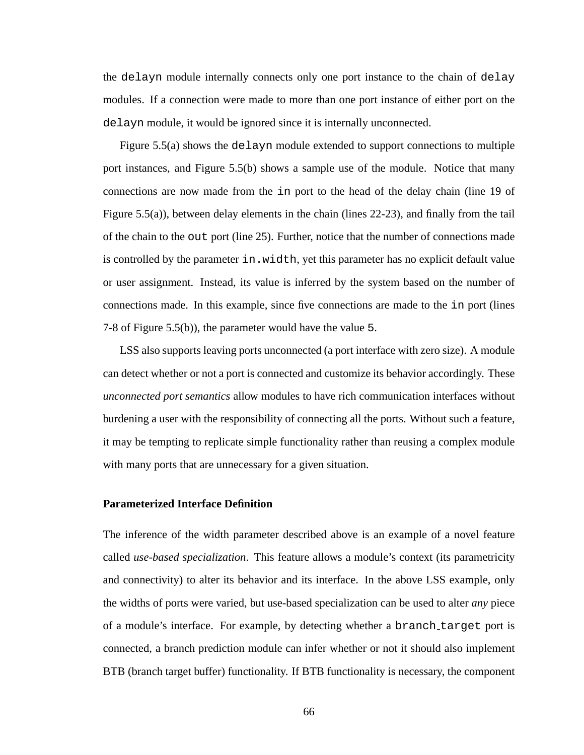the delayn module internally connects only one port instance to the chain of delay modules. If a connection were made to more than one port instance of either port on the delayn module, it would be ignored since it is internally unconnected.

Figure 5.5(a) shows the delayn module extended to support connections to multiple port instances, and Figure 5.5(b) shows a sample use of the module. Notice that many connections are now made from the in port to the head of the delay chain (line 19 of Figure 5.5(a)), between delay elements in the chain (lines 22-23), and finally from the tail of the chain to the out port (line 25). Further, notice that the number of connections made is controlled by the parameter in. width, yet this parameter has no explicit default value or user assignment. Instead, its value is inferred by the system based on the number of connections made. In this example, since five connections are made to the in port (lines 7-8 of Figure 5.5(b)), the parameter would have the value 5.

LSS also supports leaving ports unconnected (a port interface with zero size). A module can detect whether or not a port is connected and customize its behavior accordingly. These *unconnected port semantics* allow modules to have rich communication interfaces without burdening a user with the responsibility of connecting all the ports. Without such a feature, it may be tempting to replicate simple functionality rather than reusing a complex module with many ports that are unnecessary for a given situation.

#### **Parameterized Interface Definition**

The inference of the width parameter described above is an example of a novel feature called *use-based specialization*. This feature allows a module's context (its parametricity and connectivity) to alter its behavior and its interface. In the above LSS example, only the widths of ports were varied, but use-based specialization can be used to alter *any* piece of a module's interface. For example, by detecting whether a branch target port is connected, a branch prediction module can infer whether or not it should also implement BTB (branch target buffer) functionality. If BTB functionality is necessary, the component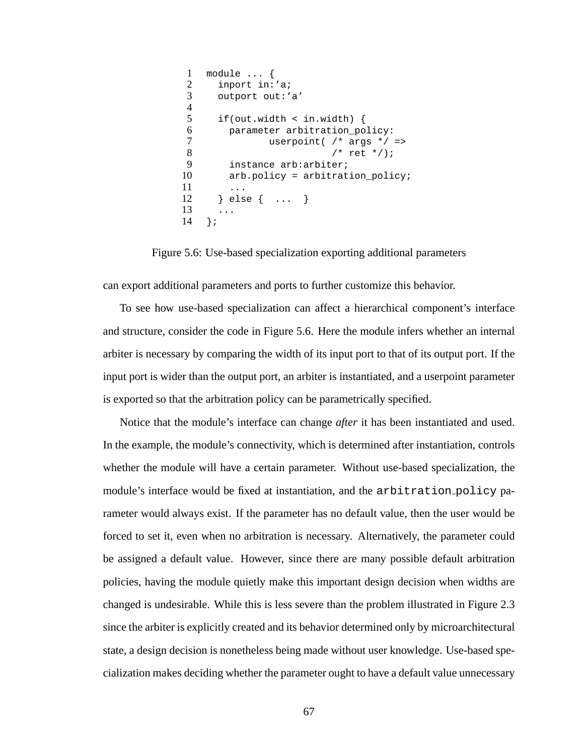```
1 module ... {
2 inport in:'a;<br>3 outport out:'
     outport out:'a'
4
5 if(out.width < in.width) {
6 parameter arbitration policy:
7 userpoint( /* args */ =>
8 /* ret */);
9 instance arb:arbiter;
10 arb.policy = arbitration_policy;
11 ...
12 } else { ... }
13 ...
14 \; \; \; \; \; \; \; \; ;
```
Figure 5.6: Use-based specialization exporting additional parameters

can export additional parameters and ports to further customize this behavior.

To see how use-based specialization can affect a hierarchical component's interface and structure, consider the code in Figure 5.6. Here the module infers whether an internal arbiter is necessary by comparing the width of its input port to that of its output port. If the input port is wider than the output port, an arbiter is instantiated, and a userpoint parameter is exported so that the arbitration policy can be parametrically specified.

Notice that the module's interface can change *after* it has been instantiated and used. In the example, the module's connectivity, which is determined after instantiation, controls whether the module will have a certain parameter. Without use-based specialization, the module's interface would be fixed at instantiation, and the arbitration policy parameter would always exist. If the parameter has no default value, then the user would be forced to set it, even when no arbitration is necessary. Alternatively, the parameter could be assigned a default value. However, since there are many possible default arbitration policies, having the module quietly make this important design decision when widths are changed is undesirable. While this is less severe than the problem illustrated in Figure 2.3 since the arbiter is explicitly created and its behavior determined only by microarchitectural state, a design decision is nonetheless being made without user knowledge. Use-based specialization makes deciding whether the parameter ought to have a default value unnecessary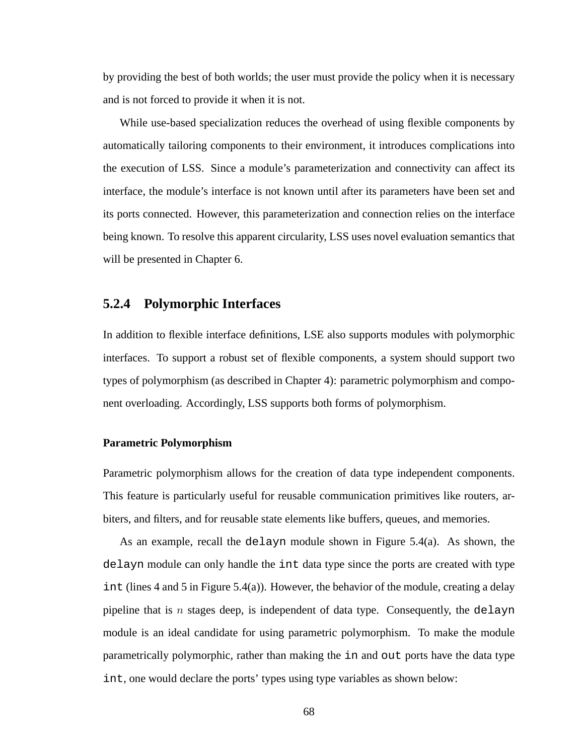by providing the best of both worlds; the user must provide the policy when it is necessary and is not forced to provide it when it is not.

While use-based specialization reduces the overhead of using flexible components by automatically tailoring components to their environment, it introduces complications into the execution of LSS. Since a module's parameterization and connectivity can affect its interface, the module's interface is not known until after its parameters have been set and its ports connected. However, this parameterization and connection relies on the interface being known. To resolve this apparent circularity, LSS uses novel evaluation semantics that will be presented in Chapter 6.

# **5.2.4 Polymorphic Interfaces**

In addition to flexible interface definitions, LSE also supports modules with polymorphic interfaces. To support a robust set of flexible components, a system should support two types of polymorphism (as described in Chapter 4): parametric polymorphism and component overloading. Accordingly, LSS supports both forms of polymorphism.

#### **Parametric Polymorphism**

Parametric polymorphism allows for the creation of data type independent components. This feature is particularly useful for reusable communication primitives like routers, arbiters, and filters, and for reusable state elements like buffers, queues, and memories.

As an example, recall the delayn module shown in Figure 5.4(a). As shown, the delayn module can only handle the int data type since the ports are created with type int (lines 4 and 5 in Figure 5.4(a)). However, the behavior of the module, creating a delay pipeline that is n stages deep, is independent of data type. Consequently, the delayn module is an ideal candidate for using parametric polymorphism. To make the module parametrically polymorphic, rather than making the in and out ports have the data type int, one would declare the ports' types using type variables as shown below: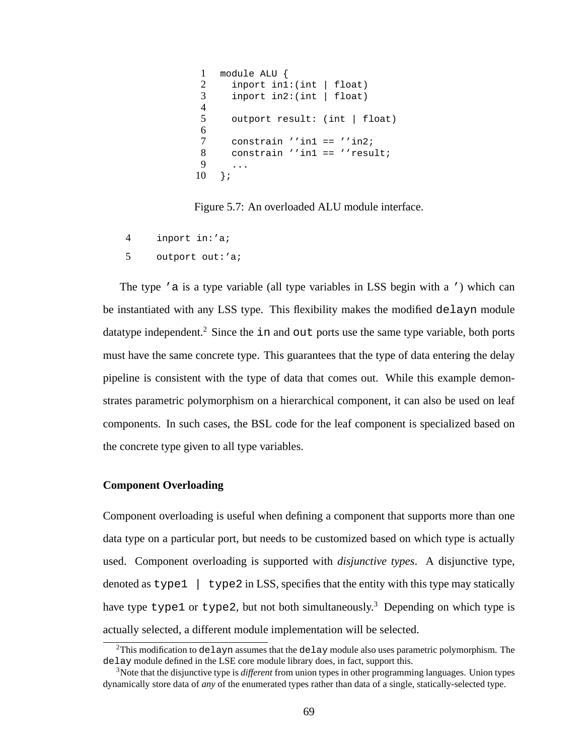```
1 module ALU {
2 inport in1:(int | float)<br>3 inport in2:(int | float)
       inport in2:(int | float)
\frac{4}{5}outport result: (int | float)
6
7 constrain ''in1 == ''in2;
8 constrain ''in1 == ''result;
\overline{9}10 \quad \}
```
Figure 5.7: An overloaded ALU module interface.

```
4 inport in:'a;
5 outport out:'a;
```
The type 'a is a type variable (all type variables in LSS begin with a ') which can be instantiated with any LSS type. This flexibility makes the modified delayn module datatype independent.<sup>2</sup> Since the in and out ports use the same type variable, both ports must have the same concrete type. This guarantees that the type of data entering the delay pipeline is consistent with the type of data that comes out. While this example demonstrates parametric polymorphism on a hierarchical component, it can also be used on leaf components. In such cases, the BSL code for the leaf component is specialized based on the concrete type given to all type variables.

#### **Component Overloading**

Component overloading is useful when defining a component that supports more than one data type on a particular port, but needs to be customized based on which type is actually used. Component overloading is supported with *disjunctive types*. A disjunctive type, denoted as type1  $\vert$  type2 in LSS, specifies that the entity with this type may statically have type type1 or type2, but not both simultaneously.<sup>3</sup> Depending on which type is actually selected, a different module implementation will be selected.

<sup>&</sup>lt;sup>2</sup>This modification to delayn assumes that the delay module also uses parametric polymorphism. The delay module defined in the LSE core module library does, in fact, support this.

<sup>3</sup>Note that the disjunctive type is *different* from union types in other programming languages. Union types dynamically store data of *any* of the enumerated types rather than data of a single, statically-selected type.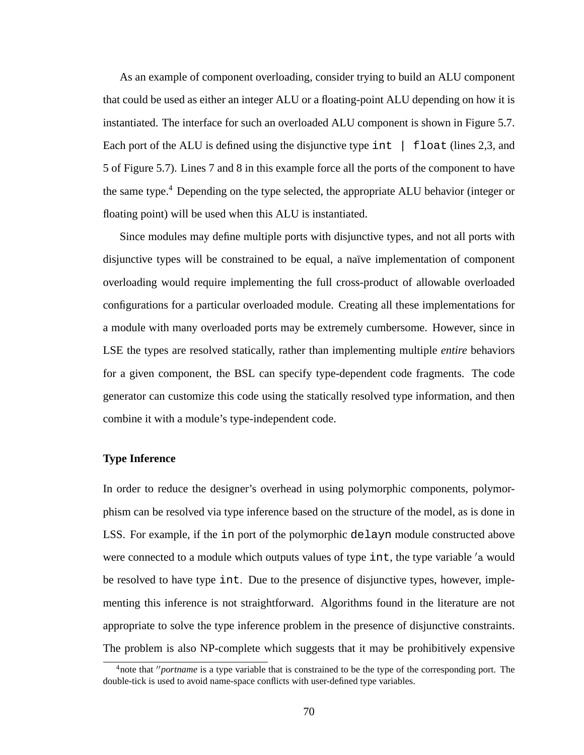As an example of component overloading, consider trying to build an ALU component that could be used as either an integer ALU or a floating-point ALU depending on how it is instantiated. The interface for such an overloaded ALU component is shown in Figure 5.7. Each port of the ALU is defined using the disjunctive type  $int \int$  float (lines 2,3, and 5 of Figure 5.7). Lines 7 and 8 in this example force all the ports of the component to have the same type.<sup>4</sup> Depending on the type selected, the appropriate ALU behavior (integer or floating point) will be used when this ALU is instantiated.

Since modules may define multiple ports with disjunctive types, and not all ports with disjunctive types will be constrained to be equal, a naïve implementation of component overloading would require implementing the full cross-product of allowable overloaded configurations for a particular overloaded module. Creating all these implementations for a module with many overloaded ports may be extremely cumbersome. However, since in LSE the types are resolved statically, rather than implementing multiple *entire* behaviors for a given component, the BSL can specify type-dependent code fragments. The code generator can customize this code using the statically resolved type information, and then combine it with a module's type-independent code.

#### **Type Inference**

In order to reduce the designer's overhead in using polymorphic components, polymorphism can be resolved via type inference based on the structure of the model, as is done in LSS. For example, if the in port of the polymorphic delayn module constructed above were connected to a module which outputs values of type int, the type variable 'a would be resolved to have type int. Due to the presence of disjunctive types, however, implementing this inference is not straightforward. Algorithms found in the literature are not appropriate to solve the type inference problem in the presence of disjunctive constraints. The problem is also NP-complete which suggests that it may be prohibitively expensive

<sup>&</sup>lt;sup>4</sup>note that "*portname* is a type variable that is constrained to be the type of the corresponding port. The double-tick is used to avoid name-space conflicts with user-defined type variables.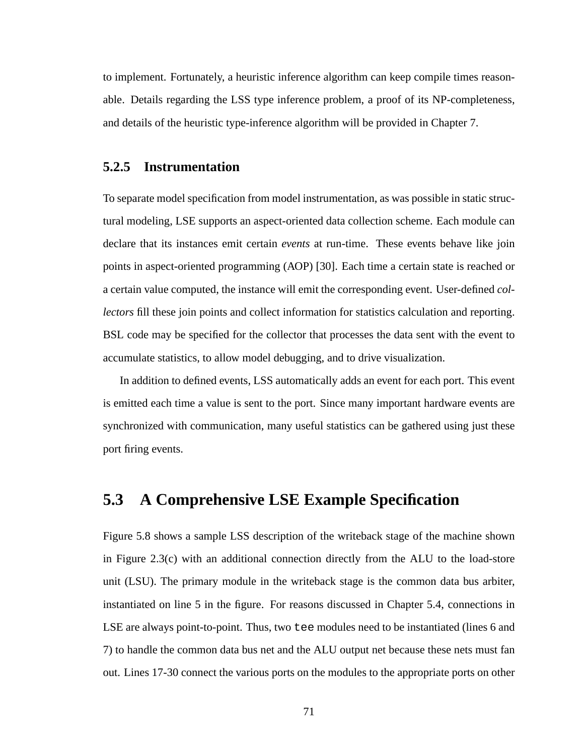to implement. Fortunately, a heuristic inference algorithm can keep compile times reasonable. Details regarding the LSS type inference problem, a proof of its NP-completeness, and details of the heuristic type-inference algorithm will be provided in Chapter 7.

# **5.2.5 Instrumentation**

To separate model specification from model instrumentation, as was possible in static structural modeling, LSE supports an aspect-oriented data collection scheme. Each module can declare that its instances emit certain *events* at run-time. These events behave like join points in aspect-oriented programming (AOP) [30]. Each time a certain state is reached or a certain value computed, the instance will emit the corresponding event. User-defined *collectors* fill these join points and collect information for statistics calculation and reporting. BSL code may be specified for the collector that processes the data sent with the event to accumulate statistics, to allow model debugging, and to drive visualization.

In addition to defined events, LSS automatically adds an event for each port. This event is emitted each time a value is sent to the port. Since many important hardware events are synchronized with communication, many useful statistics can be gathered using just these port firing events.

# **5.3 A Comprehensive LSE Example Specification**

Figure 5.8 shows a sample LSS description of the writeback stage of the machine shown in Figure 2.3(c) with an additional connection directly from the ALU to the load-store unit (LSU). The primary module in the writeback stage is the common data bus arbiter, instantiated on line 5 in the figure. For reasons discussed in Chapter 5.4, connections in LSE are always point-to-point. Thus, two tee modules need to be instantiated (lines 6 and 7) to handle the common data bus net and the ALU output net because these nets must fan out. Lines 17-30 connect the various ports on the modules to the appropriate ports on other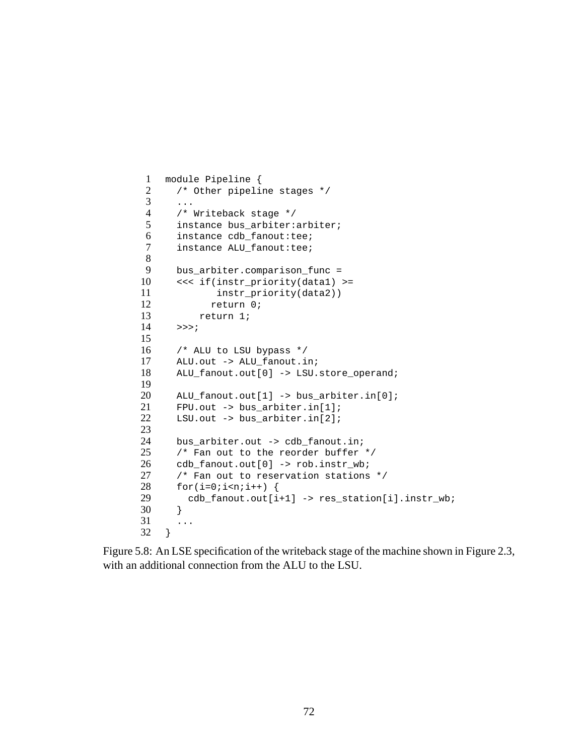```
1 module Pipeline {<br>2 /* Other pipeli
      /* Other pipeline stages */
3 ...
4 /* Writeback stage */
5 instance bus_arbiter:arbiter;
6 instance cdb_fanout:tee;<br>7 instance ALU fanout:tee;
      instance ALU_fanout:tee;
8
9 bus_arbiter.comparison_func =
10 <<< if(instr_priority(data1) >=
11 instr_priority(data2))
12 return 0;<br>13 return 1;
          return 1;
14 \rightarrow >> i15
16 /* ALU to LSU bypass */<br>17 ALU.out -> ALU fanout.ip
      ALU.out -> ALU_fanout.in;
18 ALU_fanout.out[0] -> LSU.store_operand;
19
20 ALU_fanout.out[1] -> bus_arbiter.in[0];
21 FPU.out -> bus_arbiter.in[1];
22 LSU.out -> bus_arbiter.in[2];
\frac{23}{24}bus_arbiter.out -> cdb_fanout.in;
25 /* Fan out to the reorder buffer */
26 cdb_fanout.out[0] -> rob.instr_wb;
27 /* Fan out to reservation stations */
28 for(i=0; i \le n; i++) {
29 cdb_fanout.out[i+1] -> res_station[i].instr_wb;
30 }
31 ...
32 }
```
Figure 5.8: An LSE specification of the writeback stage of the machine shown in Figure 2.3, with an additional connection from the ALU to the LSU.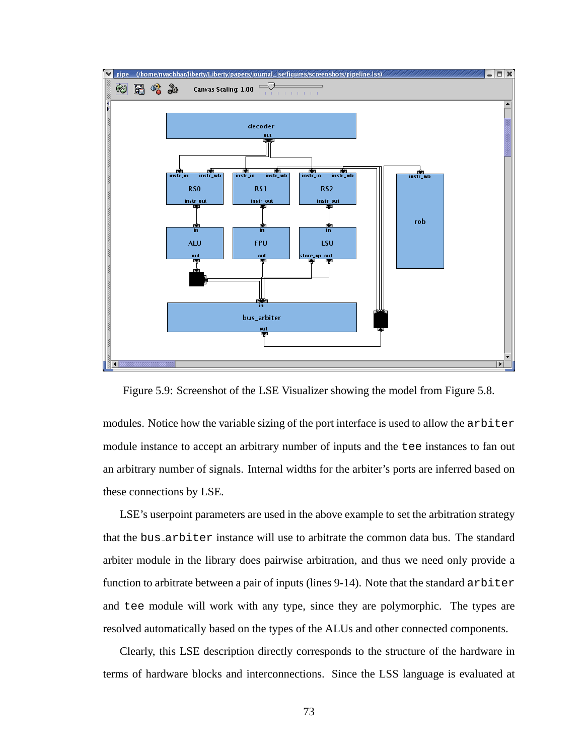

Figure 5.9: Screenshot of the LSE Visualizer showing the model from Figure 5.8.

modules. Notice how the variable sizing of the port interface is used to allow the arbiter module instance to accept an arbitrary number of inputs and the tee instances to fan out an arbitrary number of signals. Internal widths for the arbiter's ports are inferred based on these connections by LSE.

LSE's userpoint parameters are used in the above example to set the arbitration strategy that the bus arbiter instance will use to arbitrate the common data bus. The standard arbiter module in the library does pairwise arbitration, and thus we need only provide a function to arbitrate between a pair of inputs (lines 9-14). Note that the standard arbiter and tee module will work with any type, since they are polymorphic. The types are resolved automatically based on the types of the ALUs and other connected components.

Clearly, this LSE description directly corresponds to the structure of the hardware in terms of hardware blocks and interconnections. Since the LSS language is evaluated at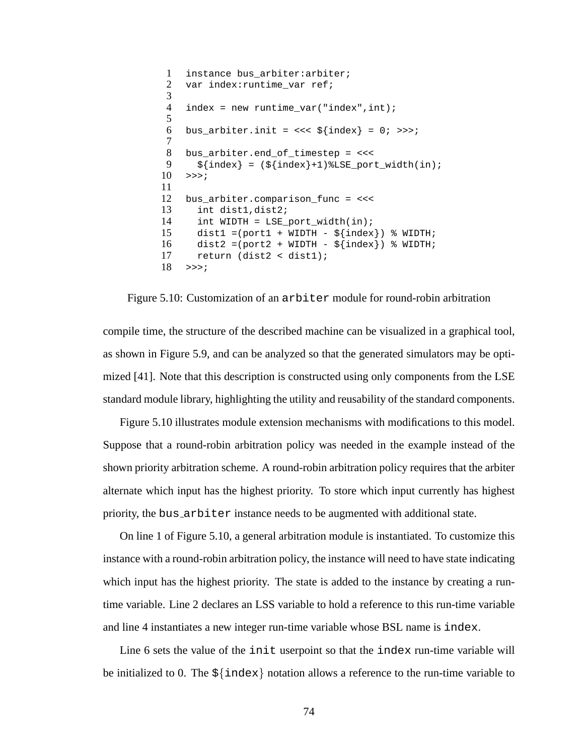```
1 instance bus_arbiter:arbiter;
 2 var index: runtime var ref;
 3
 4 index = new runtime var("index", int);5
6 bus arbiter.init = <<< ${index} = 0; >>>;
7
8 bus_arbiter.end_of_timestep = <<<
9 \frac{1}{2} \frac{1}{2} \frac{1}{2} \frac{1}{2} \frac{1}{2} \frac{1}{2} \frac{1}{2} \frac{1}{2} \frac{1}{2} \frac{1}{2} \frac{1}{2} \frac{1}{2} \frac{1}{2} \frac{1}{2} \frac{1}{2} \frac{1}{2} \frac{1}{2} \frac{1}{2} \frac{1}{2} \frac{1}{2} \frac{1}{2} \frac{1}{2}10 \rightarrow >> i11
12 bus arbiter.comparison func = <<<
13 int dist1,dist2;
14 int WIDTH = LSE port width(in);
15 dist1 =(port1 + WIDTH - \frac{1}{2}[index]) % WIDTH;
16 dist2 =(port2 + WIDTH - \frac{1}{2}[index]) % WIDTH;
17 return (dist2 < dist1);
18 \t>>\t;
```
Figure 5.10: Customization of an arbiter module for round-robin arbitration

compile time, the structure of the described machine can be visualized in a graphical tool, as shown in Figure 5.9, and can be analyzed so that the generated simulators may be optimized [41]. Note that this description is constructed using only components from the LSE standard module library, highlighting the utility and reusability of the standard components.

Figure 5.10 illustrates module extension mechanisms with modifications to this model. Suppose that a round-robin arbitration policy was needed in the example instead of the shown priority arbitration scheme. A round-robin arbitration policy requires that the arbiter alternate which input has the highest priority. To store which input currently has highest priority, the bus arbiter instance needs to be augmented with additional state.

On line 1 of Figure 5.10, a general arbitration module is instantiated. To customize this instance with a round-robin arbitration policy, the instance will need to have state indicating which input has the highest priority. The state is added to the instance by creating a runtime variable. Line 2 declares an LSS variable to hold a reference to this run-time variable and line 4 instantiates a new integer run-time variable whose BSL name is index.

Line 6 sets the value of the init userpoint so that the index run-time variable will be initialized to 0. The  $\frac{2}{\pi}$  index notation allows a reference to the run-time variable to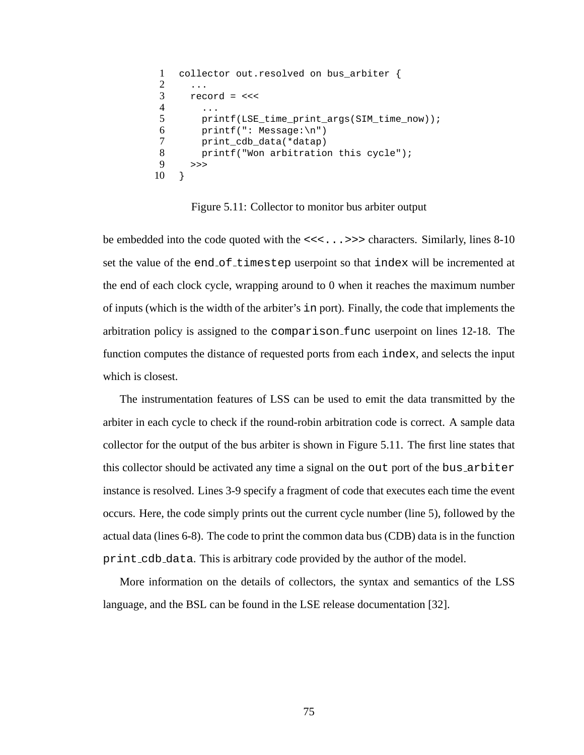```
1 collector out.resolved on bus_arbiter {
\begin{matrix} 2 & & \cdots \\ 3 & & \text{rec} \end{matrix}record = \lt\lt\lt4 ...
5 printf(LSE_time_print_args(SIM_time_now));
6 printf(": Message:\n\alpha")
7 print_cdb_data(*datap)
8 printf("Won arbitration this cycle");
9 \rightarrow >>10 }
```
Figure 5.11: Collector to monitor bus arbiter output

be embedded into the code quoted with the <<<...>>> characters. Similarly, lines 8-10 set the value of the end of timestep userpoint so that index will be incremented at the end of each clock cycle, wrapping around to 0 when it reaches the maximum number of inputs (which is the width of the arbiter's in port). Finally, the code that implements the arbitration policy is assigned to the comparison func userpoint on lines 12-18. The function computes the distance of requested ports from each index, and selects the input which is closest.

The instrumentation features of LSS can be used to emit the data transmitted by the arbiter in each cycle to check if the round-robin arbitration code is correct. A sample data collector for the output of the bus arbiter is shown in Figure 5.11. The first line states that this collector should be activated any time a signal on the out port of the bus arbiter instance is resolved. Lines 3-9 specify a fragment of code that executes each time the event occurs. Here, the code simply prints out the current cycle number (line 5), followed by the actual data (lines 6-8). The code to print the common data bus (CDB) data is in the function print cdb data. This is arbitrary code provided by the author of the model.

More information on the details of collectors, the syntax and semantics of the LSS language, and the BSL can be found in the LSE release documentation [32].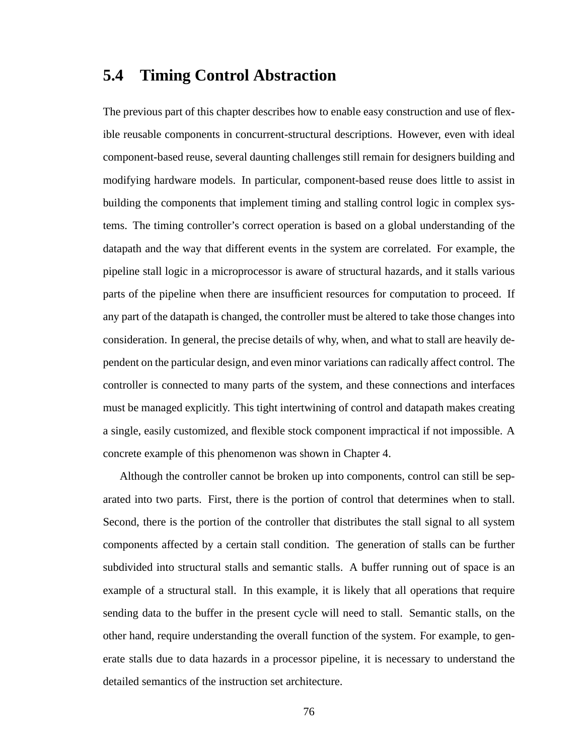# **5.4 Timing Control Abstraction**

The previous part of this chapter describes how to enable easy construction and use of flexible reusable components in concurrent-structural descriptions. However, even with ideal component-based reuse, several daunting challenges still remain for designers building and modifying hardware models. In particular, component-based reuse does little to assist in building the components that implement timing and stalling control logic in complex systems. The timing controller's correct operation is based on a global understanding of the datapath and the way that different events in the system are correlated. For example, the pipeline stall logic in a microprocessor is aware of structural hazards, and it stalls various parts of the pipeline when there are insufficient resources for computation to proceed. If any part of the datapath is changed, the controller must be altered to take those changes into consideration. In general, the precise details of why, when, and what to stall are heavily dependent on the particular design, and even minor variations can radically affect control. The controller is connected to many parts of the system, and these connections and interfaces must be managed explicitly. This tight intertwining of control and datapath makes creating a single, easily customized, and flexible stock component impractical if not impossible. A concrete example of this phenomenon was shown in Chapter 4.

Although the controller cannot be broken up into components, control can still be separated into two parts. First, there is the portion of control that determines when to stall. Second, there is the portion of the controller that distributes the stall signal to all system components affected by a certain stall condition. The generation of stalls can be further subdivided into structural stalls and semantic stalls. A buffer running out of space is an example of a structural stall. In this example, it is likely that all operations that require sending data to the buffer in the present cycle will need to stall. Semantic stalls, on the other hand, require understanding the overall function of the system. For example, to generate stalls due to data hazards in a processor pipeline, it is necessary to understand the detailed semantics of the instruction set architecture.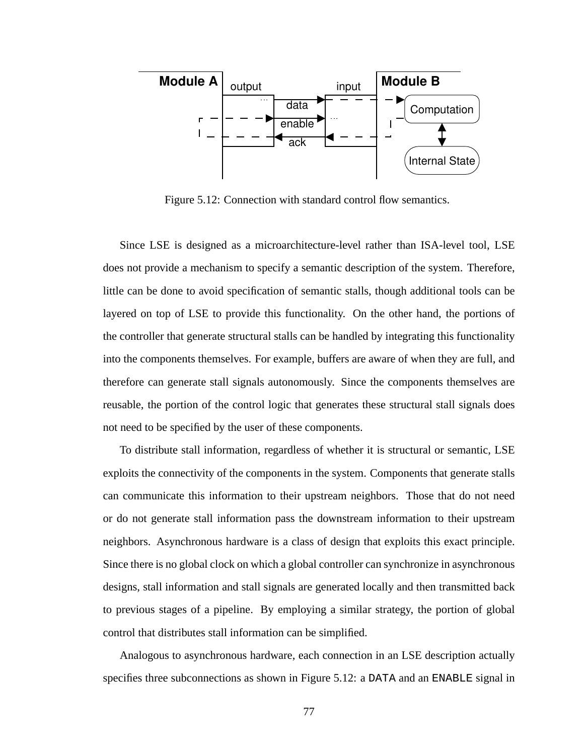

Figure 5.12: Connection with standard control flow semantics.

Since LSE is designed as a microarchitecture-level rather than ISA-level tool, LSE does not provide a mechanism to specify a semantic description of the system. Therefore, little can be done to avoid specification of semantic stalls, though additional tools can be layered on top of LSE to provide this functionality. On the other hand, the portions of the controller that generate structural stalls can be handled by integrating this functionality into the components themselves. For example, buffers are aware of when they are full, and therefore can generate stall signals autonomously. Since the components themselves are reusable, the portion of the control logic that generates these structural stall signals does not need to be specified by the user of these components.

To distribute stall information, regardless of whether it is structural or semantic, LSE exploits the connectivity of the components in the system. Components that generate stalls can communicate this information to their upstream neighbors. Those that do not need or do not generate stall information pass the downstream information to their upstream neighbors. Asynchronous hardware is a class of design that exploits this exact principle. Since there is no global clock on which a global controller can synchronize in asynchronous designs, stall information and stall signals are generated locally and then transmitted back to previous stages of a pipeline. By employing a similar strategy, the portion of global control that distributes stall information can be simplified.

Analogous to asynchronous hardware, each connection in an LSE description actually specifies three subconnections as shown in Figure 5.12: a DATA and an ENABLE signal in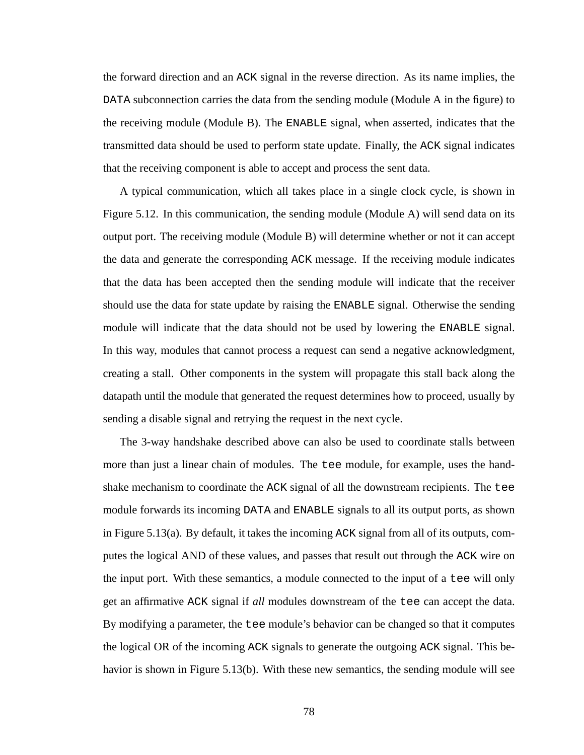the forward direction and an ACK signal in the reverse direction. As its name implies, the DATA subconnection carries the data from the sending module (Module A in the figure) to the receiving module (Module B). The ENABLE signal, when asserted, indicates that the transmitted data should be used to perform state update. Finally, the ACK signal indicates that the receiving component is able to accept and process the sent data.

A typical communication, which all takes place in a single clock cycle, is shown in Figure 5.12. In this communication, the sending module (Module A) will send data on its output port. The receiving module (Module B) will determine whether or not it can accept the data and generate the corresponding ACK message. If the receiving module indicates that the data has been accepted then the sending module will indicate that the receiver should use the data for state update by raising the ENABLE signal. Otherwise the sending module will indicate that the data should not be used by lowering the ENABLE signal. In this way, modules that cannot process a request can send a negative acknowledgment, creating a stall. Other components in the system will propagate this stall back along the datapath until the module that generated the request determines how to proceed, usually by sending a disable signal and retrying the request in the next cycle.

The 3-way handshake described above can also be used to coordinate stalls between more than just a linear chain of modules. The tee module, for example, uses the handshake mechanism to coordinate the ACK signal of all the downstream recipients. The tee module forwards its incoming DATA and ENABLE signals to all its output ports, as shown in Figure 5.13(a). By default, it takes the incoming ACK signal from all of its outputs, computes the logical AND of these values, and passes that result out through the ACK wire on the input port. With these semantics, a module connected to the input of a tee will only get an affirmative ACK signal if *all* modules downstream of the tee can accept the data. By modifying a parameter, the tee module's behavior can be changed so that it computes the logical OR of the incoming ACK signals to generate the outgoing ACK signal. This behavior is shown in Figure 5.13(b). With these new semantics, the sending module will see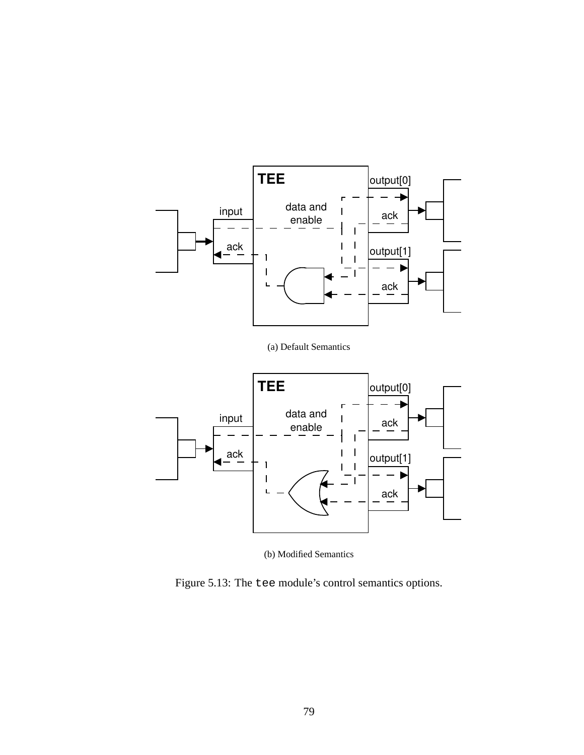

(a) Default Semantics



(b) Modified Semantics

Figure 5.13: The tee module's control semantics options.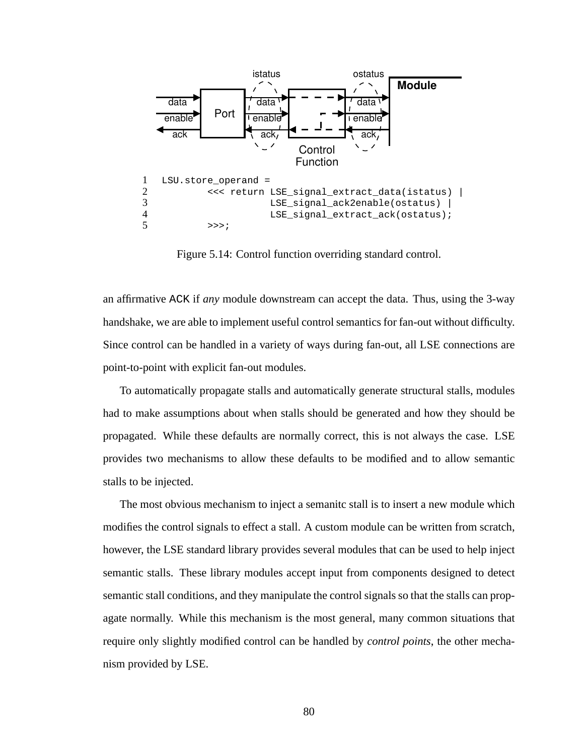

Figure 5.14: Control function overriding standard control.

an affirmative ACK if *any* module downstream can accept the data. Thus, using the 3-way handshake, we are able to implement useful control semantics for fan-out without difficulty. Since control can be handled in a variety of ways during fan-out, all LSE connections are point-to-point with explicit fan-out modules.

To automatically propagate stalls and automatically generate structural stalls, modules had to make assumptions about when stalls should be generated and how they should be propagated. While these defaults are normally correct, this is not always the case. LSE provides two mechanisms to allow these defaults to be modified and to allow semantic stalls to be injected.

The most obvious mechanism to inject a semanitc stall is to insert a new module which modifies the control signals to effect a stall. A custom module can be written from scratch, however, the LSE standard library provides several modules that can be used to help inject semantic stalls. These library modules accept input from components designed to detect semantic stall conditions, and they manipulate the control signals so that the stalls can propagate normally. While this mechanism is the most general, many common situations that require only slightly modified control can be handled by *control points*, the other mechanism provided by LSE.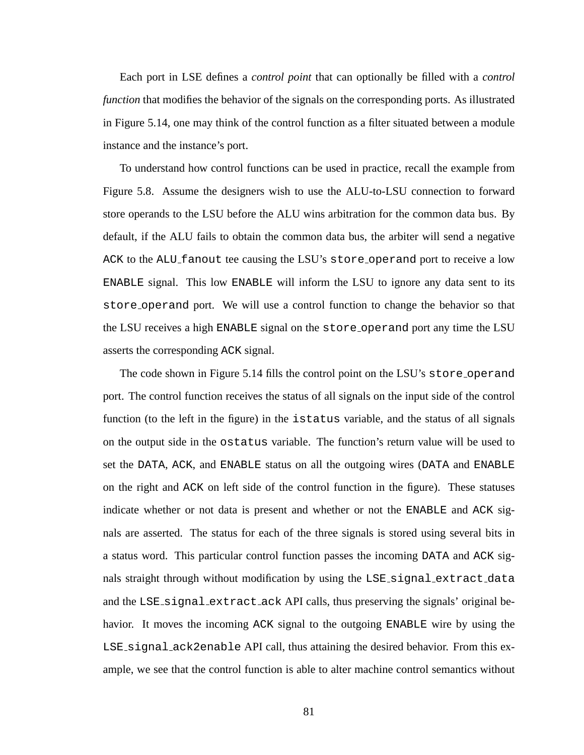Each port in LSE defines a *control point* that can optionally be filled with a *control function* that modifies the behavior of the signals on the corresponding ports. As illustrated in Figure 5.14, one may think of the control function as a filter situated between a module instance and the instance's port.

To understand how control functions can be used in practice, recall the example from Figure 5.8. Assume the designers wish to use the ALU-to-LSU connection to forward store operands to the LSU before the ALU wins arbitration for the common data bus. By default, if the ALU fails to obtain the common data bus, the arbiter will send a negative ACK to the ALU fanout tee causing the LSU's store operand port to receive a low ENABLE signal. This low ENABLE will inform the LSU to ignore any data sent to its store operand port. We will use a control function to change the behavior so that the LSU receives a high ENABLE signal on the store operand port any time the LSU asserts the corresponding ACK signal.

The code shown in Figure 5.14 fills the control point on the LSU's store operand port. The control function receives the status of all signals on the input side of the control function (to the left in the figure) in the istatus variable, and the status of all signals on the output side in the ostatus variable. The function's return value will be used to set the DATA, ACK, and ENABLE status on all the outgoing wires (DATA and ENABLE on the right and ACK on left side of the control function in the figure). These statuses indicate whether or not data is present and whether or not the ENABLE and ACK signals are asserted. The status for each of the three signals is stored using several bits in a status word. This particular control function passes the incoming DATA and ACK signals straight through without modification by using the LSE signal extract data and the LSE signal extract ack API calls, thus preserving the signals' original behavior. It moves the incoming ACK signal to the outgoing ENABLE wire by using the LSE signal ack2enable API call, thus attaining the desired behavior. From this example, we see that the control function is able to alter machine control semantics without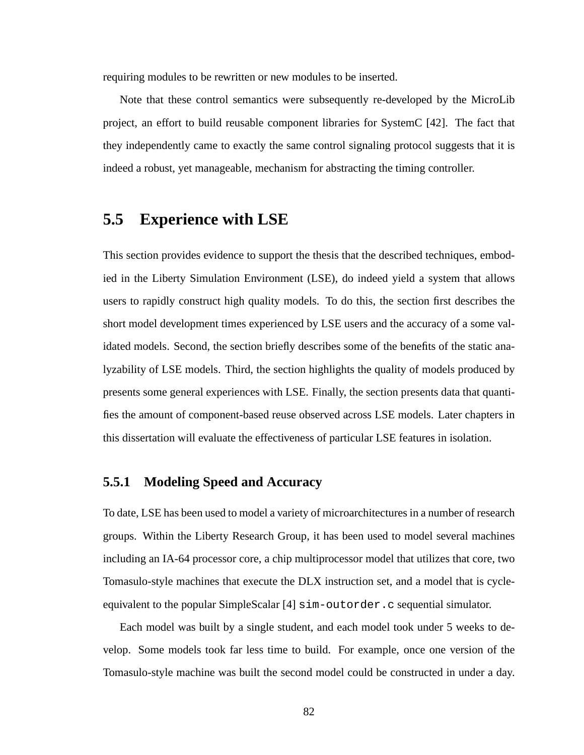requiring modules to be rewritten or new modules to be inserted.

Note that these control semantics were subsequently re-developed by the MicroLib project, an effort to build reusable component libraries for SystemC [42]. The fact that they independently came to exactly the same control signaling protocol suggests that it is indeed a robust, yet manageable, mechanism for abstracting the timing controller.

# **5.5 Experience with LSE**

This section provides evidence to support the thesis that the described techniques, embodied in the Liberty Simulation Environment (LSE), do indeed yield a system that allows users to rapidly construct high quality models. To do this, the section first describes the short model development times experienced by LSE users and the accuracy of a some validated models. Second, the section briefly describes some of the benefits of the static analyzability of LSE models. Third, the section highlights the quality of models produced by presents some general experiences with LSE. Finally, the section presents data that quantifies the amount of component-based reuse observed across LSE models. Later chapters in this dissertation will evaluate the effectiveness of particular LSE features in isolation.

# **5.5.1 Modeling Speed and Accuracy**

To date, LSE has been used to model a variety of microarchitectures in a number of research groups. Within the Liberty Research Group, it has been used to model several machines including an IA-64 processor core, a chip multiprocessor model that utilizes that core, two Tomasulo-style machines that execute the DLX instruction set, and a model that is cycleequivalent to the popular SimpleScalar [4] sim-outorder.c sequential simulator.

Each model was built by a single student, and each model took under 5 weeks to develop. Some models took far less time to build. For example, once one version of the Tomasulo-style machine was built the second model could be constructed in under a day.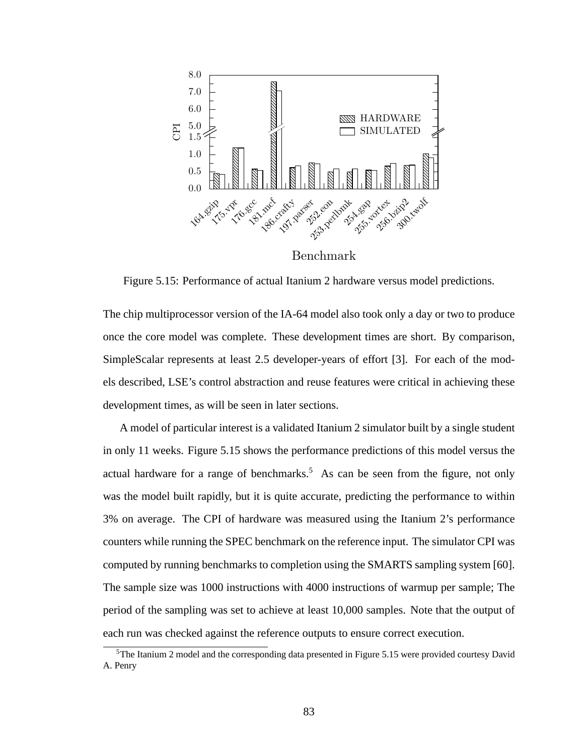

Figure 5.15: Performance of actual Itanium 2 hardware versus model predictions.

The chip multiprocessor version of the IA-64 model also took only a day or two to produce once the core model was complete. These development times are short. By comparison, SimpleScalar represents at least 2.5 developer-years of effort [3]. For each of the models described, LSE's control abstraction and reuse features were critical in achieving these development times, as will be seen in later sections.

A model of particular interest is a validated Itanium 2 simulator built by a single student in only 11 weeks. Figure 5.15 shows the performance predictions of this model versus the actual hardware for a range of benchmarks.<sup>5</sup> As can be seen from the figure, not only was the model built rapidly, but it is quite accurate, predicting the performance to within 3% on average. The CPI of hardware was measured using the Itanium 2's performance counters while running the SPEC benchmark on the reference input. The simulator CPI was computed by running benchmarks to completion using the SMARTS sampling system [60]. The sample size was 1000 instructions with 4000 instructions of warmup per sample; The period of the sampling was set to achieve at least 10,000 samples. Note that the output of each run was checked against the reference outputs to ensure correct execution.

<sup>5</sup>The Itanium 2 model and the corresponding data presented in Figure 5.15 were provided courtesy David A. Penry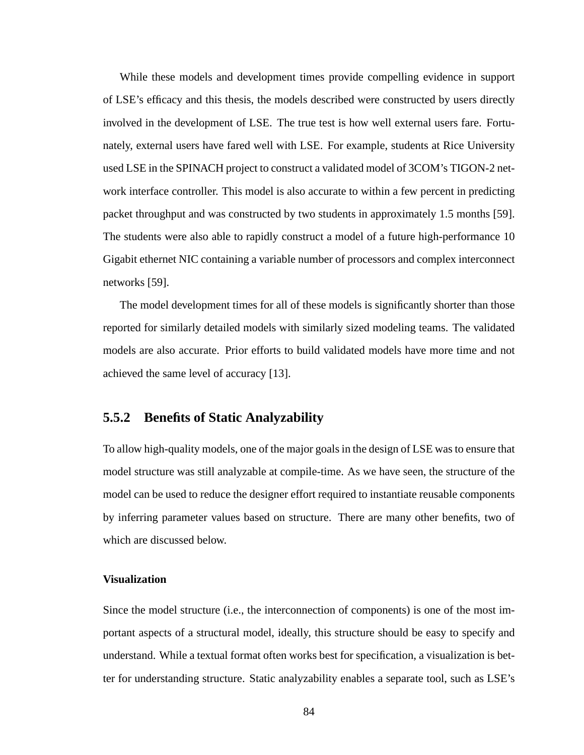While these models and development times provide compelling evidence in support of LSE's efficacy and this thesis, the models described were constructed by users directly involved in the development of LSE. The true test is how well external users fare. Fortunately, external users have fared well with LSE. For example, students at Rice University used LSE in the SPINACH project to construct a validated model of 3COM's TIGON-2 network interface controller. This model is also accurate to within a few percent in predicting packet throughput and was constructed by two students in approximately 1.5 months [59]. The students were also able to rapidly construct a model of a future high-performance 10 Gigabit ethernet NIC containing a variable number of processors and complex interconnect networks [59].

The model development times for all of these models is significantly shorter than those reported for similarly detailed models with similarly sized modeling teams. The validated models are also accurate. Prior efforts to build validated models have more time and not achieved the same level of accuracy [13].

# **5.5.2 Benefits of Static Analyzability**

To allow high-quality models, one of the major goals in the design of LSE was to ensure that model structure was still analyzable at compile-time. As we have seen, the structure of the model can be used to reduce the designer effort required to instantiate reusable components by inferring parameter values based on structure. There are many other benefits, two of which are discussed below.

### **Visualization**

Since the model structure (i.e., the interconnection of components) is one of the most important aspects of a structural model, ideally, this structure should be easy to specify and understand. While a textual format often works best for specification, a visualization is better for understanding structure. Static analyzability enables a separate tool, such as LSE's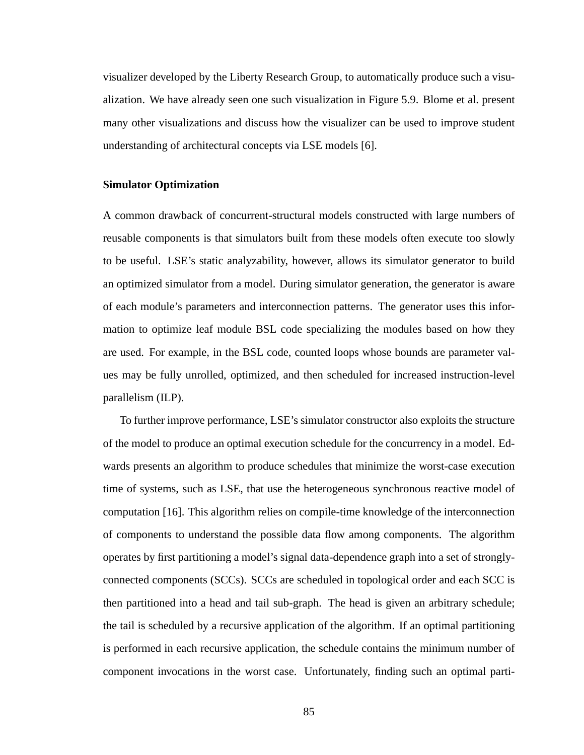visualizer developed by the Liberty Research Group, to automatically produce such a visualization. We have already seen one such visualization in Figure 5.9. Blome et al. present many other visualizations and discuss how the visualizer can be used to improve student understanding of architectural concepts via LSE models [6].

#### **Simulator Optimization**

A common drawback of concurrent-structural models constructed with large numbers of reusable components is that simulators built from these models often execute too slowly to be useful. LSE's static analyzability, however, allows its simulator generator to build an optimized simulator from a model. During simulator generation, the generator is aware of each module's parameters and interconnection patterns. The generator uses this information to optimize leaf module BSL code specializing the modules based on how they are used. For example, in the BSL code, counted loops whose bounds are parameter values may be fully unrolled, optimized, and then scheduled for increased instruction-level parallelism (ILP).

To further improve performance, LSE's simulator constructor also exploits the structure of the model to produce an optimal execution schedule for the concurrency in a model. Edwards presents an algorithm to produce schedules that minimize the worst-case execution time of systems, such as LSE, that use the heterogeneous synchronous reactive model of computation [16]. This algorithm relies on compile-time knowledge of the interconnection of components to understand the possible data flow among components. The algorithm operates by first partitioning a model's signal data-dependence graph into a set of stronglyconnected components (SCCs). SCCs are scheduled in topological order and each SCC is then partitioned into a head and tail sub-graph. The head is given an arbitrary schedule; the tail is scheduled by a recursive application of the algorithm. If an optimal partitioning is performed in each recursive application, the schedule contains the minimum number of component invocations in the worst case. Unfortunately, finding such an optimal parti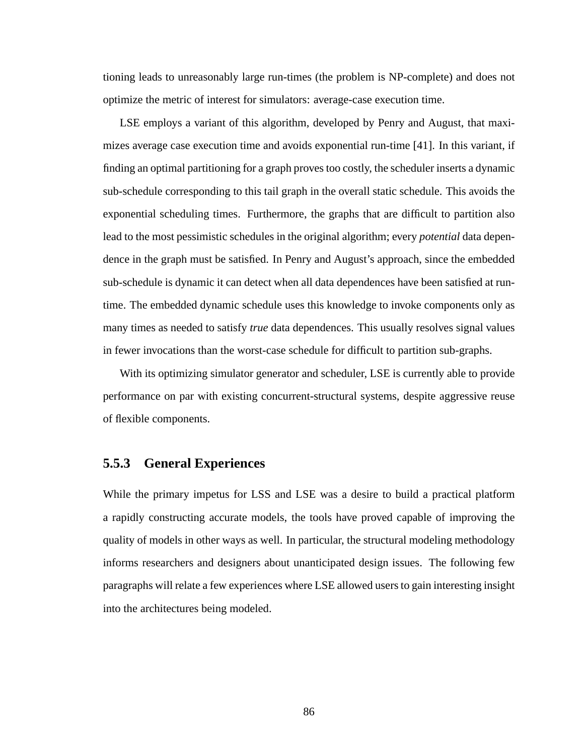tioning leads to unreasonably large run-times (the problem is NP-complete) and does not optimize the metric of interest for simulators: average-case execution time.

LSE employs a variant of this algorithm, developed by Penry and August, that maximizes average case execution time and avoids exponential run-time [41]. In this variant, if finding an optimal partitioning for a graph proves too costly, the scheduler inserts a dynamic sub-schedule corresponding to this tail graph in the overall static schedule. This avoids the exponential scheduling times. Furthermore, the graphs that are difficult to partition also lead to the most pessimistic schedules in the original algorithm; every *potential* data dependence in the graph must be satisfied. In Penry and August's approach, since the embedded sub-schedule is dynamic it can detect when all data dependences have been satisfied at runtime. The embedded dynamic schedule uses this knowledge to invoke components only as many times as needed to satisfy *true* data dependences. This usually resolves signal values in fewer invocations than the worst-case schedule for difficult to partition sub-graphs.

With its optimizing simulator generator and scheduler, LSE is currently able to provide performance on par with existing concurrent-structural systems, despite aggressive reuse of flexible components.

# **5.5.3 General Experiences**

While the primary impetus for LSS and LSE was a desire to build a practical platform a rapidly constructing accurate models, the tools have proved capable of improving the quality of models in other ways as well. In particular, the structural modeling methodology informs researchers and designers about unanticipated design issues. The following few paragraphs will relate a few experiences where LSE allowed users to gain interesting insight into the architectures being modeled.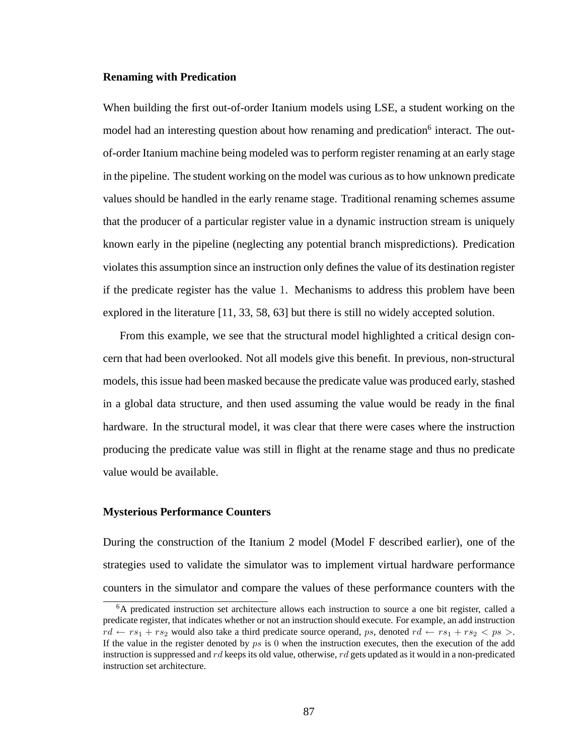#### **Renaming with Predication**

When building the first out-of-order Itanium models using LSE, a student working on the model had an interesting question about how renaming and predication<sup>6</sup> interact. The outof-order Itanium machine being modeled was to perform register renaming at an early stage in the pipeline. The student working on the model was curious as to how unknown predicate values should be handled in the early rename stage. Traditional renaming schemes assume that the producer of a particular register value in a dynamic instruction stream is uniquely known early in the pipeline (neglecting any potential branch mispredictions). Predication violates this assumption since an instruction only defines the value of its destination register if the predicate register has the value 1. Mechanisms to address this problem have been explored in the literature [11, 33, 58, 63] but there is still no widely accepted solution.

From this example, we see that the structural model highlighted a critical design concern that had been overlooked. Not all models give this benefit. In previous, non-structural models, this issue had been masked because the predicate value was produced early, stashed in a global data structure, and then used assuming the value would be ready in the final hardware. In the structural model, it was clear that there were cases where the instruction producing the predicate value was still in flight at the rename stage and thus no predicate value would be available.

#### **Mysterious Performance Counters**

During the construction of the Itanium 2 model (Model F described earlier), one of the strategies used to validate the simulator was to implement virtual hardware performance counters in the simulator and compare the values of these performance counters with the

<sup>6</sup>A predicated instruction set architecture allows each instruction to source a one bit register, called a predicate register, that indicates whether or not an instruction should execute. For example, an add instruction  $rd \leftarrow rs_1 + rs_2$  would also take a third predicate source operand, ps, denoted  $rd \leftarrow rs_1 + rs_2 < ps >$ . If the value in the register denoted by  $ps$  is 0 when the instruction executes, then the execution of the add instruction is suppressed and  $rd$  keeps its old value, otherwise,  $rd$  gets updated as it would in a non-predicated instruction set architecture.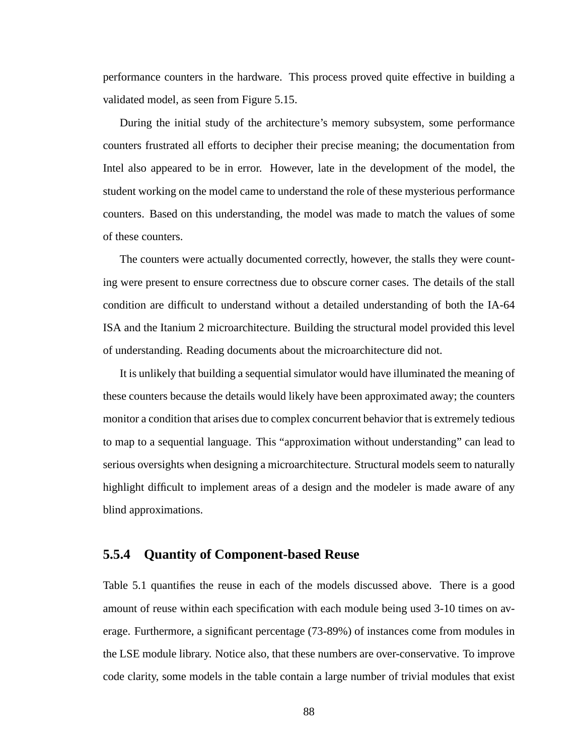performance counters in the hardware. This process proved quite effective in building a validated model, as seen from Figure 5.15.

During the initial study of the architecture's memory subsystem, some performance counters frustrated all efforts to decipher their precise meaning; the documentation from Intel also appeared to be in error. However, late in the development of the model, the student working on the model came to understand the role of these mysterious performance counters. Based on this understanding, the model was made to match the values of some of these counters.

The counters were actually documented correctly, however, the stalls they were counting were present to ensure correctness due to obscure corner cases. The details of the stall condition are difficult to understand without a detailed understanding of both the IA-64 ISA and the Itanium 2 microarchitecture. Building the structural model provided this level of understanding. Reading documents about the microarchitecture did not.

It is unlikely that building a sequential simulator would have illuminated the meaning of these counters because the details would likely have been approximated away; the counters monitor a condition that arises due to complex concurrent behavior that is extremely tedious to map to a sequential language. This "approximation without understanding" can lead to serious oversights when designing a microarchitecture. Structural models seem to naturally highlight difficult to implement areas of a design and the modeler is made aware of any blind approximations.

# **5.5.4 Quantity of Component-based Reuse**

Table 5.1 quantifies the reuse in each of the models discussed above. There is a good amount of reuse within each specification with each module being used 3-10 times on average. Furthermore, a significant percentage (73-89%) of instances come from modules in the LSE module library. Notice also, that these numbers are over-conservative. To improve code clarity, some models in the table contain a large number of trivial modules that exist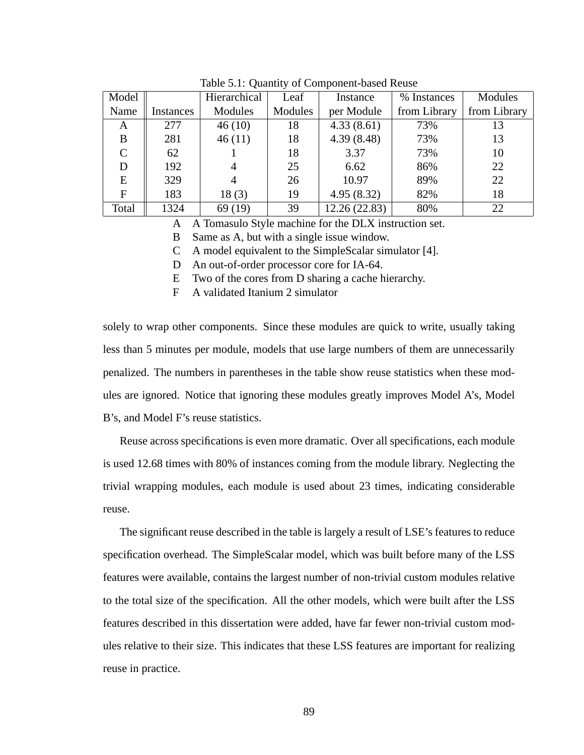| Model        |           | Hierarchical   | Leaf    | Instance      | % Instances  | Modules      |
|--------------|-----------|----------------|---------|---------------|--------------|--------------|
| Name         | Instances | Modules        | Modules | per Module    | from Library | from Library |
| A            | 277       | 46(10)         | 18      | 4.33(8.61)    | 73%          | 13           |
| B            | 281       | 46(11)         | 18      | 4.39(8.48)    | 73%          | 13           |
| C            | 62        |                | 18      | 3.37          | 73%          | 10           |
| D            | 192       | $\overline{A}$ | 25      | 6.62          | 86%          | 22           |
| E            | 329       | $\overline{A}$ | 26      | 10.97         | 89%          | 22           |
| $\mathbf{F}$ | 183       | 18(3)          | 19      | 4.95(8.32)    | 82%          | 18           |
| Total        | 1324      | 69 (19)        | 39      | 12.26 (22.83) | 80%          | 22           |

Table 5.1: Quantity of Component-based Reuse

A A Tomasulo Style machine for the DLX instruction set.

B Same as A, but with a single issue window.

C A model equivalent to the SimpleScalar simulator [4].

D An out-of-order processor core for IA-64.

E Two of the cores from D sharing a cache hierarchy.

F A validated Itanium 2 simulator

solely to wrap other components. Since these modules are quick to write, usually taking less than 5 minutes per module, models that use large numbers of them are unnecessarily penalized. The numbers in parentheses in the table show reuse statistics when these modules are ignored. Notice that ignoring these modules greatly improves Model A's, Model B's, and Model F's reuse statistics.

Reuse across specifications is even more dramatic. Over all specifications, each module is used 12.68 times with 80% of instances coming from the module library. Neglecting the trivial wrapping modules, each module is used about 23 times, indicating considerable reuse.

The significant reuse described in the table is largely a result of LSE's features to reduce specification overhead. The SimpleScalar model, which was built before many of the LSS features were available, contains the largest number of non-trivial custom modules relative to the total size of the specification. All the other models, which were built after the LSS features described in this dissertation were added, have far fewer non-trivial custom modules relative to their size. This indicates that these LSS features are important for realizing reuse in practice.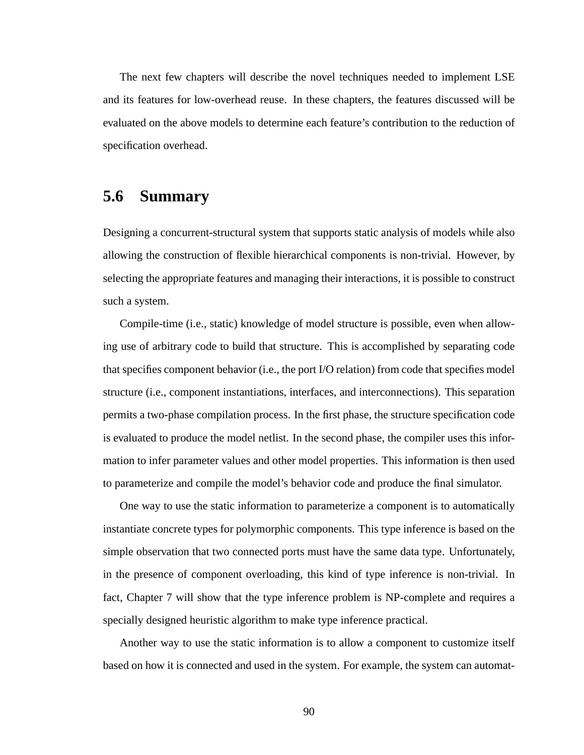The next few chapters will describe the novel techniques needed to implement LSE and its features for low-overhead reuse. In these chapters, the features discussed will be evaluated on the above models to determine each feature's contribution to the reduction of specification overhead.

# **5.6 Summary**

Designing a concurrent-structural system that supports static analysis of models while also allowing the construction of flexible hierarchical components is non-trivial. However, by selecting the appropriate features and managing their interactions, it is possible to construct such a system.

Compile-time (i.e., static) knowledge of model structure is possible, even when allowing use of arbitrary code to build that structure. This is accomplished by separating code that specifies component behavior (i.e., the port I/O relation) from code that specifies model structure (i.e., component instantiations, interfaces, and interconnections). This separation permits a two-phase compilation process. In the first phase, the structure specification code is evaluated to produce the model netlist. In the second phase, the compiler uses this information to infer parameter values and other model properties. This information is then used to parameterize and compile the model's behavior code and produce the final simulator.

One way to use the static information to parameterize a component is to automatically instantiate concrete types for polymorphic components. This type inference is based on the simple observation that two connected ports must have the same data type. Unfortunately, in the presence of component overloading, this kind of type inference is non-trivial. In fact, Chapter 7 will show that the type inference problem is NP-complete and requires a specially designed heuristic algorithm to make type inference practical.

Another way to use the static information is to allow a component to customize itself based on how it is connected and used in the system. For example, the system can automat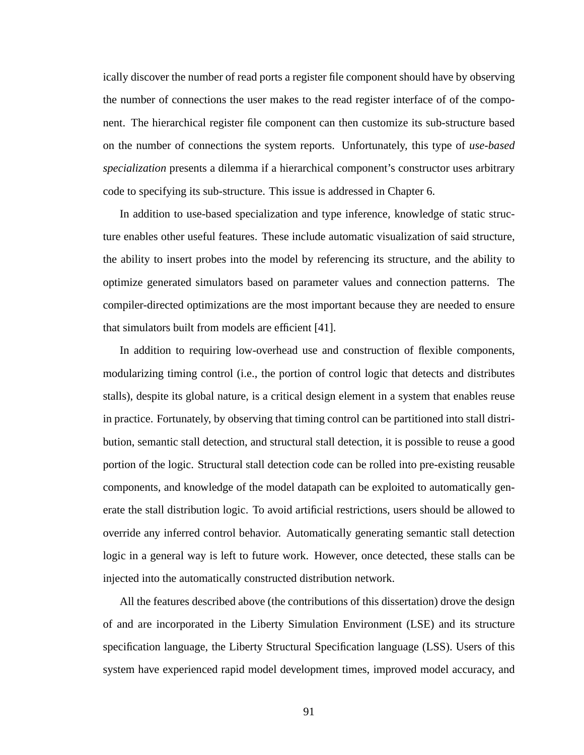ically discover the number of read ports a register file component should have by observing the number of connections the user makes to the read register interface of of the component. The hierarchical register file component can then customize its sub-structure based on the number of connections the system reports. Unfortunately, this type of *use-based specialization* presents a dilemma if a hierarchical component's constructor uses arbitrary code to specifying its sub-structure. This issue is addressed in Chapter 6.

In addition to use-based specialization and type inference, knowledge of static structure enables other useful features. These include automatic visualization of said structure, the ability to insert probes into the model by referencing its structure, and the ability to optimize generated simulators based on parameter values and connection patterns. The compiler-directed optimizations are the most important because they are needed to ensure that simulators built from models are efficient [41].

In addition to requiring low-overhead use and construction of flexible components, modularizing timing control (i.e., the portion of control logic that detects and distributes stalls), despite its global nature, is a critical design element in a system that enables reuse in practice. Fortunately, by observing that timing control can be partitioned into stall distribution, semantic stall detection, and structural stall detection, it is possible to reuse a good portion of the logic. Structural stall detection code can be rolled into pre-existing reusable components, and knowledge of the model datapath can be exploited to automatically generate the stall distribution logic. To avoid artificial restrictions, users should be allowed to override any inferred control behavior. Automatically generating semantic stall detection logic in a general way is left to future work. However, once detected, these stalls can be injected into the automatically constructed distribution network.

All the features described above (the contributions of this dissertation) drove the design of and are incorporated in the Liberty Simulation Environment (LSE) and its structure specification language, the Liberty Structural Specification language (LSS). Users of this system have experienced rapid model development times, improved model accuracy, and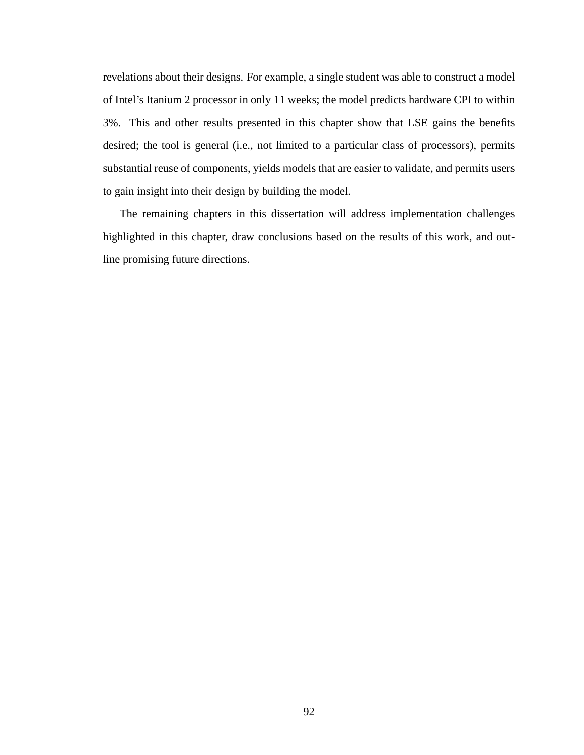revelations about their designs. For example, a single student was able to construct a model of Intel's Itanium 2 processor in only 11 weeks; the model predicts hardware CPI to within 3%. This and other results presented in this chapter show that LSE gains the benefits desired; the tool is general (i.e., not limited to a particular class of processors), permits substantial reuse of components, yields models that are easier to validate, and permits users to gain insight into their design by building the model.

The remaining chapters in this dissertation will address implementation challenges highlighted in this chapter, draw conclusions based on the results of this work, and outline promising future directions.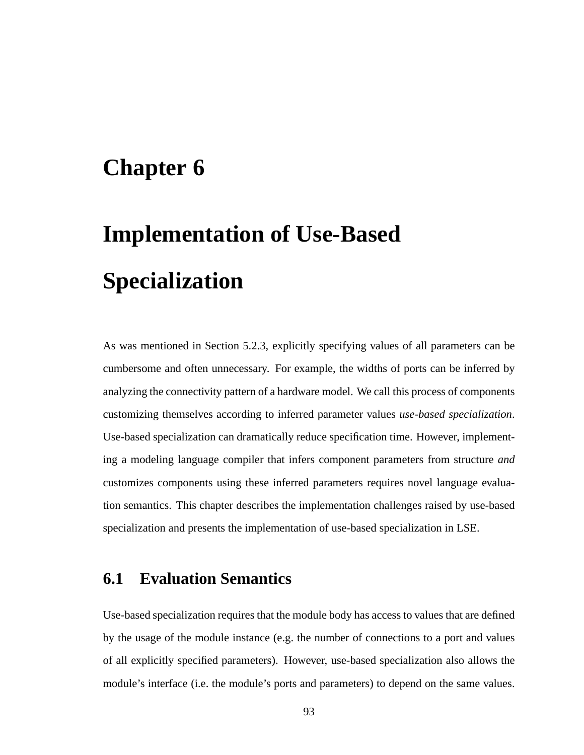# **Chapter 6**

# **Implementation of Use-Based Specialization**

As was mentioned in Section 5.2.3, explicitly specifying values of all parameters can be cumbersome and often unnecessary. For example, the widths of ports can be inferred by analyzing the connectivity pattern of a hardware model. We call this process of components customizing themselves according to inferred parameter values *use-based specialization*. Use-based specialization can dramatically reduce specification time. However, implementing a modeling language compiler that infers component parameters from structure *and* customizes components using these inferred parameters requires novel language evaluation semantics. This chapter describes the implementation challenges raised by use-based specialization and presents the implementation of use-based specialization in LSE.

# **6.1 Evaluation Semantics**

Use-based specialization requires that the module body has access to values that are defined by the usage of the module instance (e.g. the number of connections to a port and values of all explicitly specified parameters). However, use-based specialization also allows the module's interface (i.e. the module's ports and parameters) to depend on the same values.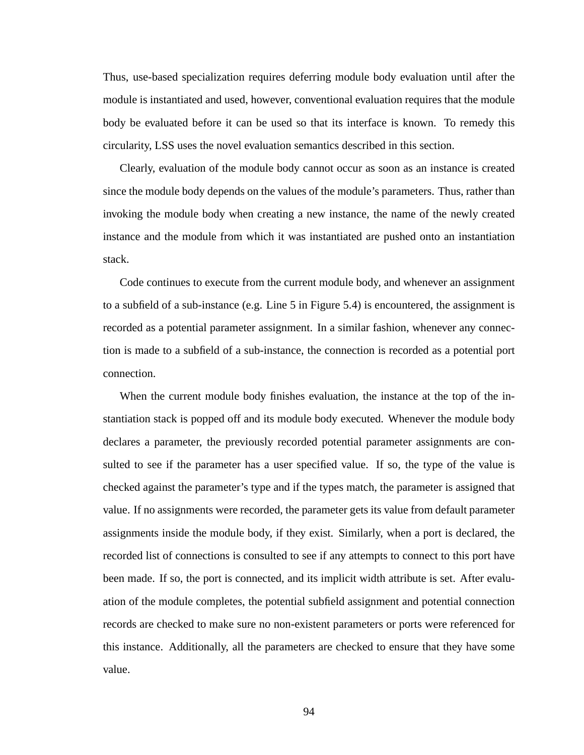Thus, use-based specialization requires deferring module body evaluation until after the module is instantiated and used, however, conventional evaluation requires that the module body be evaluated before it can be used so that its interface is known. To remedy this circularity, LSS uses the novel evaluation semantics described in this section.

Clearly, evaluation of the module body cannot occur as soon as an instance is created since the module body depends on the values of the module's parameters. Thus, rather than invoking the module body when creating a new instance, the name of the newly created instance and the module from which it was instantiated are pushed onto an instantiation stack.

Code continues to execute from the current module body, and whenever an assignment to a subfield of a sub-instance (e.g. Line 5 in Figure 5.4) is encountered, the assignment is recorded as a potential parameter assignment. In a similar fashion, whenever any connection is made to a subfield of a sub-instance, the connection is recorded as a potential port connection.

When the current module body finishes evaluation, the instance at the top of the instantiation stack is popped off and its module body executed. Whenever the module body declares a parameter, the previously recorded potential parameter assignments are consulted to see if the parameter has a user specified value. If so, the type of the value is checked against the parameter's type and if the types match, the parameter is assigned that value. If no assignments were recorded, the parameter gets its value from default parameter assignments inside the module body, if they exist. Similarly, when a port is declared, the recorded list of connections is consulted to see if any attempts to connect to this port have been made. If so, the port is connected, and its implicit width attribute is set. After evaluation of the module completes, the potential subfield assignment and potential connection records are checked to make sure no non-existent parameters or ports were referenced for this instance. Additionally, all the parameters are checked to ensure that they have some value.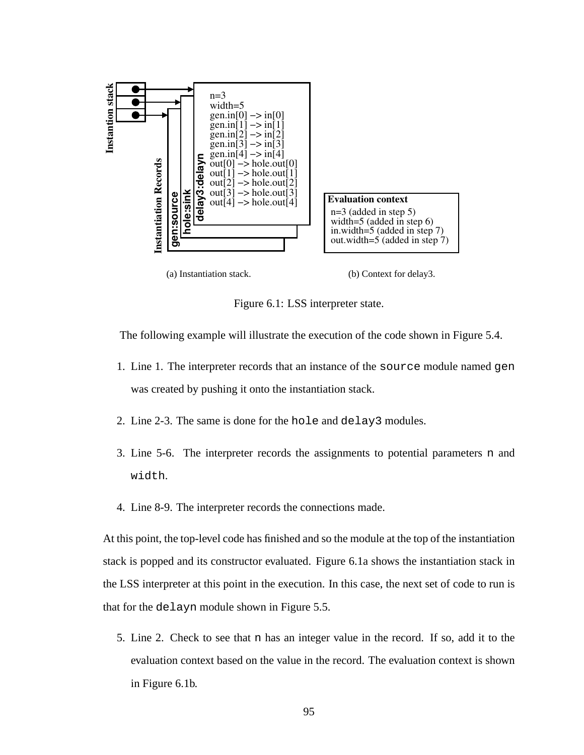

(a) Instantiation stack.

(b) Context for delay3.

Figure 6.1: LSS interpreter state.

The following example will illustrate the execution of the code shown in Figure 5.4.

- 1. Line 1. The interpreter records that an instance of the source module named gen was created by pushing it onto the instantiation stack.
- 2. Line 2-3. The same is done for the hole and delay3 modules.
- 3. Line 5-6. The interpreter records the assignments to potential parameters n and width.
- 4. Line 8-9. The interpreter records the connections made.

At this point, the top-level code has finished and so the module at the top of the instantiation stack is popped and its constructor evaluated. Figure 6.1a shows the instantiation stack in the LSS interpreter at this point in the execution. In this case, the next set of code to run is that for the delayn module shown in Figure 5.5.

5. Line 2. Check to see that n has an integer value in the record. If so, add it to the evaluation context based on the value in the record. The evaluation context is shown in Figure 6.1b.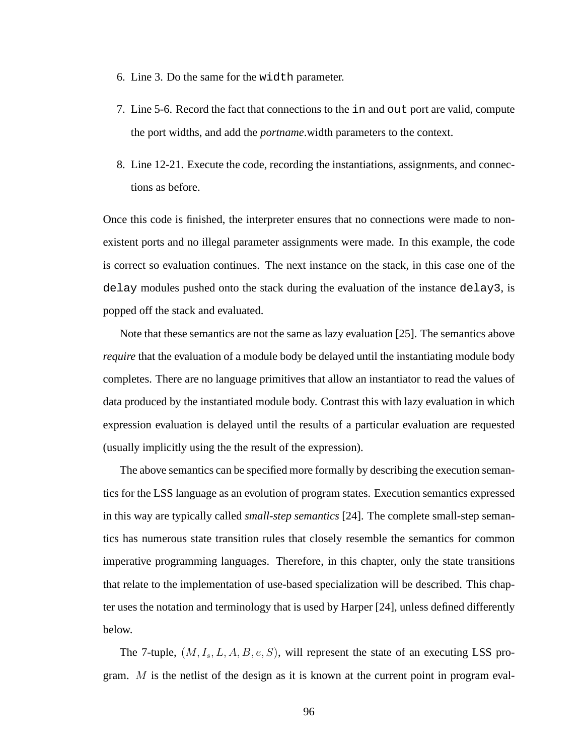- 6. Line 3. Do the same for the width parameter.
- 7. Line 5-6. Record the fact that connections to the in and out port are valid, compute the port widths, and add the *portname*.width parameters to the context.
- 8. Line 12-21. Execute the code, recording the instantiations, assignments, and connections as before.

Once this code is finished, the interpreter ensures that no connections were made to nonexistent ports and no illegal parameter assignments were made. In this example, the code is correct so evaluation continues. The next instance on the stack, in this case one of the delay modules pushed onto the stack during the evaluation of the instance delay3, is popped off the stack and evaluated.

Note that these semantics are not the same as lazy evaluation [25]. The semantics above *require* that the evaluation of a module body be delayed until the instantiating module body completes. There are no language primitives that allow an instantiator to read the values of data produced by the instantiated module body. Contrast this with lazy evaluation in which expression evaluation is delayed until the results of a particular evaluation are requested (usually implicitly using the the result of the expression).

The above semantics can be specified more formally by describing the execution semantics for the LSS language as an evolution of program states. Execution semantics expressed in this way are typically called *small-step semantics* [24]. The complete small-step semantics has numerous state transition rules that closely resemble the semantics for common imperative programming languages. Therefore, in this chapter, only the state transitions that relate to the implementation of use-based specialization will be described. This chapter uses the notation and terminology that is used by Harper [24], unless defined differently below.

The 7-tuple,  $(M, I_s, L, A, B, e, S)$ , will represent the state of an executing LSS program. M is the netlist of the design as it is known at the current point in program eval-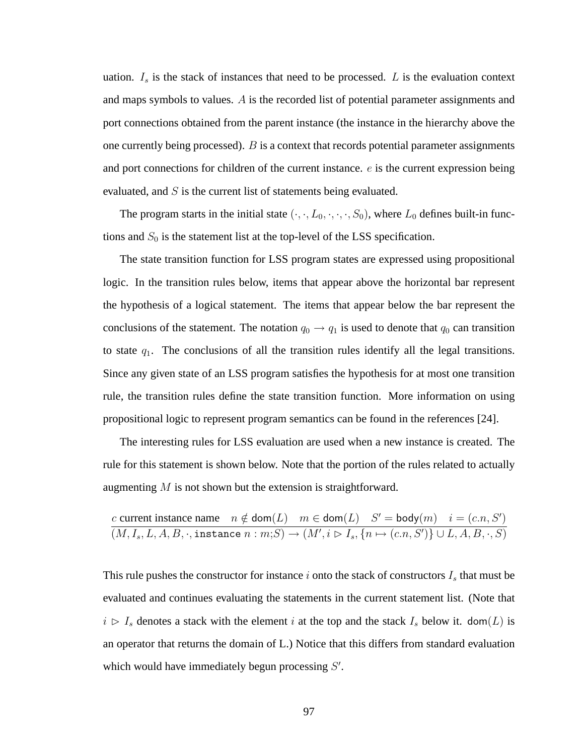uation.  $I_s$  is the stack of instances that need to be processed. L is the evaluation context and maps symbols to values. A is the recorded list of potential parameter assignments and port connections obtained from the parent instance (the instance in the hierarchy above the one currently being processed).  $B$  is a context that records potential parameter assignments and port connections for children of the current instance.  $e$  is the current expression being evaluated, and S is the current list of statements being evaluated.

The program starts in the initial state  $(\cdot, \cdot, L_0, \cdot, \cdot, \cdot, S_0)$ , where  $L_0$  defines built-in functions and  $S_0$  is the statement list at the top-level of the LSS specification.

The state transition function for LSS program states are expressed using propositional logic. In the transition rules below, items that appear above the horizontal bar represent the hypothesis of a logical statement. The items that appear below the bar represent the conclusions of the statement. The notation  $q_0 \rightarrow q_1$  is used to denote that  $q_0$  can transition to state  $q_1$ . The conclusions of all the transition rules identify all the legal transitions. Since any given state of an LSS program satisfies the hypothesis for at most one transition rule, the transition rules define the state transition function. More information on using propositional logic to represent program semantics can be found in the references [24].

The interesting rules for LSS evaluation are used when a new instance is created. The rule for this statement is shown below. Note that the portion of the rules related to actually augmenting  $M$  is not shown but the extension is straightforward.

$$
\frac{c \text{ current instance name} \quad n \notin \text{dom}(L) \quad m \in \text{dom}(L) \quad S' = \text{body}(m) \quad i = (c.n, S')}{(M, I_s, L, A, B, \cdot, \text{instance } n : m; S) \rightarrow (M', i \rhd I_s, \{n \mapsto (c.n, S')\} \cup L, A, B, \cdot, S)}
$$

This rule pushes the constructor for instance  $i$  onto the stack of constructors  $I_s$  that must be evaluated and continues evaluating the statements in the current statement list. (Note that  $i > I_s$  denotes a stack with the element i at the top and the stack  $I_s$  below it. dom(L) is an operator that returns the domain of L.) Notice that this differs from standard evaluation which would have immediately begun processing  $S'$ .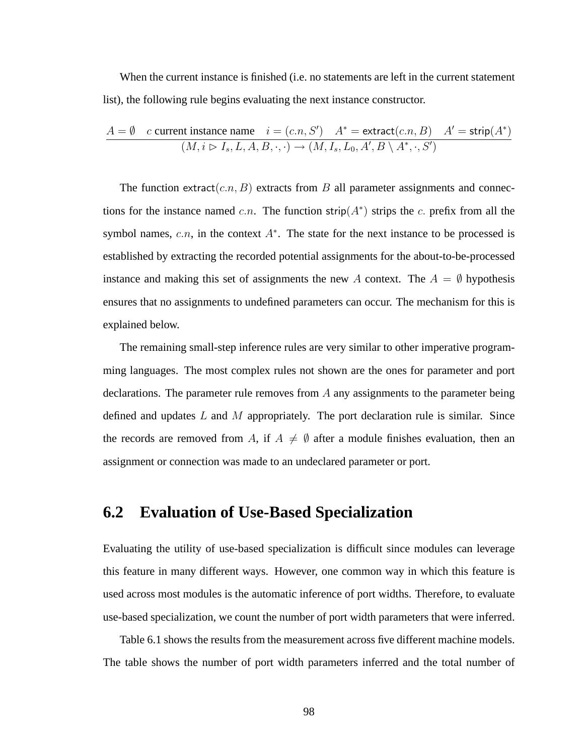When the current instance is finished (i.e. no statements are left in the current statement list), the following rule begins evaluating the next instance constructor.

$$
\frac{A = \emptyset \quad c \text{ current instance name} \quad i = (c.n, S') \quad A^* = \text{extract}(c.n, B) \quad A' = \text{strip}(A^*)}{(M, i \rhd I_s, L, A, B, \cdot, \cdot) \rightarrow (M, I_s, L_0, A', B \setminus A^*, \cdot, S')}
$$

The function extract(c.n, B) extracts from B all parameter assignments and connections for the instance named c.n. The function strip( $A^*$ ) strips the c. prefix from all the symbol names,  $c.n$ , in the context  $A^*$ . The state for the next instance to be processed is established by extracting the recorded potential assignments for the about-to-be-processed instance and making this set of assignments the new A context. The  $A = \emptyset$  hypothesis ensures that no assignments to undefined parameters can occur. The mechanism for this is explained below.

The remaining small-step inference rules are very similar to other imperative programming languages. The most complex rules not shown are the ones for parameter and port declarations. The parameter rule removes from  $A$  any assignments to the parameter being defined and updates  $L$  and  $M$  appropriately. The port declaration rule is similar. Since the records are removed from A, if  $A \neq \emptyset$  after a module finishes evaluation, then an assignment or connection was made to an undeclared parameter or port.

# **6.2 Evaluation of Use-Based Specialization**

Evaluating the utility of use-based specialization is difficult since modules can leverage this feature in many different ways. However, one common way in which this feature is used across most modules is the automatic inference of port widths. Therefore, to evaluate use-based specialization, we count the number of port width parameters that were inferred.

Table 6.1 shows the results from the measurement across five different machine models. The table shows the number of port width parameters inferred and the total number of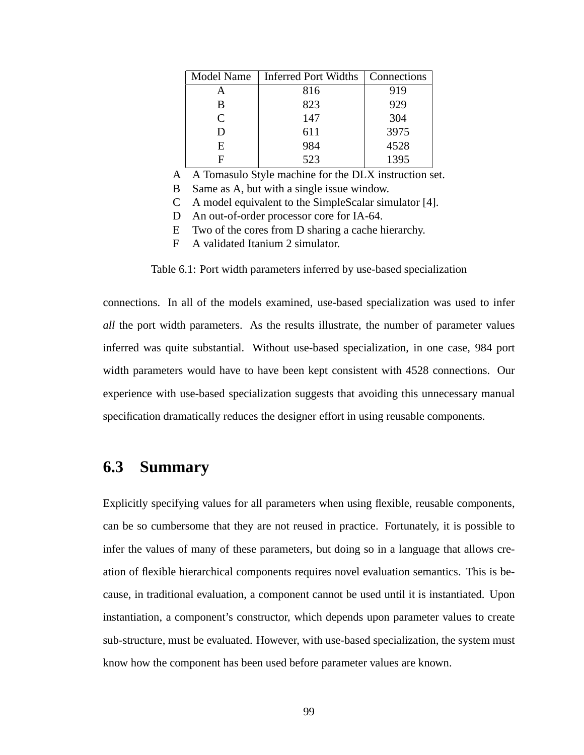| <b>Model Name</b>           | <b>Inferred Port Widths</b> | Connections |
|-----------------------------|-----------------------------|-------------|
|                             | 816                         | 919         |
| В                           | 823                         | 929         |
| $\mathcal{C}_{\mathcal{C}}$ | 147                         | 304         |
| D                           | 611                         | 3975        |
| F.                          | 984                         | 4528        |
|                             | 523                         | 1395        |

- A A Tomasulo Style machine for the DLX instruction set.
- B Same as A, but with a single issue window.
- C A model equivalent to the SimpleScalar simulator [4].
- D An out-of-order processor core for IA-64.
- E Two of the cores from D sharing a cache hierarchy.
- F A validated Itanium 2 simulator.

Table 6.1: Port width parameters inferred by use-based specialization

connections. In all of the models examined, use-based specialization was used to infer *all* the port width parameters. As the results illustrate, the number of parameter values inferred was quite substantial. Without use-based specialization, in one case, 984 port width parameters would have to have been kept consistent with 4528 connections. Our experience with use-based specialization suggests that avoiding this unnecessary manual specification dramatically reduces the designer effort in using reusable components.

# **6.3 Summary**

Explicitly specifying values for all parameters when using flexible, reusable components, can be so cumbersome that they are not reused in practice. Fortunately, it is possible to infer the values of many of these parameters, but doing so in a language that allows creation of flexible hierarchical components requires novel evaluation semantics. This is because, in traditional evaluation, a component cannot be used until it is instantiated. Upon instantiation, a component's constructor, which depends upon parameter values to create sub-structure, must be evaluated. However, with use-based specialization, the system must know how the component has been used before parameter values are known.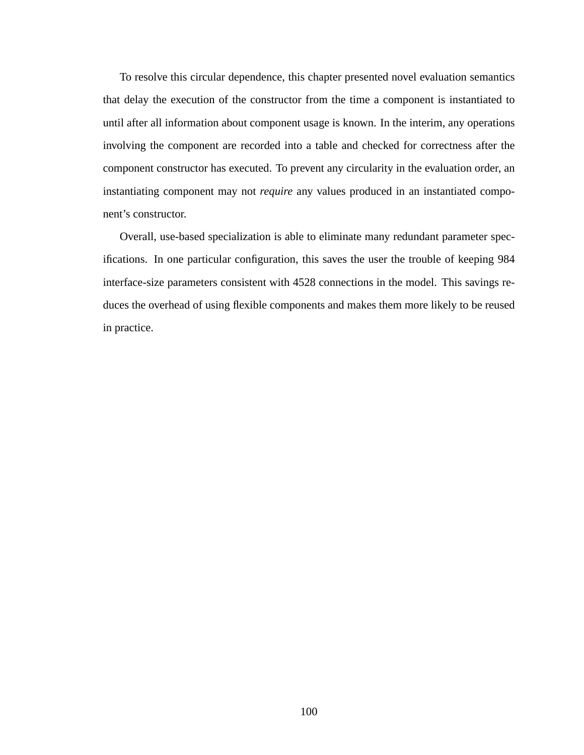To resolve this circular dependence, this chapter presented novel evaluation semantics that delay the execution of the constructor from the time a component is instantiated to until after all information about component usage is known. In the interim, any operations involving the component are recorded into a table and checked for correctness after the component constructor has executed. To prevent any circularity in the evaluation order, an instantiating component may not *require* any values produced in an instantiated component's constructor.

Overall, use-based specialization is able to eliminate many redundant parameter specifications. In one particular configuration, this saves the user the trouble of keeping 984 interface-size parameters consistent with 4528 connections in the model. This savings reduces the overhead of using flexible components and makes them more likely to be reused in practice.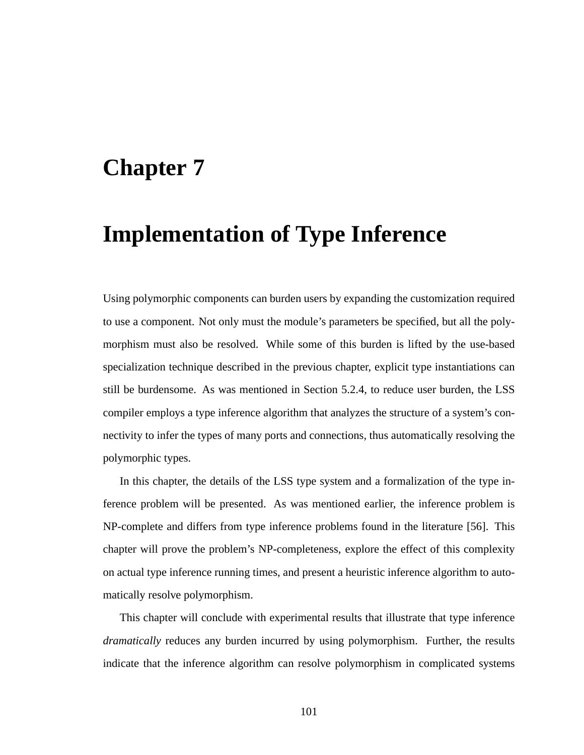# **Chapter 7**

# **Implementation of Type Inference**

Using polymorphic components can burden users by expanding the customization required to use a component. Not only must the module's parameters be specified, but all the polymorphism must also be resolved. While some of this burden is lifted by the use-based specialization technique described in the previous chapter, explicit type instantiations can still be burdensome. As was mentioned in Section 5.2.4, to reduce user burden, the LSS compiler employs a type inference algorithm that analyzes the structure of a system's connectivity to infer the types of many ports and connections, thus automatically resolving the polymorphic types.

In this chapter, the details of the LSS type system and a formalization of the type inference problem will be presented. As was mentioned earlier, the inference problem is NP-complete and differs from type inference problems found in the literature [56]. This chapter will prove the problem's NP-completeness, explore the effect of this complexity on actual type inference running times, and present a heuristic inference algorithm to automatically resolve polymorphism.

This chapter will conclude with experimental results that illustrate that type inference *dramatically* reduces any burden incurred by using polymorphism. Further, the results indicate that the inference algorithm can resolve polymorphism in complicated systems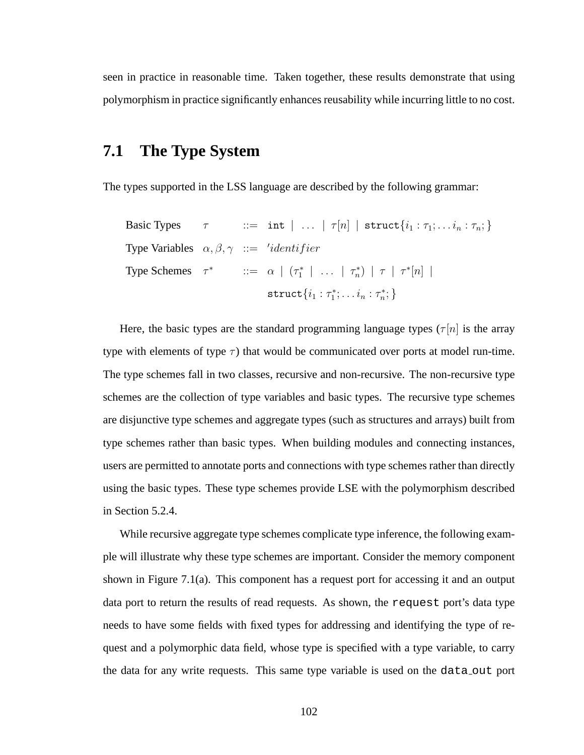seen in practice in reasonable time. Taken together, these results demonstrate that using polymorphism in practice significantly enhances reusability while incurring little to no cost.

# **7.1 The Type System**

The types supported in the LSS language are described by the following grammar:

Basic Types

\n
$$
\tau \qquad ::= \text{int} \mid \ldots \mid \tau[n] \mid \text{struct}\{i_1 : \tau_1; \ldots i_n : \tau_n; \}
$$
\nType Variables

\n
$$
\alpha, \beta, \gamma \qquad ::= \text{'identity}
$$
\nType Schemes

\n
$$
\tau^* \qquad ::= \alpha \mid (\tau_1^* \mid \ldots \mid \tau_n^*) \mid \tau \mid \tau^*[n] \mid
$$
\n
$$
\text{struct}\{i_1 : \tau_1^*; \ldots i_n : \tau_n^*; \}
$$

Here, the basic types are the standard programming language types ( $\tau[n]$  is the array type with elements of type  $\tau$ ) that would be communicated over ports at model run-time. The type schemes fall in two classes, recursive and non-recursive. The non-recursive type schemes are the collection of type variables and basic types. The recursive type schemes are disjunctive type schemes and aggregate types (such as structures and arrays) built from type schemes rather than basic types. When building modules and connecting instances, users are permitted to annotate ports and connections with type schemes rather than directly using the basic types. These type schemes provide LSE with the polymorphism described in Section 5.2.4.

While recursive aggregate type schemes complicate type inference, the following example will illustrate why these type schemes are important. Consider the memory component shown in Figure 7.1(a). This component has a request port for accessing it and an output data port to return the results of read requests. As shown, the request port's data type needs to have some fields with fixed types for addressing and identifying the type of request and a polymorphic data field, whose type is specified with a type variable, to carry the data for any write requests. This same type variable is used on the data out port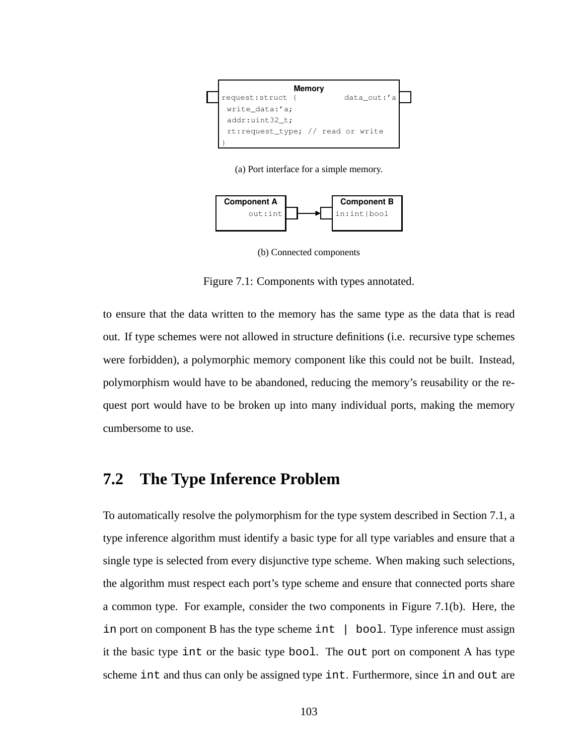

(a) Port interface for a simple memory.



(b) Connected components

Figure 7.1: Components with types annotated.

to ensure that the data written to the memory has the same type as the data that is read out. If type schemes were not allowed in structure definitions (i.e. recursive type schemes were forbidden), a polymorphic memory component like this could not be built. Instead, polymorphism would have to be abandoned, reducing the memory's reusability or the request port would have to be broken up into many individual ports, making the memory cumbersome to use.

# **7.2 The Type Inference Problem**

To automatically resolve the polymorphism for the type system described in Section 7.1, a type inference algorithm must identify a basic type for all type variables and ensure that a single type is selected from every disjunctive type scheme. When making such selections, the algorithm must respect each port's type scheme and ensure that connected ports share a common type. For example, consider the two components in Figure 7.1(b). Here, the in port on component B has the type scheme int  $\vert$  bool. Type inference must assign it the basic type int or the basic type bool. The out port on component A has type scheme int and thus can only be assigned type int. Furthermore, since in and out are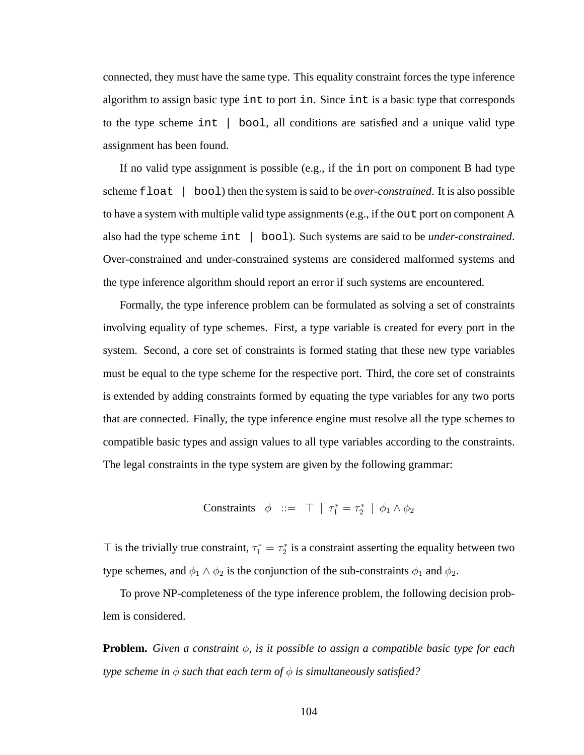connected, they must have the same type. This equality constraint forces the type inference algorithm to assign basic type int to port in. Since int is a basic type that corresponds to the type scheme int | bool, all conditions are satisfied and a unique valid type assignment has been found.

If no valid type assignment is possible (e.g., if the in port on component B had type scheme float | bool) then the system is said to be *over-constrained*. It is also possible to have a system with multiple valid type assignments (e.g., if the out port on component A also had the type scheme int | bool). Such systems are said to be *under-constrained*. Over-constrained and under-constrained systems are considered malformed systems and the type inference algorithm should report an error if such systems are encountered.

Formally, the type inference problem can be formulated as solving a set of constraints involving equality of type schemes. First, a type variable is created for every port in the system. Second, a core set of constraints is formed stating that these new type variables must be equal to the type scheme for the respective port. Third, the core set of constraints is extended by adding constraints formed by equating the type variables for any two ports that are connected. Finally, the type inference engine must resolve all the type schemes to compatible basic types and assign values to all type variables according to the constraints. The legal constraints in the type system are given by the following grammar:

$$
\text{Constraints} \quad \phi \quad ::= \quad \top \quad | \quad \tau_1^* = \tau_2^* \quad | \quad \phi_1 \wedge \phi_2
$$

 $\top$  is the trivially true constraint,  $\tau_1^* = \tau_2^*$  is a constraint asserting the equality between two type schemes, and  $\phi_1 \wedge \phi_2$  is the conjunction of the sub-constraints  $\phi_1$  and  $\phi_2$ .

To prove NP-completeness of the type inference problem, the following decision problem is considered.

**Problem.** *Given a constraint* φ*, is it possible to assign a compatible basic type for each type scheme in*  $\phi$  *such that each term of*  $\phi$  *is simultaneously satisfied?*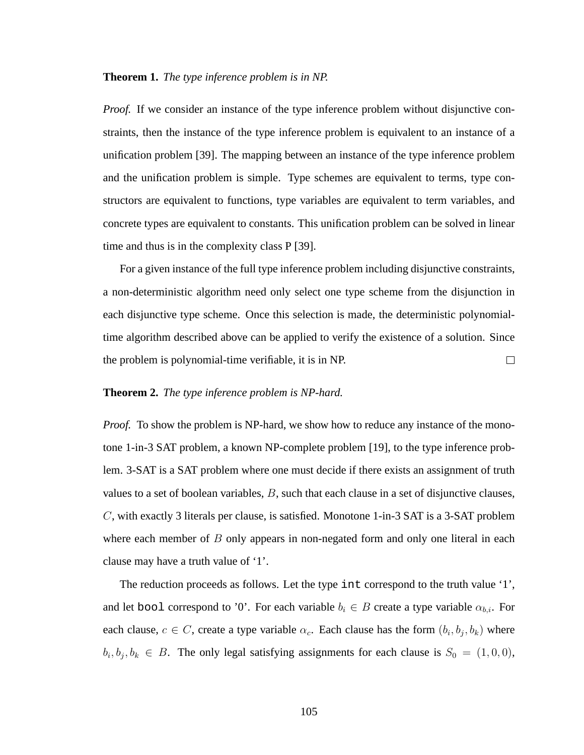#### **Theorem 1.** *The type inference problem is in NP.*

*Proof.* If we consider an instance of the type inference problem without disjunctive constraints, then the instance of the type inference problem is equivalent to an instance of a unification problem [39]. The mapping between an instance of the type inference problem and the unification problem is simple. Type schemes are equivalent to terms, type constructors are equivalent to functions, type variables are equivalent to term variables, and concrete types are equivalent to constants. This unification problem can be solved in linear time and thus is in the complexity class P [39].

For a given instance of the full type inference problem including disjunctive constraints, a non-deterministic algorithm need only select one type scheme from the disjunction in each disjunctive type scheme. Once this selection is made, the deterministic polynomialtime algorithm described above can be applied to verify the existence of a solution. Since the problem is polynomial-time verifiable, it is in NP.  $\Box$ 

#### **Theorem 2.** *The type inference problem is NP-hard.*

*Proof.* To show the problem is NP-hard, we show how to reduce any instance of the monotone 1-in-3 SAT problem, a known NP-complete problem [19], to the type inference problem. 3-SAT is a SAT problem where one must decide if there exists an assignment of truth values to a set of boolean variables,  $B$ , such that each clause in a set of disjunctive clauses, C, with exactly 3 literals per clause, is satisfied. Monotone 1-in-3 SAT is a 3-SAT problem where each member of  $B$  only appears in non-negated form and only one literal in each clause may have a truth value of '1'.

The reduction proceeds as follows. Let the type int correspond to the truth value '1', and let bool correspond to '0'. For each variable  $b_i \in B$  create a type variable  $\alpha_{b,i}$ . For each clause,  $c \in C$ , create a type variable  $\alpha_c$ . Each clause has the form  $(b_i, b_j, b_k)$  where  $b_i, b_j, b_k \in B$ . The only legal satisfying assignments for each clause is  $S_0 = (1, 0, 0)$ ,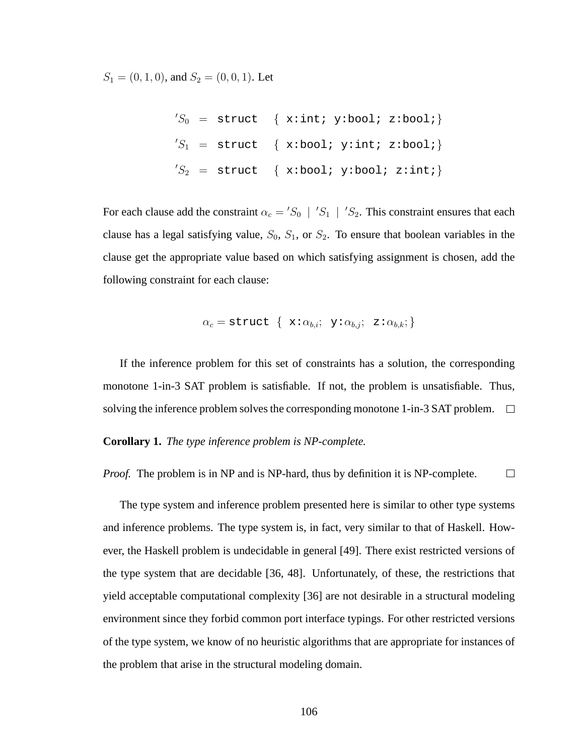$S_1 = (0, 1, 0)$ , and  $S_2 = (0, 0, 1)$ . Let

$$
'S_0
$$
 = struct { x:int; y:bool; z:bool;}  
\n $'S_1$  = struct { x:bool; y:int; z:bool;}  
\n $'S_2$  = struct { x:bool; y:bool; z:int;}

For each clause add the constraint  $\alpha_c = S_0 \mid S_1 \mid S_2$ . This constraint ensures that each clause has a legal satisfying value,  $S_0$ ,  $S_1$ , or  $S_2$ . To ensure that boolean variables in the clause get the appropriate value based on which satisfying assignment is chosen, add the following constraint for each clause:

$$
\alpha_c = \texttt{struct} \{ \ \texttt{x}: \alpha_{b,i}; \ \texttt{y}: \alpha_{b,j}; \ \texttt{z}: \alpha_{b,k}; \}
$$

If the inference problem for this set of constraints has a solution, the corresponding monotone 1-in-3 SAT problem is satisfiable. If not, the problem is unsatisfiable. Thus, solving the inference problem solves the corresponding monotone 1-in-3 SAT problem.  $\Box$ 

#### **Corollary 1.** *The type inference problem is NP-complete.*

*Proof.* The problem is in NP and is NP-hard, thus by definition it is NP-complete.  $\Box$ 

The type system and inference problem presented here is similar to other type systems and inference problems. The type system is, in fact, very similar to that of Haskell. However, the Haskell problem is undecidable in general [49]. There exist restricted versions of the type system that are decidable [36, 48]. Unfortunately, of these, the restrictions that yield acceptable computational complexity [36] are not desirable in a structural modeling environment since they forbid common port interface typings. For other restricted versions of the type system, we know of no heuristic algorithms that are appropriate for instances of the problem that arise in the structural modeling domain.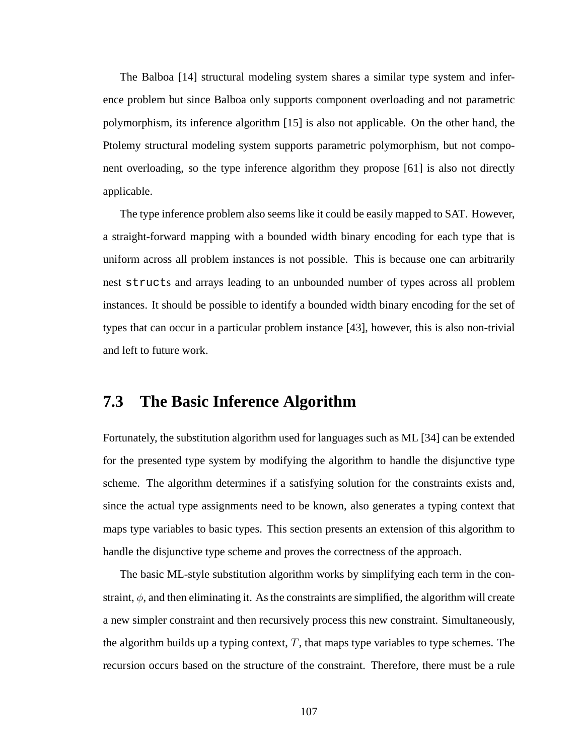The Balboa [14] structural modeling system shares a similar type system and inference problem but since Balboa only supports component overloading and not parametric polymorphism, its inference algorithm [15] is also not applicable. On the other hand, the Ptolemy structural modeling system supports parametric polymorphism, but not component overloading, so the type inference algorithm they propose [61] is also not directly applicable.

The type inference problem also seems like it could be easily mapped to SAT. However, a straight-forward mapping with a bounded width binary encoding for each type that is uniform across all problem instances is not possible. This is because one can arbitrarily nest structs and arrays leading to an unbounded number of types across all problem instances. It should be possible to identify a bounded width binary encoding for the set of types that can occur in a particular problem instance [43], however, this is also non-trivial and left to future work.

# **7.3 The Basic Inference Algorithm**

Fortunately, the substitution algorithm used for languages such as ML [34] can be extended for the presented type system by modifying the algorithm to handle the disjunctive type scheme. The algorithm determines if a satisfying solution for the constraints exists and, since the actual type assignments need to be known, also generates a typing context that maps type variables to basic types. This section presents an extension of this algorithm to handle the disjunctive type scheme and proves the correctness of the approach.

The basic ML-style substitution algorithm works by simplifying each term in the constraint,  $\phi$ , and then eliminating it. As the constraints are simplified, the algorithm will create a new simpler constraint and then recursively process this new constraint. Simultaneously, the algorithm builds up a typing context,  $T$ , that maps type variables to type schemes. The recursion occurs based on the structure of the constraint. Therefore, there must be a rule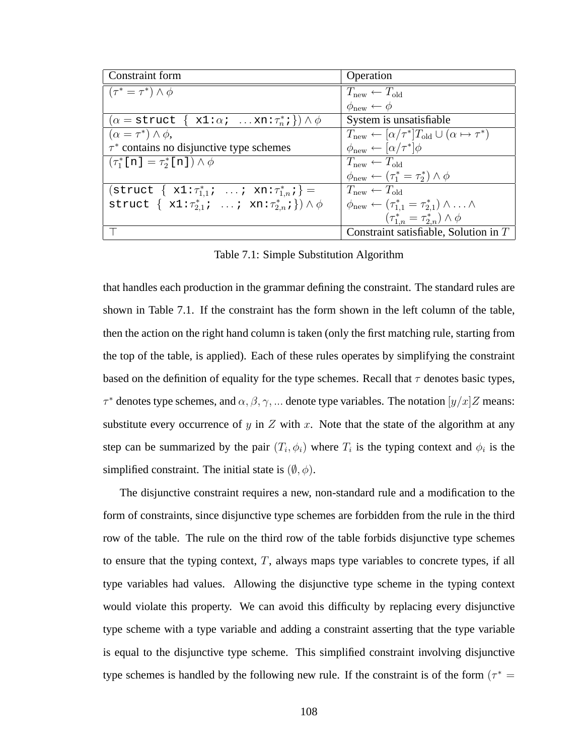| Constraint form                                                           | Operation                                                                               |  |
|---------------------------------------------------------------------------|-----------------------------------------------------------------------------------------|--|
| $\pi(\tau^* = \tau^*) \wedge \phi$                                        | $T_{\text{new}} \leftarrow T_{\text{old}}$                                              |  |
|                                                                           | $\phi_{\text{new}} \leftarrow \phi$                                                     |  |
| $(\alpha = \text{struct} \{ x1 : \alpha :  xn : \tau_n^* \}) \wedge \phi$ | System is unsatisfiable                                                                 |  |
| $(\alpha = \tau^*) \wedge \phi,$                                          | $T_{\text{new}} \leftarrow [\alpha/\tau^*] T_{\text{old}} \cup (\alpha \mapsto \tau^*)$ |  |
| $\tau^*$ contains no disjunctive type schemes                             | $\phi_{\text{new}} \leftarrow [\alpha/\tau^*]\phi$                                      |  |
| $(\tau_1^*$ [n] = $\tau_2^*$ [n]) $\wedge \phi$                           | $T_{\text{new}} \leftarrow T_{\text{old}}$                                              |  |
|                                                                           | $\phi_{\text{new}} \leftarrow (\tau_1^* = \tau_2^*) \wedge \phi$                        |  |
| (struct { $x1:\tau_{1.1}^*$ ; ; $xn:\tau_{1.n}^*$ ; } =                   | $T_{\text{new}} \leftarrow T_{\text{old}}$                                              |  |
| struct $\{ x1:\tau_{2,1}^*: \ldots : xn:\tau_{2,n}^* \} \wedge \phi$      | $\phi_{\text{new}} \leftarrow (\tau_{1,1}^* = \tau_{2,1}^*) \wedge \ldots \wedge$       |  |
|                                                                           | $(\tau_{1,n}^* = \tau_{2,n}^*) \wedge \phi$                                             |  |
|                                                                           | Constraint satisfiable, Solution in $T$                                                 |  |

Table 7.1: Simple Substitution Algorithm

that handles each production in the grammar defining the constraint. The standard rules are shown in Table 7.1. If the constraint has the form shown in the left column of the table, then the action on the right hand column is taken (only the first matching rule, starting from the top of the table, is applied). Each of these rules operates by simplifying the constraint based on the definition of equality for the type schemes. Recall that  $\tau$  denotes basic types,  $\tau^*$  denotes type schemes, and  $\alpha, \beta, \gamma, \dots$  denote type variables. The notation  $[y/x]Z$  means: substitute every occurrence of y in Z with x. Note that the state of the algorithm at any step can be summarized by the pair  $(T_i, \phi_i)$  where  $T_i$  is the typing context and  $\phi_i$  is the simplified constraint. The initial state is  $(\emptyset, \phi)$ .

The disjunctive constraint requires a new, non-standard rule and a modification to the form of constraints, since disjunctive type schemes are forbidden from the rule in the third row of the table. The rule on the third row of the table forbids disjunctive type schemes to ensure that the typing context,  $T$ , always maps type variables to concrete types, if all type variables had values. Allowing the disjunctive type scheme in the typing context would violate this property. We can avoid this difficulty by replacing every disjunctive type scheme with a type variable and adding a constraint asserting that the type variable is equal to the disjunctive type scheme. This simplified constraint involving disjunctive type schemes is handled by the following new rule. If the constraint is of the form ( $\tau^* =$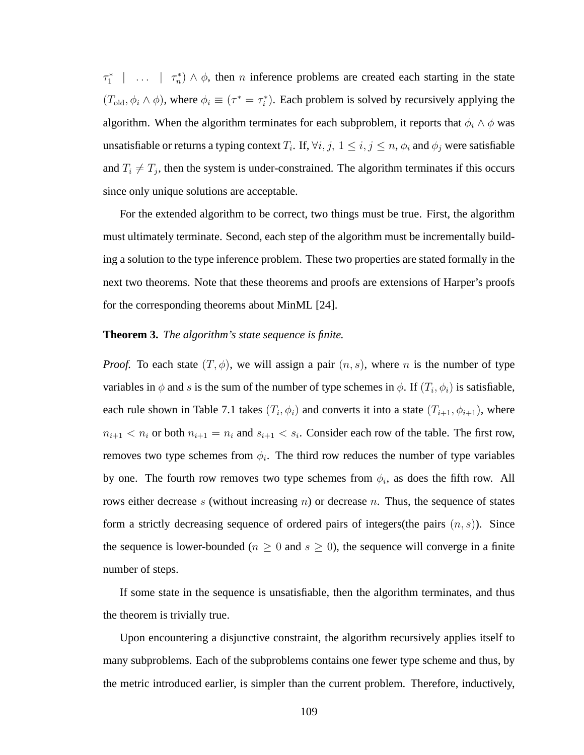$\tau_1^*$  | ... |  $\tau_n^*$ )  $\wedge \phi$ , then *n* inference problems are created each starting in the state  $(T_{old}, \phi_i \wedge \phi)$ , where  $\phi_i \equiv (\tau^* = \tau_i^*)$ . Each problem is solved by recursively applying the algorithm. When the algorithm terminates for each subproblem, it reports that  $\phi_i \wedge \phi$  was unsatisfiable or returns a typing context  $T_i.$  If,  $\forall i,j,~1\leq i,j\leq n,$   $\phi_i$  and  $\phi_j$  were satisfiable and  $T_i \neq T_j$ , then the system is under-constrained. The algorithm terminates if this occurs since only unique solutions are acceptable.

For the extended algorithm to be correct, two things must be true. First, the algorithm must ultimately terminate. Second, each step of the algorithm must be incrementally building a solution to the type inference problem. These two properties are stated formally in the next two theorems. Note that these theorems and proofs are extensions of Harper's proofs for the corresponding theorems about MinML [24].

#### **Theorem 3.** *The algorithm's state sequence is finite.*

*Proof.* To each state  $(T, \phi)$ , we will assign a pair  $(n, s)$ , where n is the number of type variables in  $\phi$  and s is the sum of the number of type schemes in  $\phi$ . If  $(T_i, \phi_i)$  is satisfiable, each rule shown in Table 7.1 takes  $(T_i, \phi_i)$  and converts it into a state  $(T_{i+1}, \phi_{i+1})$ , where  $n_{i+1} < n_i$  or both  $n_{i+1} = n_i$  and  $s_{i+1} < s_i$ . Consider each row of the table. The first row, removes two type schemes from  $\phi_i$ . The third row reduces the number of type variables by one. The fourth row removes two type schemes from  $\phi_i$ , as does the fifth row. All rows either decrease s (without increasing  $n$ ) or decrease n. Thus, the sequence of states form a strictly decreasing sequence of ordered pairs of integers(the pairs  $(n, s)$ ). Since the sequence is lower-bounded ( $n \geq 0$  and  $s \geq 0$ ), the sequence will converge in a finite number of steps.

If some state in the sequence is unsatisfiable, then the algorithm terminates, and thus the theorem is trivially true.

Upon encountering a disjunctive constraint, the algorithm recursively applies itself to many subproblems. Each of the subproblems contains one fewer type scheme and thus, by the metric introduced earlier, is simpler than the current problem. Therefore, inductively,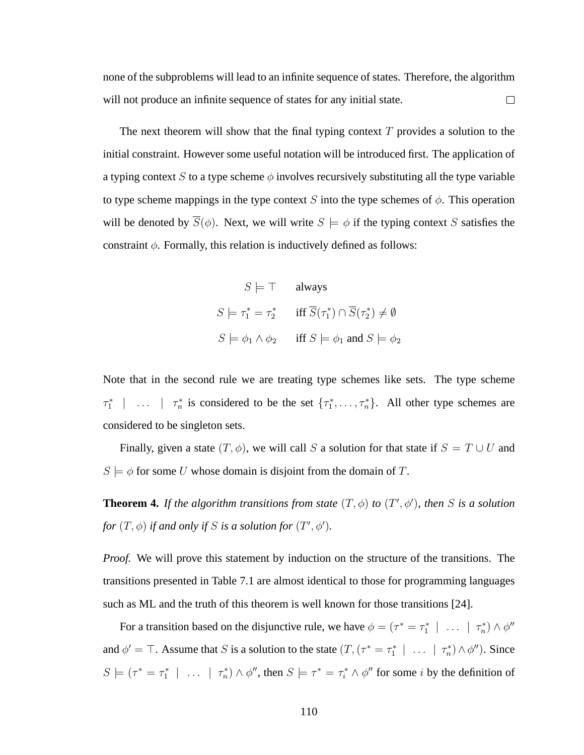none of the subproblems will lead to an infinite sequence of states. Therefore, the algorithm will not produce an infinite sequence of states for any initial state.  $\Box$ 

The next theorem will show that the final typing context  $T$  provides a solution to the initial constraint. However some useful notation will be introduced first. The application of a typing context S to a type scheme  $\phi$  involves recursively substituting all the type variable to type scheme mappings in the type context S into the type schemes of  $\phi$ . This operation will be denoted by  $\overline{S}(\phi)$ . Next, we will write  $S \models \phi$  if the typing context S satisfies the constraint  $\phi$ . Formally, this relation is inductively defined as follows:

$$
S \models \top \quad \text{always}
$$
  

$$
S \models \tau_1^* = \tau_2^* \quad \text{iff } \overline{S}(\tau_1^*) \cap \overline{S}(\tau_2^*) \neq \emptyset
$$
  

$$
S \models \phi_1 \land \phi_2 \quad \text{iff } S \models \phi_1 \text{ and } S \models \phi_2
$$

Note that in the second rule we are treating type schemes like sets. The type scheme  $\tau_1^*$  | ... |  $\tau_n^*$  is considered to be the set  $\{\tau_1^*, \ldots, \tau_n^*\}$ . All other type schemes are considered to be singleton sets.

Finally, given a state  $(T, \phi)$ , we will call S a solution for that state if  $S = T \cup U$  and  $S \models \phi$  for some U whose domain is disjoint from the domain of T.

**Theorem 4.** If the algorithm transitions from state  $(T, \phi)$  to  $(T', \phi')$ , then S is a solution *for*  $(T, \phi)$  *if and only if S is a solution for*  $(T', \phi')$ *.* 

*Proof.* We will prove this statement by induction on the structure of the transitions. The transitions presented in Table 7.1 are almost identical to those for programming languages such as ML and the truth of this theorem is well known for those transitions [24].

For a transition based on the disjunctive rule, we have  $\phi = (\tau^* = \tau_1^* \mid \ldots \mid \tau_n^*) \wedge \phi''$ and  $\phi' = \top$ . Assume that S is a solution to the state  $(T, (\tau^* = \tau_1^* \mid \ldots \mid \tau_n^*) \wedge \phi'')$ . Since  $S \models (\tau^* = \tau_1^* \mid \ldots \mid \tau_n^*) \wedge \phi'',$  then  $S \models \tau^* = \tau_i^* \wedge \phi''$  for some *i* by the definition of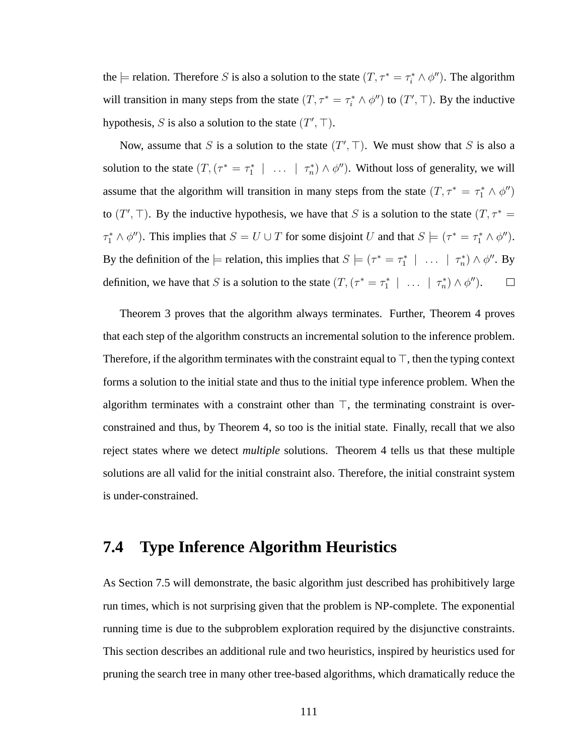the  $\models$  relation. Therefore S is also a solution to the state  $(T, \tau^* = \tau_i^* \wedge \phi'')$ . The algorithm will transition in many steps from the state  $(T, \tau^* = \tau_i^* \wedge \phi'')$  to  $(T', \top)$ . By the inductive hypothesis, S is also a solution to the state  $(T', \top)$ .

Now, assume that S is a solution to the state  $(T', \top)$ . We must show that S is also a solution to the state  $(T, (\tau^* = \tau_1^* \mid \ldots \mid \tau_n^*) \wedge \phi'')$ . Without loss of generality, we will assume that the algorithm will transition in many steps from the state  $(T, \tau^* = \tau_1^* \wedge \phi'')$ to  $(T', \top)$ . By the inductive hypothesis, we have that S is a solution to the state  $(T, \tau^* =$  $\tau_1^* \wedge \phi'$ ). This implies that  $S = U \cup T$  for some disjoint U and that  $S \models (\tau^* = \tau_1^* \wedge \phi'')$ . By the definition of the  $\models$  relation, this implies that  $S \models (\tau^* = \tau_1^* \mid \ldots \mid \tau_n^*) \land \phi^n$ . By definition, we have that S is a solution to the state  $(T, (\tau^* = \tau_1^* \mid \dots \mid \tau_n^*) \wedge \phi'')$ .  $\Box$ 

Theorem 3 proves that the algorithm always terminates. Further, Theorem 4 proves that each step of the algorithm constructs an incremental solution to the inference problem. Therefore, if the algorithm terminates with the constraint equal to  $\top$ , then the typing context forms a solution to the initial state and thus to the initial type inference problem. When the algorithm terminates with a constraint other than  $\top$ , the terminating constraint is overconstrained and thus, by Theorem 4, so too is the initial state. Finally, recall that we also reject states where we detect *multiple* solutions. Theorem 4 tells us that these multiple solutions are all valid for the initial constraint also. Therefore, the initial constraint system is under-constrained.

# **7.4 Type Inference Algorithm Heuristics**

As Section 7.5 will demonstrate, the basic algorithm just described has prohibitively large run times, which is not surprising given that the problem is NP-complete. The exponential running time is due to the subproblem exploration required by the disjunctive constraints. This section describes an additional rule and two heuristics, inspired by heuristics used for pruning the search tree in many other tree-based algorithms, which dramatically reduce the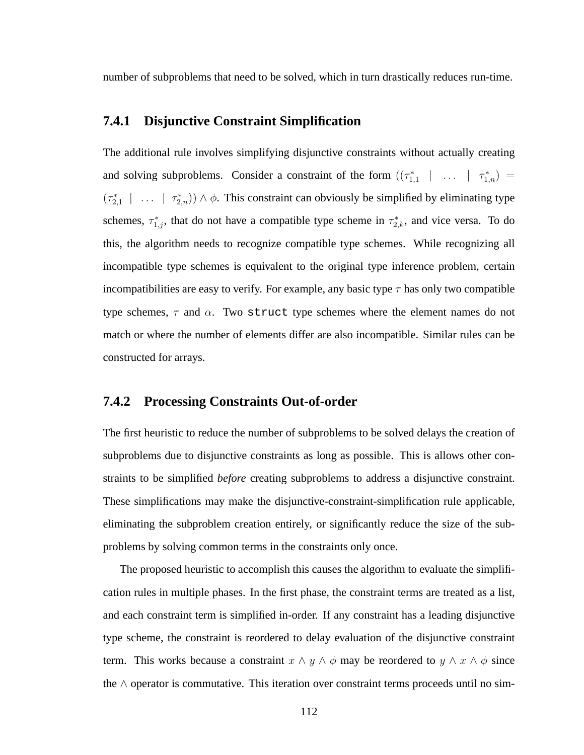number of subproblems that need to be solved, which in turn drastically reduces run-time.

### **7.4.1 Disjunctive Constraint Simplification**

The additional rule involves simplifying disjunctive constraints without actually creating and solving subproblems. Consider a constraint of the form  $((\tau_{1,1}^* \mid \ldots \mid \tau_{1,n}^*) =$  $(\tau_{2,1}^* \mid \ldots \mid \tau_{2,n}^*)\rangle \wedge \phi$ . This constraint can obviously be simplified by eliminating type schemes,  $\tau_{1,j}^*$ , that do not have a compatible type scheme in  $\tau_{2,k}^*$ , and vice versa. To do this, the algorithm needs to recognize compatible type schemes. While recognizing all incompatible type schemes is equivalent to the original type inference problem, certain incompatibilities are easy to verify. For example, any basic type  $\tau$  has only two compatible type schemes,  $\tau$  and  $\alpha$ . Two struct type schemes where the element names do not match or where the number of elements differ are also incompatible. Similar rules can be constructed for arrays.

#### **7.4.2 Processing Constraints Out-of-order**

The first heuristic to reduce the number of subproblems to be solved delays the creation of subproblems due to disjunctive constraints as long as possible. This is allows other constraints to be simplified *before* creating subproblems to address a disjunctive constraint. These simplifications may make the disjunctive-constraint-simplification rule applicable, eliminating the subproblem creation entirely, or significantly reduce the size of the subproblems by solving common terms in the constraints only once.

The proposed heuristic to accomplish this causes the algorithm to evaluate the simplification rules in multiple phases. In the first phase, the constraint terms are treated as a list, and each constraint term is simplified in-order. If any constraint has a leading disjunctive type scheme, the constraint is reordered to delay evaluation of the disjunctive constraint term. This works because a constraint  $x \wedge y \wedge \phi$  may be reordered to  $y \wedge x \wedge \phi$  since the ∧ operator is commutative. This iteration over constraint terms proceeds until no sim-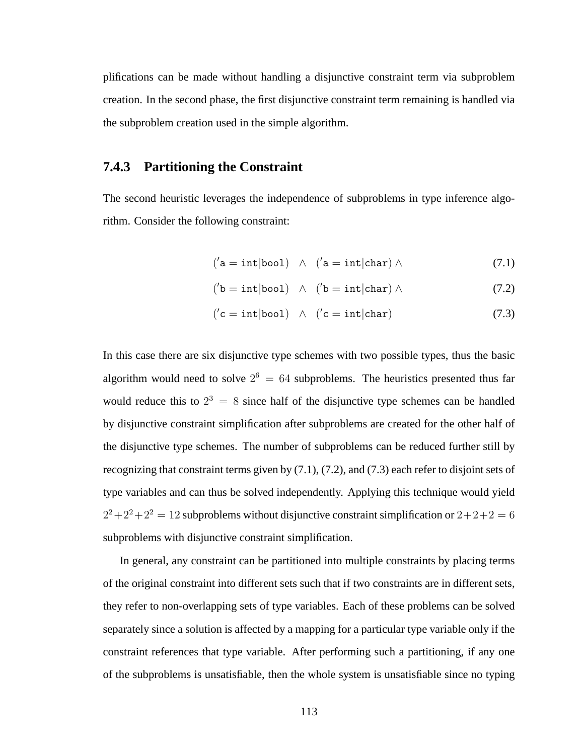plifications can be made without handling a disjunctive constraint term via subproblem creation. In the second phase, the first disjunctive constraint term remaining is handled via the subproblem creation used in the simple algorithm.

#### **7.4.3 Partitioning the Constraint**

The second heuristic leverages the independence of subproblems in type inference algorithm. Consider the following constraint:

$$
('a = int|bool) \ \land \ ( 'a = int|char) \land \tag{7.1}
$$

$$
('b = int|bool) \ \land \ ('b = int|char) \land \tag{7.2}
$$

$$
('c = int|bool) \ \land \ (c = int|char) \tag{7.3}
$$

In this case there are six disjunctive type schemes with two possible types, thus the basic algorithm would need to solve  $2^6 = 64$  subproblems. The heuristics presented thus far would reduce this to  $2^3 = 8$  since half of the disjunctive type schemes can be handled by disjunctive constraint simplification after subproblems are created for the other half of the disjunctive type schemes. The number of subproblems can be reduced further still by recognizing that constraint terms given by (7.1), (7.2), and (7.3) each refer to disjoint sets of type variables and can thus be solved independently. Applying this technique would yield  $2^2+2^2+2^2=12$  subproblems without disjunctive constraint simplification or  $2+2+2=6$ subproblems with disjunctive constraint simplification.

In general, any constraint can be partitioned into multiple constraints by placing terms of the original constraint into different sets such that if two constraints are in different sets, they refer to non-overlapping sets of type variables. Each of these problems can be solved separately since a solution is affected by a mapping for a particular type variable only if the constraint references that type variable. After performing such a partitioning, if any one of the subproblems is unsatisfiable, then the whole system is unsatisfiable since no typing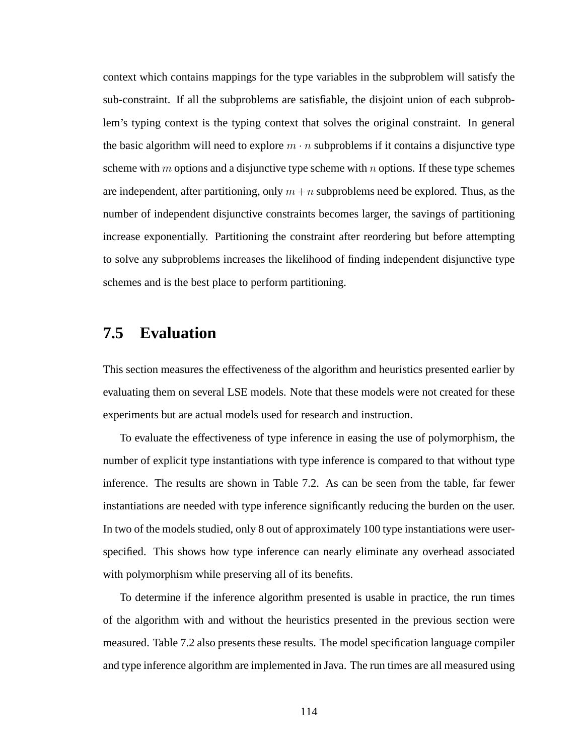context which contains mappings for the type variables in the subproblem will satisfy the sub-constraint. If all the subproblems are satisfiable, the disjoint union of each subproblem's typing context is the typing context that solves the original constraint. In general the basic algorithm will need to explore  $m \cdot n$  subproblems if it contains a disjunctive type scheme with m options and a disjunctive type scheme with n options. If these type schemes are independent, after partitioning, only  $m+n$  subproblems need be explored. Thus, as the number of independent disjunctive constraints becomes larger, the savings of partitioning increase exponentially. Partitioning the constraint after reordering but before attempting to solve any subproblems increases the likelihood of finding independent disjunctive type schemes and is the best place to perform partitioning.

# **7.5 Evaluation**

This section measures the effectiveness of the algorithm and heuristics presented earlier by evaluating them on several LSE models. Note that these models were not created for these experiments but are actual models used for research and instruction.

To evaluate the effectiveness of type inference in easing the use of polymorphism, the number of explicit type instantiations with type inference is compared to that without type inference. The results are shown in Table 7.2. As can be seen from the table, far fewer instantiations are needed with type inference significantly reducing the burden on the user. In two of the models studied, only 8 out of approximately 100 type instantiations were userspecified. This shows how type inference can nearly eliminate any overhead associated with polymorphism while preserving all of its benefits.

To determine if the inference algorithm presented is usable in practice, the run times of the algorithm with and without the heuristics presented in the previous section were measured. Table 7.2 also presents these results. The model specification language compiler and type inference algorithm are implemented in Java. The run times are all measured using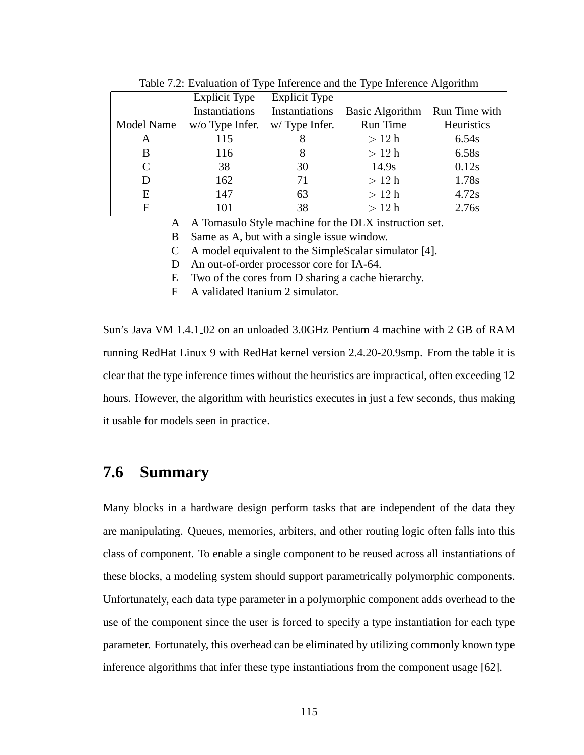|              | Explicit Type   | <b>Explicit Type</b> |                        |               |
|--------------|-----------------|----------------------|------------------------|---------------|
|              | Instantiations  | Instantiations       | <b>Basic Algorithm</b> | Run Time with |
| Model Name   | w/o Type Infer. | w/Type Infer.        | Run Time               | Heuristics    |
| Α            | 115             |                      | >12 h                  | 6.54s         |
| B            | 116             | 8                    | >12 h                  | 6.58s         |
| $\mathsf{C}$ | 38              | 30                   | 14.9s                  | 0.12s         |
| D            | 162             | 71                   | >12 h                  | 1.78s         |
| E            | 147             | 63                   | >12 h                  | 4.72s         |
| F            | 101             | 38                   | >12 h                  | 2.76s         |

Table 7.2: Evaluation of Type Inference and the Type Inference Algorithm

A A Tomasulo Style machine for the DLX instruction set.

B Same as A, but with a single issue window.

C A model equivalent to the SimpleScalar simulator [4].

D An out-of-order processor core for IA-64.

E Two of the cores from D sharing a cache hierarchy.

F A validated Itanium 2 simulator.

Sun's Java VM 1.4.1 02 on an unloaded 3.0GHz Pentium 4 machine with 2 GB of RAM running RedHat Linux 9 with RedHat kernel version 2.4.20-20.9smp. From the table it is clear that the type inference times without the heuristics are impractical, often exceeding 12 hours. However, the algorithm with heuristics executes in just a few seconds, thus making it usable for models seen in practice.

## **7.6 Summary**

Many blocks in a hardware design perform tasks that are independent of the data they are manipulating. Queues, memories, arbiters, and other routing logic often falls into this class of component. To enable a single component to be reused across all instantiations of these blocks, a modeling system should support parametrically polymorphic components. Unfortunately, each data type parameter in a polymorphic component adds overhead to the use of the component since the user is forced to specify a type instantiation for each type parameter. Fortunately, this overhead can be eliminated by utilizing commonly known type inference algorithms that infer these type instantiations from the component usage [62].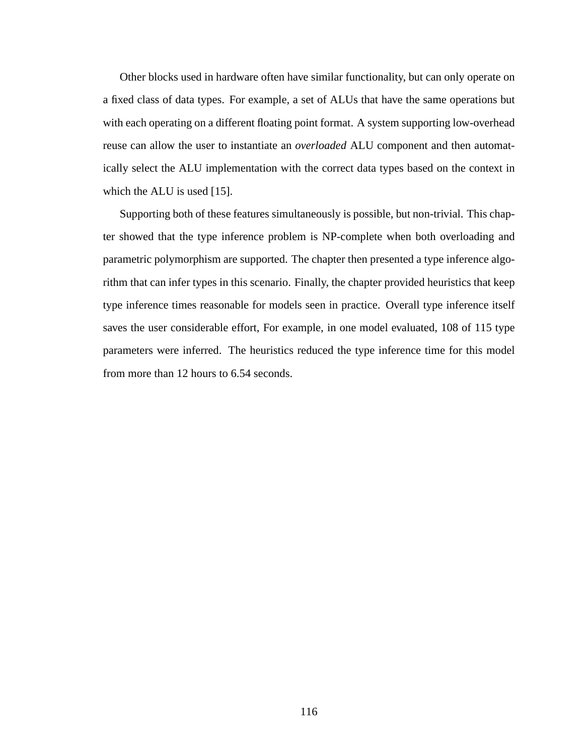Other blocks used in hardware often have similar functionality, but can only operate on a fixed class of data types. For example, a set of ALUs that have the same operations but with each operating on a different floating point format. A system supporting low-overhead reuse can allow the user to instantiate an *overloaded* ALU component and then automatically select the ALU implementation with the correct data types based on the context in which the ALU is used [15].

Supporting both of these features simultaneously is possible, but non-trivial. This chapter showed that the type inference problem is NP-complete when both overloading and parametric polymorphism are supported. The chapter then presented a type inference algorithm that can infer types in this scenario. Finally, the chapter provided heuristics that keep type inference times reasonable for models seen in practice. Overall type inference itself saves the user considerable effort, For example, in one model evaluated, 108 of 115 type parameters were inferred. The heuristics reduced the type inference time for this model from more than 12 hours to 6.54 seconds.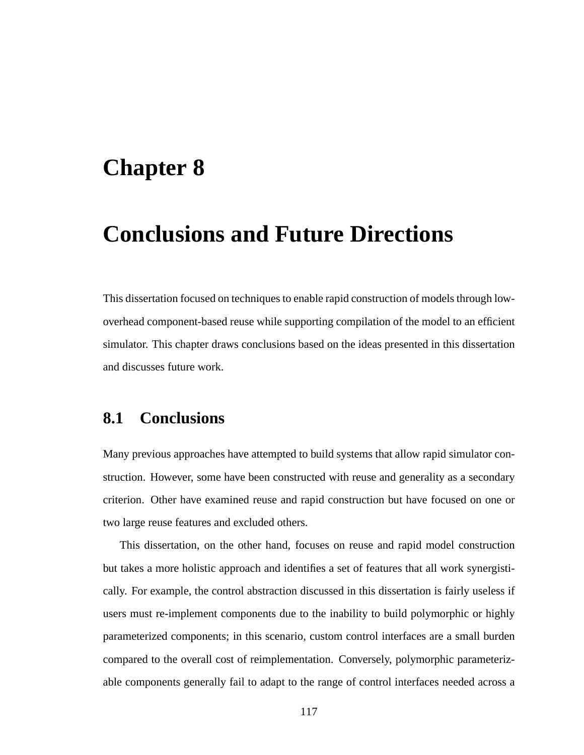# **Chapter 8**

# **Conclusions and Future Directions**

This dissertation focused on techniques to enable rapid construction of models through lowoverhead component-based reuse while supporting compilation of the model to an efficient simulator. This chapter draws conclusions based on the ideas presented in this dissertation and discusses future work.

## **8.1 Conclusions**

Many previous approaches have attempted to build systems that allow rapid simulator construction. However, some have been constructed with reuse and generality as a secondary criterion. Other have examined reuse and rapid construction but have focused on one or two large reuse features and excluded others.

This dissertation, on the other hand, focuses on reuse and rapid model construction but takes a more holistic approach and identifies a set of features that all work synergistically. For example, the control abstraction discussed in this dissertation is fairly useless if users must re-implement components due to the inability to build polymorphic or highly parameterized components; in this scenario, custom control interfaces are a small burden compared to the overall cost of reimplementation. Conversely, polymorphic parameterizable components generally fail to adapt to the range of control interfaces needed across a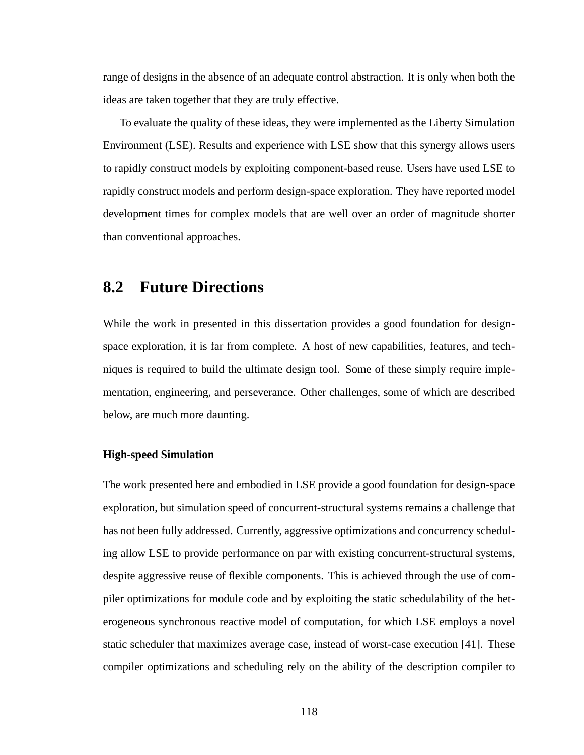range of designs in the absence of an adequate control abstraction. It is only when both the ideas are taken together that they are truly effective.

To evaluate the quality of these ideas, they were implemented as the Liberty Simulation Environment (LSE). Results and experience with LSE show that this synergy allows users to rapidly construct models by exploiting component-based reuse. Users have used LSE to rapidly construct models and perform design-space exploration. They have reported model development times for complex models that are well over an order of magnitude shorter than conventional approaches.

## **8.2 Future Directions**

While the work in presented in this dissertation provides a good foundation for designspace exploration, it is far from complete. A host of new capabilities, features, and techniques is required to build the ultimate design tool. Some of these simply require implementation, engineering, and perseverance. Other challenges, some of which are described below, are much more daunting.

#### **High-speed Simulation**

The work presented here and embodied in LSE provide a good foundation for design-space exploration, but simulation speed of concurrent-structural systems remains a challenge that has not been fully addressed. Currently, aggressive optimizations and concurrency scheduling allow LSE to provide performance on par with existing concurrent-structural systems, despite aggressive reuse of flexible components. This is achieved through the use of compiler optimizations for module code and by exploiting the static schedulability of the heterogeneous synchronous reactive model of computation, for which LSE employs a novel static scheduler that maximizes average case, instead of worst-case execution [41]. These compiler optimizations and scheduling rely on the ability of the description compiler to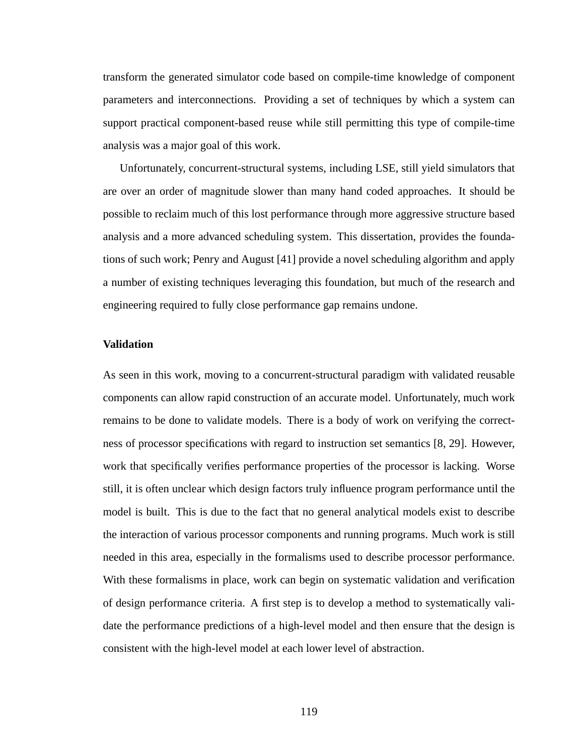transform the generated simulator code based on compile-time knowledge of component parameters and interconnections. Providing a set of techniques by which a system can support practical component-based reuse while still permitting this type of compile-time analysis was a major goal of this work.

Unfortunately, concurrent-structural systems, including LSE, still yield simulators that are over an order of magnitude slower than many hand coded approaches. It should be possible to reclaim much of this lost performance through more aggressive structure based analysis and a more advanced scheduling system. This dissertation, provides the foundations of such work; Penry and August [41] provide a novel scheduling algorithm and apply a number of existing techniques leveraging this foundation, but much of the research and engineering required to fully close performance gap remains undone.

#### **Validation**

As seen in this work, moving to a concurrent-structural paradigm with validated reusable components can allow rapid construction of an accurate model. Unfortunately, much work remains to be done to validate models. There is a body of work on verifying the correctness of processor specifications with regard to instruction set semantics [8, 29]. However, work that specifically verifies performance properties of the processor is lacking. Worse still, it is often unclear which design factors truly influence program performance until the model is built. This is due to the fact that no general analytical models exist to describe the interaction of various processor components and running programs. Much work is still needed in this area, especially in the formalisms used to describe processor performance. With these formalisms in place, work can begin on systematic validation and verification of design performance criteria. A first step is to develop a method to systematically validate the performance predictions of a high-level model and then ensure that the design is consistent with the high-level model at each lower level of abstraction.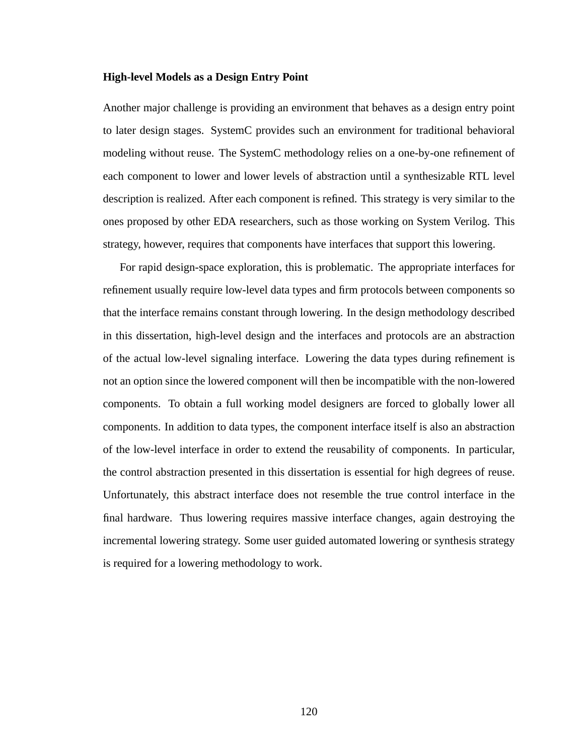#### **High-level Models as a Design Entry Point**

Another major challenge is providing an environment that behaves as a design entry point to later design stages. SystemC provides such an environment for traditional behavioral modeling without reuse. The SystemC methodology relies on a one-by-one refinement of each component to lower and lower levels of abstraction until a synthesizable RTL level description is realized. After each component is refined. This strategy is very similar to the ones proposed by other EDA researchers, such as those working on System Verilog. This strategy, however, requires that components have interfaces that support this lowering.

For rapid design-space exploration, this is problematic. The appropriate interfaces for refinement usually require low-level data types and firm protocols between components so that the interface remains constant through lowering. In the design methodology described in this dissertation, high-level design and the interfaces and protocols are an abstraction of the actual low-level signaling interface. Lowering the data types during refinement is not an option since the lowered component will then be incompatible with the non-lowered components. To obtain a full working model designers are forced to globally lower all components. In addition to data types, the component interface itself is also an abstraction of the low-level interface in order to extend the reusability of components. In particular, the control abstraction presented in this dissertation is essential for high degrees of reuse. Unfortunately, this abstract interface does not resemble the true control interface in the final hardware. Thus lowering requires massive interface changes, again destroying the incremental lowering strategy. Some user guided automated lowering or synthesis strategy is required for a lowering methodology to work.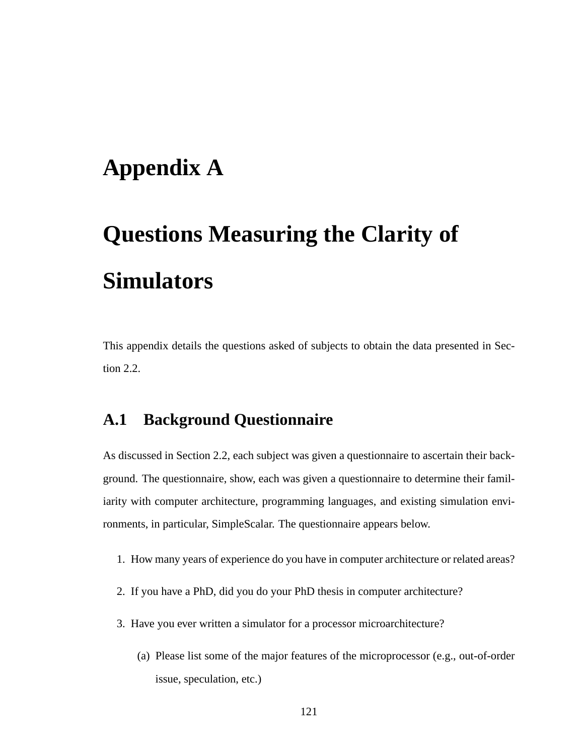# **Appendix A**

# **Questions Measuring the Clarity of Simulators**

This appendix details the questions asked of subjects to obtain the data presented in Section 2.2.

# **A.1 Background Questionnaire**

As discussed in Section 2.2, each subject was given a questionnaire to ascertain their background. The questionnaire, show, each was given a questionnaire to determine their familiarity with computer architecture, programming languages, and existing simulation environments, in particular, SimpleScalar. The questionnaire appears below.

- 1. How many years of experience do you have in computer architecture or related areas?
- 2. If you have a PhD, did you do your PhD thesis in computer architecture?
- 3. Have you ever written a simulator for a processor microarchitecture?
	- (a) Please list some of the major features of the microprocessor (e.g., out-of-order issue, speculation, etc.)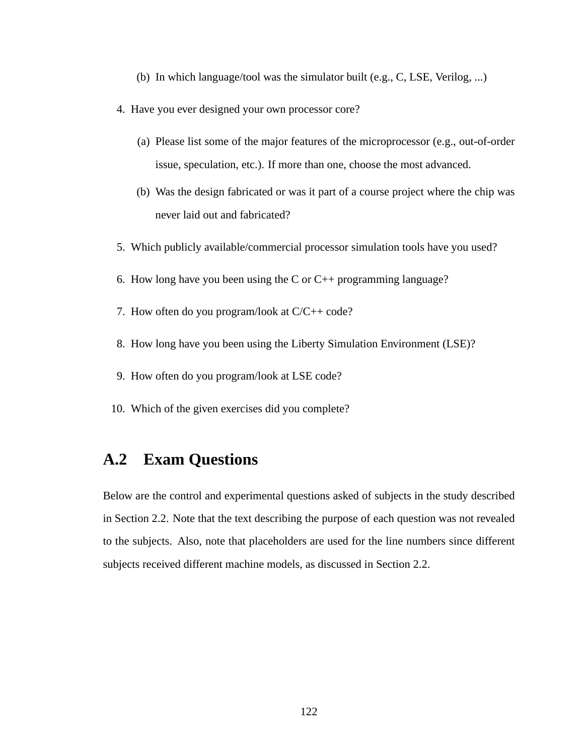- (b) In which language/tool was the simulator built (e.g., C, LSE, Verilog, ...)
- 4. Have you ever designed your own processor core?
	- (a) Please list some of the major features of the microprocessor (e.g., out-of-order issue, speculation, etc.). If more than one, choose the most advanced.
	- (b) Was the design fabricated or was it part of a course project where the chip was never laid out and fabricated?
- 5. Which publicly available/commercial processor simulation tools have you used?
- 6. How long have you been using the C or  $C_{++}$  programming language?
- 7. How often do you program/look at C/C++ code?
- 8. How long have you been using the Liberty Simulation Environment (LSE)?
- 9. How often do you program/look at LSE code?
- 10. Which of the given exercises did you complete?

# **A.2 Exam Questions**

Below are the control and experimental questions asked of subjects in the study described in Section 2.2. Note that the text describing the purpose of each question was not revealed to the subjects. Also, note that placeholders are used for the line numbers since different subjects received different machine models, as discussed in Section 2.2.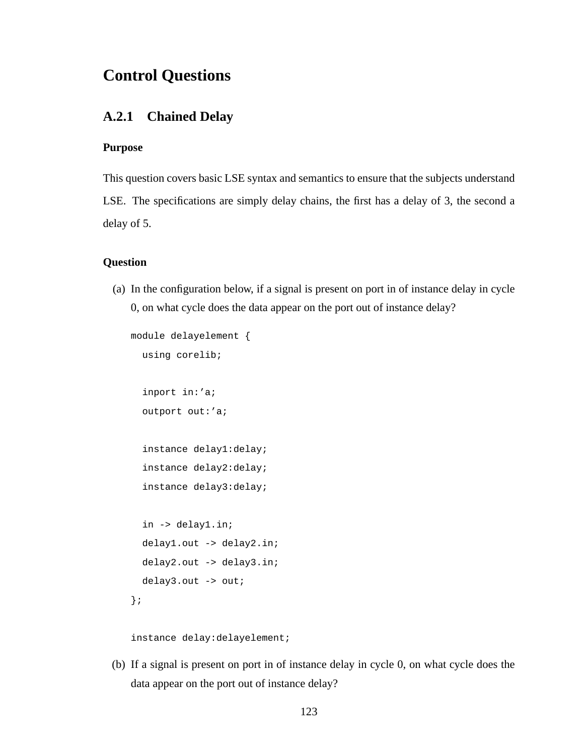# **Control Questions**

## **A.2.1 Chained Delay**

#### **Purpose**

This question covers basic LSE syntax and semantics to ensure that the subjects understand LSE. The specifications are simply delay chains, the first has a delay of 3, the second a delay of 5.

#### **Question**

(a) In the configuration below, if a signal is present on port in of instance delay in cycle 0, on what cycle does the data appear on the port out of instance delay?

```
module delayelement {
  using corelib;
  inport in:'a;
  outport out:'a;
  instance delay1:delay;
  instance delay2:delay;
  instance delay3:delay;
  in -> delay1.in;
  delay1.out -> delay2.in;
  delay2.out -> delay3.in;
  delay3.out -> out;
};
```

```
instance delay:delayelement;
```
(b) If a signal is present on port in of instance delay in cycle 0, on what cycle does the data appear on the port out of instance delay?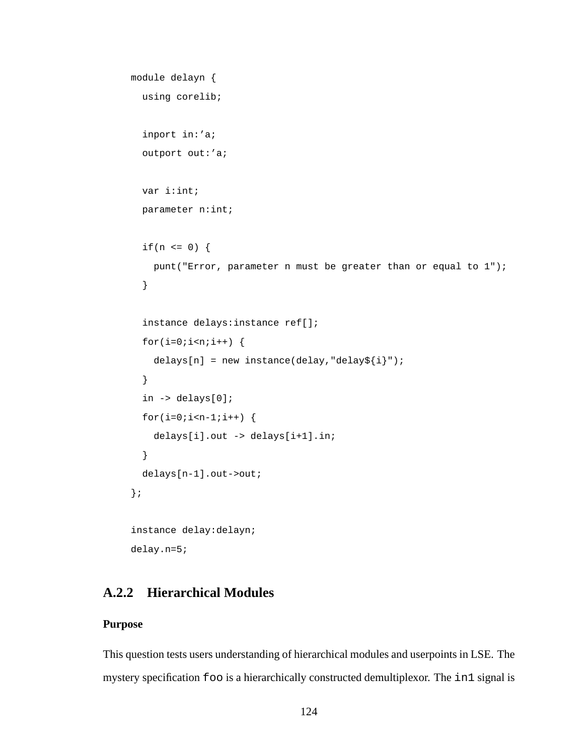```
module delayn {
  using corelib;
  inport in:'a;
  outport out:'a;
 var i:int;
 parameter n:int;
  if(n <= 0) {
    punt("Error, parameter n must be greater than or equal to 1");
  }
  instance delays:instance ref[];
  for(i=0;i<n;i++) {
    delays[n] = new instance(delay, "delay$\{i\}");
  }
  in -> delays[0];
  for(i=0;i<n-1;i++) {
    delays[i].out -> delays[i+1].in;
  }
  delays[n-1].out->out;
};
instance delay:delayn;
delay.n=5;
```
## **A.2.2 Hierarchical Modules**

#### **Purpose**

This question tests users understanding of hierarchical modules and userpoints in LSE. The mystery specification foo is a hierarchically constructed demultiplexor. The in1 signal is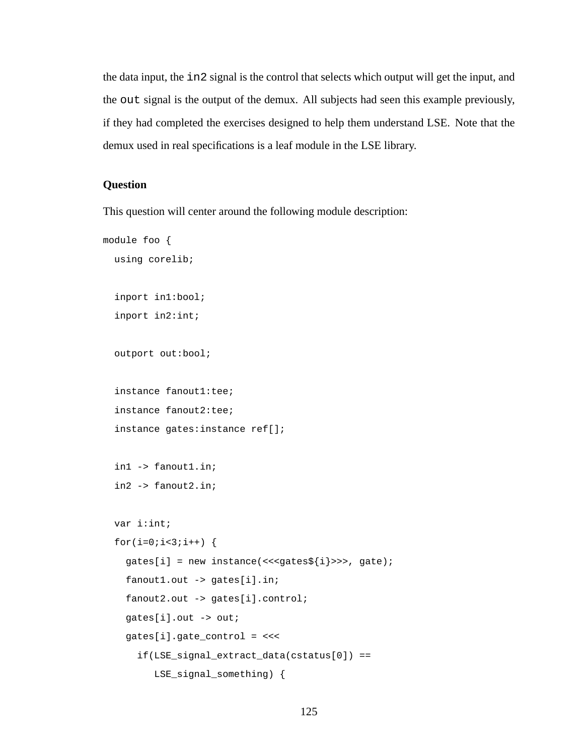the data input, the in2 signal is the control that selects which output will get the input, and the out signal is the output of the demux. All subjects had seen this example previously, if they had completed the exercises designed to help them understand LSE. Note that the demux used in real specifications is a leaf module in the LSE library.

#### **Question**

This question will center around the following module description:

```
module foo {
 using corelib;
  inport in1:bool;
  inport in2:int;
 outport out:bool;
  instance fanout1:tee;
  instance fanout2:tee;
  instance gates:instance ref[];
  in1 -> fanout1.in;
  in2 -> fanout2.in;
 var i:int;
 for(i=0;i<3;i++) {
    gates[i] = new instance(<&lt;&lt; gates[i]>>&gt; , gate);fanout1.out -> gates[i].in;
    fanout2.out -> gates[i].control;
    gates[i].out -> out;
    gates[i].gate_control = <<<
      if(LSE_signal_extract_data(cstatus[0]) ==
         LSE_signal_something) {
```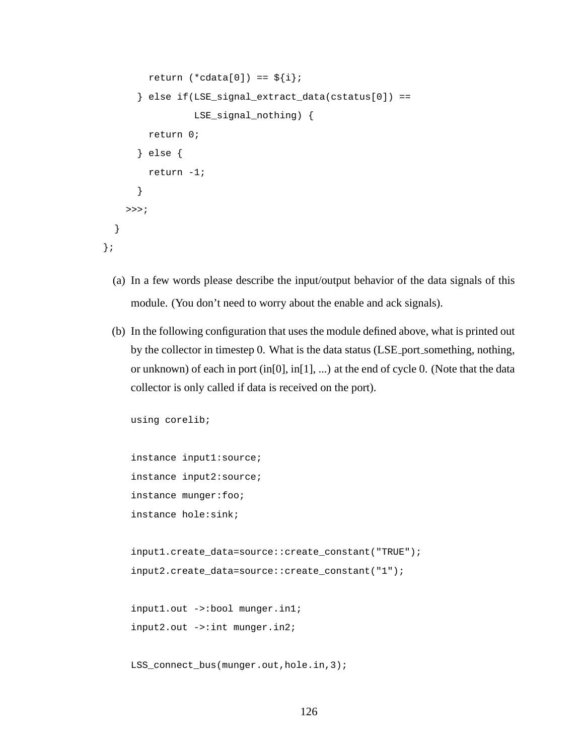```
return (*cdata[0]) == $i;} else if(LSE_signal_extract_data(cstatus[0]) ==
                LSE_signal_nothing) {
        return 0;
      } else {
        return -1;
      }
    >>>;
  }
};
```
- (a) In a few words please describe the input/output behavior of the data signals of this module. (You don't need to worry about the enable and ack signals).
- (b) In the following configuration that uses the module defined above, what is printed out by the collector in timestep 0. What is the data status (LSE port something, nothing, or unknown) of each in port (in[0], in[1], ...) at the end of cycle 0. (Note that the data collector is only called if data is received on the port).

```
using corelib;
instance input1:source;
instance input2:source;
instance munger:foo;
instance hole:sink;
input1.create_data=source::create_constant("TRUE");
input2.create_data=source::create_constant("1");
input1.out ->:bool munger.in1;
input2.out ->:int munger.in2;
```
LSS\_connect\_bus(munger.out,hole.in,3);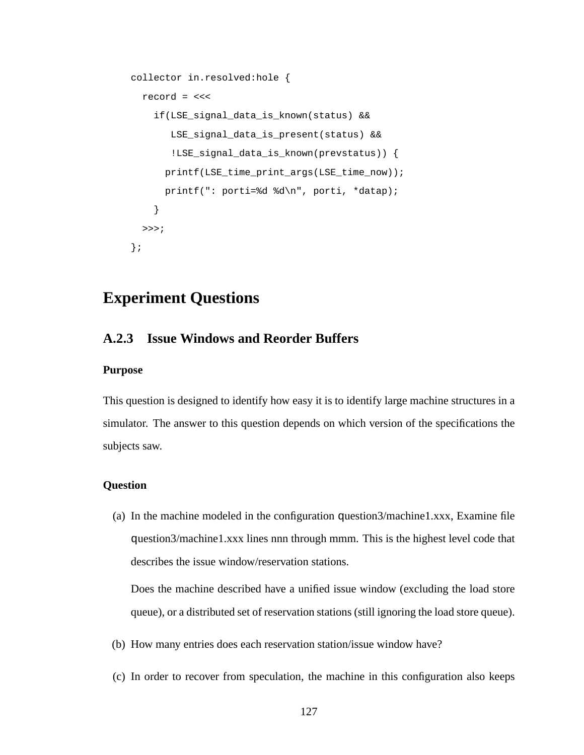```
collector in.resolved:hole {
  record = \lt\lt\ltif(LSE_signal_data_is_known(status) &&
       LSE_signal_data_is_present(status) &&
       !LSE_signal_data_is_known(prevstatus)) {
      printf(LSE_time_print_args(LSE_time_now));
      printf(": porti=%d %d\n", porti, *datap);
    }
  >>>;
};
```
# **Experiment Questions**

#### **A.2.3 Issue Windows and Reorder Buffers**

#### **Purpose**

This question is designed to identify how easy it is to identify large machine structures in a simulator. The answer to this question depends on which version of the specifications the subjects saw.

#### **Question**

(a) In the machine modeled in the configuration question3/machine1.xxx, Examine file question3/machine1.xxx lines nnn through mmm. This is the highest level code that describes the issue window/reservation stations.

Does the machine described have a unified issue window (excluding the load store queue), or a distributed set of reservation stations (still ignoring the load store queue).

- (b) How many entries does each reservation station/issue window have?
- (c) In order to recover from speculation, the machine in this configuration also keeps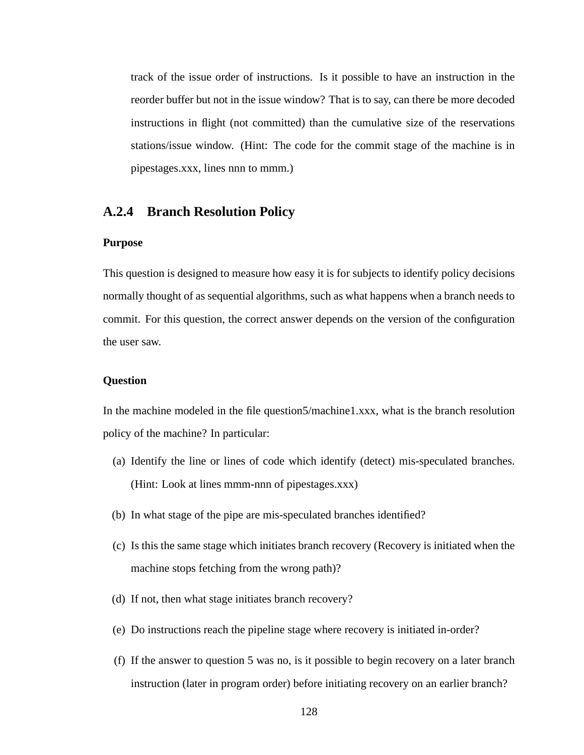track of the issue order of instructions. Is it possible to have an instruction in the reorder buffer but not in the issue window? That is to say, can there be more decoded instructions in flight (not committed) than the cumulative size of the reservations stations/issue window. (Hint: The code for the commit stage of the machine is in pipestages.xxx, lines nnn to mmm.)

#### **A.2.4 Branch Resolution Policy**

#### **Purpose**

This question is designed to measure how easy it is for subjects to identify policy decisions normally thought of as sequential algorithms, such as what happens when a branch needs to commit. For this question, the correct answer depends on the version of the configuration the user saw.

#### **Question**

In the machine modeled in the file question5/machine1.xxx, what is the branch resolution policy of the machine? In particular:

- (a) Identify the line or lines of code which identify (detect) mis-speculated branches. (Hint: Look at lines mmm-nnn of pipestages.xxx)
- (b) In what stage of the pipe are mis-speculated branches identified?
- (c) Is this the same stage which initiates branch recovery (Recovery is initiated when the machine stops fetching from the wrong path)?
- (d) If not, then what stage initiates branch recovery?
- (e) Do instructions reach the pipeline stage where recovery is initiated in-order?
- (f) If the answer to question 5 was no, is it possible to begin recovery on a later branch instruction (later in program order) before initiating recovery on an earlier branch?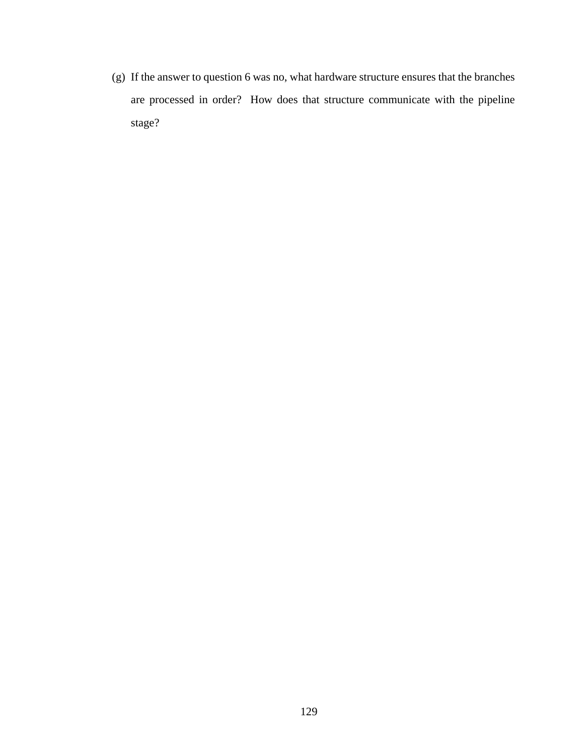(g) If the answer to question 6 was no, what hardware structure ensures that the branches are processed in order? How does that structure communicate with the pipeline stage?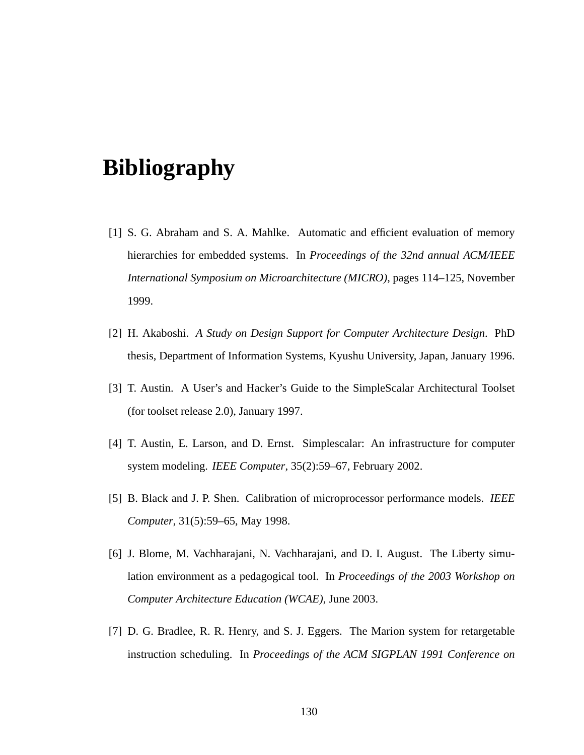# **Bibliography**

- [1] S. G. Abraham and S. A. Mahlke. Automatic and efficient evaluation of memory hierarchies for embedded systems. In *Proceedings of the 32nd annual ACM/IEEE International Symposium on Microarchitecture (MICRO)*, pages 114–125, November 1999.
- [2] H. Akaboshi. *A Study on Design Support for Computer Architecture Design*. PhD thesis, Department of Information Systems, Kyushu University, Japan, January 1996.
- [3] T. Austin. A User's and Hacker's Guide to the SimpleScalar Architectural Toolset (for toolset release 2.0), January 1997.
- [4] T. Austin, E. Larson, and D. Ernst. Simplescalar: An infrastructure for computer system modeling. *IEEE Computer*, 35(2):59–67, February 2002.
- [5] B. Black and J. P. Shen. Calibration of microprocessor performance models. *IEEE Computer*, 31(5):59–65, May 1998.
- [6] J. Blome, M. Vachharajani, N. Vachharajani, and D. I. August. The Liberty simulation environment as a pedagogical tool. In *Proceedings of the 2003 Workshop on Computer Architecture Education (WCAE)*, June 2003.
- [7] D. G. Bradlee, R. R. Henry, and S. J. Eggers. The Marion system for retargetable instruction scheduling. In *Proceedings of the ACM SIGPLAN 1991 Conference on*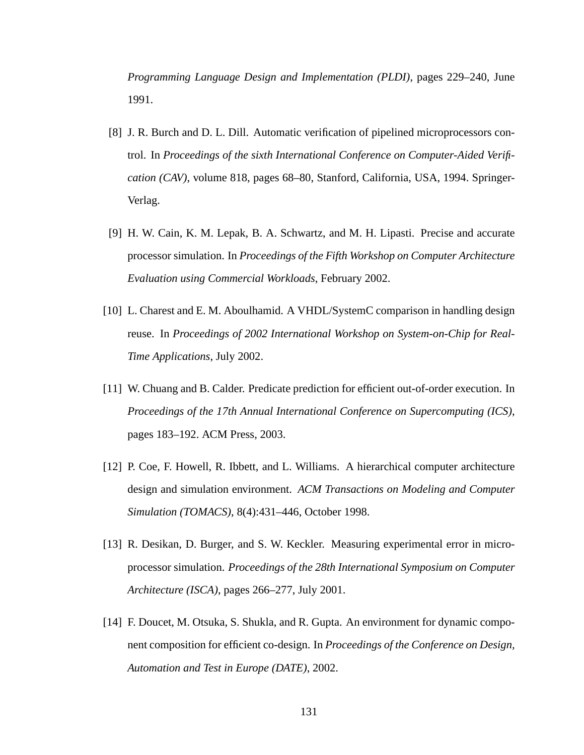*Programming Language Design and Implementation (PLDI)*, pages 229–240, June 1991.

- [8] J. R. Burch and D. L. Dill. Automatic verification of pipelined microprocessors control. In *Proceedings of the sixth International Conference on Computer-Aided Verification (CAV)*, volume 818, pages 68–80, Stanford, California, USA, 1994. Springer-Verlag.
- [9] H. W. Cain, K. M. Lepak, B. A. Schwartz, and M. H. Lipasti. Precise and accurate processor simulation. In *Proceedings of the Fifth Workshop on Computer Architecture Evaluation using Commercial Workloads*, February 2002.
- [10] L. Charest and E. M. Aboulhamid. A VHDL/SystemC comparison in handling design reuse. In *Proceedings of 2002 International Workshop on System-on-Chip for Real-Time Applications*, July 2002.
- [11] W. Chuang and B. Calder. Predicate prediction for efficient out-of-order execution. In *Proceedings of the 17th Annual International Conference on Supercomputing (ICS)*, pages 183–192. ACM Press, 2003.
- [12] P. Coe, F. Howell, R. Ibbett, and L. Williams. A hierarchical computer architecture design and simulation environment. *ACM Transactions on Modeling and Computer Simulation (TOMACS)*, 8(4):431–446, October 1998.
- [13] R. Desikan, D. Burger, and S. W. Keckler. Measuring experimental error in microprocessor simulation. *Proceedings of the 28th International Symposium on Computer Architecture (ISCA)*, pages 266–277, July 2001.
- [14] F. Doucet, M. Otsuka, S. Shukla, and R. Gupta. An environment for dynamic component composition for efficient co-design. In *Proceedings of the Conference on Design, Automation and Test in Europe (DATE)*, 2002.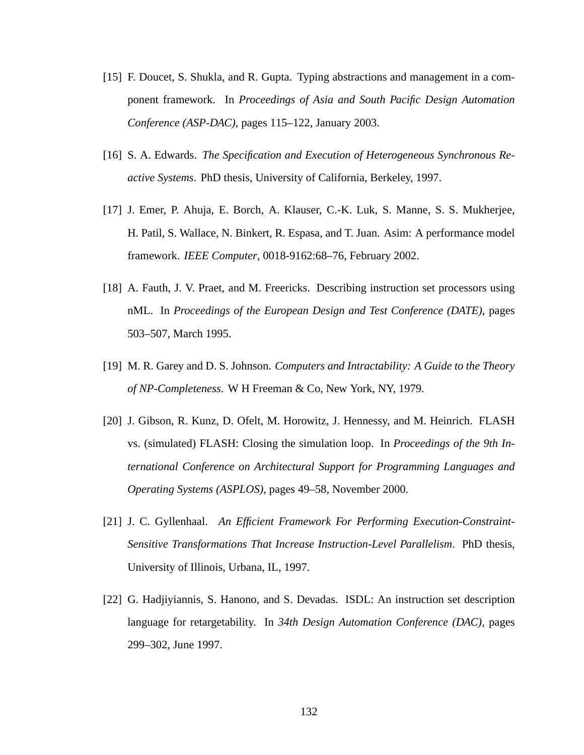- [15] F. Doucet, S. Shukla, and R. Gupta. Typing abstractions and management in a component framework. In *Proceedings of Asia and South Pacific Design Automation Conference (ASP-DAC)*, pages 115–122, January 2003.
- [16] S. A. Edwards. *The Specification and Execution of Heterogeneous Synchronous Reactive Systems*. PhD thesis, University of California, Berkeley, 1997.
- [17] J. Emer, P. Ahuja, E. Borch, A. Klauser, C.-K. Luk, S. Manne, S. S. Mukherjee, H. Patil, S. Wallace, N. Binkert, R. Espasa, and T. Juan. Asim: A performance model framework. *IEEE Computer*, 0018-9162:68–76, February 2002.
- [18] A. Fauth, J. V. Praet, and M. Freericks. Describing instruction set processors using nML. In *Proceedings of the European Design and Test Conference (DATE)*, pages 503–507, March 1995.
- [19] M. R. Garey and D. S. Johnson. *Computers and Intractability: A Guide to the Theory of NP-Completeness*. W H Freeman & Co, New York, NY, 1979.
- [20] J. Gibson, R. Kunz, D. Ofelt, M. Horowitz, J. Hennessy, and M. Heinrich. FLASH vs. (simulated) FLASH: Closing the simulation loop. In *Proceedings of the 9th International Conference on Architectural Support for Programming Languages and Operating Systems (ASPLOS)*, pages 49–58, November 2000.
- [21] J. C. Gyllenhaal. *An Efficient Framework For Performing Execution-Constraint-Sensitive Transformations That Increase Instruction-Level Parallelism*. PhD thesis, University of Illinois, Urbana, IL, 1997.
- [22] G. Hadjiyiannis, S. Hanono, and S. Devadas. ISDL: An instruction set description language for retargetability. In *34th Design Automation Conference (DAC)*, pages 299–302, June 1997.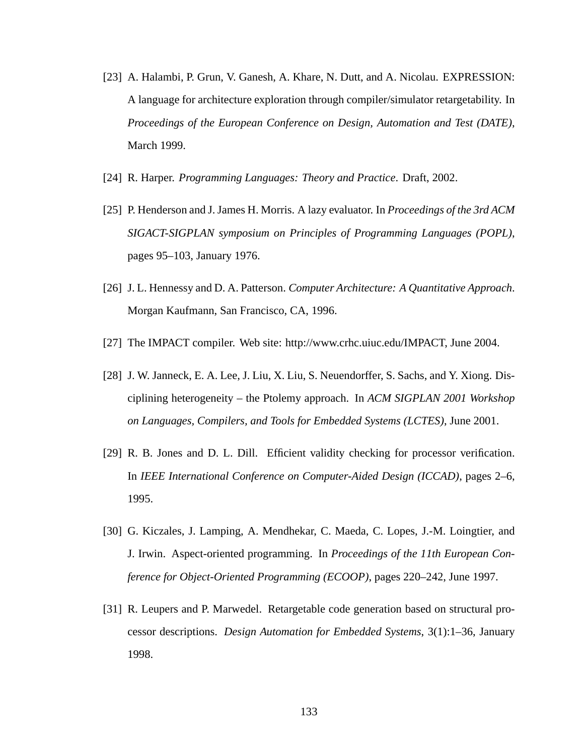- [23] A. Halambi, P. Grun, V. Ganesh, A. Khare, N. Dutt, and A. Nicolau. EXPRESSION: A language for architecture exploration through compiler/simulator retargetability. In *Proceedings of the European Conference on Design, Automation and Test (DATE)*, March 1999.
- [24] R. Harper. *Programming Languages: Theory and Practice*. Draft, 2002.
- [25] P. Henderson and J. James H. Morris. A lazy evaluator. In *Proceedings of the 3rd ACM SIGACT-SIGPLAN symposium on Principles of Programming Languages (POPL)*, pages 95–103, January 1976.
- [26] J. L. Hennessy and D. A. Patterson. *Computer Architecture: A Quantitative Approach*. Morgan Kaufmann, San Francisco, CA, 1996.
- [27] The IMPACT compiler. Web site: http://www.crhc.uiuc.edu/IMPACT, June 2004.
- [28] J. W. Janneck, E. A. Lee, J. Liu, X. Liu, S. Neuendorffer, S. Sachs, and Y. Xiong. Disciplining heterogeneity – the Ptolemy approach. In *ACM SIGPLAN 2001 Workshop on Languages, Compilers, and Tools for Embedded Systems (LCTES)*, June 2001.
- [29] R. B. Jones and D. L. Dill. Efficient validity checking for processor verification. In *IEEE International Conference on Computer-Aided Design (ICCAD)*, pages 2–6, 1995.
- [30] G. Kiczales, J. Lamping, A. Mendhekar, C. Maeda, C. Lopes, J.-M. Loingtier, and J. Irwin. Aspect-oriented programming. In *Proceedings of the 11th European Conference for Object-Oriented Programming (ECOOP)*, pages 220–242, June 1997.
- [31] R. Leupers and P. Marwedel. Retargetable code generation based on structural processor descriptions. *Design Automation for Embedded Systems*, 3(1):1–36, January 1998.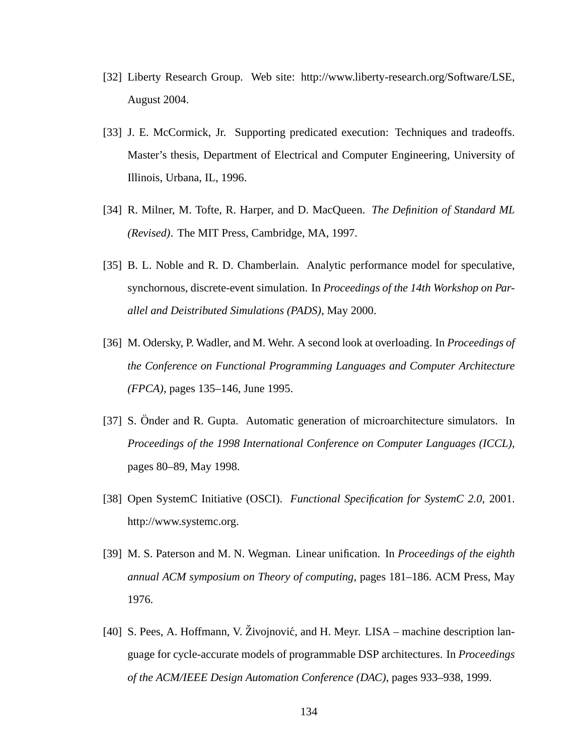- [32] Liberty Research Group. Web site: http://www.liberty-research.org/Software/LSE, August 2004.
- [33] J. E. McCormick, Jr. Supporting predicated execution: Techniques and tradeoffs. Master's thesis, Department of Electrical and Computer Engineering, University of Illinois, Urbana, IL, 1996.
- [34] R. Milner, M. Tofte, R. Harper, and D. MacQueen. *The Definition of Standard ML (Revised)*. The MIT Press, Cambridge, MA, 1997.
- [35] B. L. Noble and R. D. Chamberlain. Analytic performance model for speculative, synchornous, discrete-event simulation. In *Proceedings of the 14th Workshop on Parallel and Deistributed Simulations (PADS)*, May 2000.
- [36] M. Odersky, P. Wadler, and M. Wehr. A second look at overloading. In *Proceedings of the Conference on Functional Programming Languages and Computer Architecture (FPCA)*, pages 135–146, June 1995.
- [37] S. Onder and R. Gupta. Automatic generation of microarchitecture simulators. In *Proceedings of the 1998 International Conference on Computer Languages (ICCL)*, pages 80–89, May 1998.
- [38] Open SystemC Initiative (OSCI). *Functional Specification for SystemC 2.0*, 2001. http://www.systemc.org.
- [39] M. S. Paterson and M. N. Wegman. Linear unification. In *Proceedings of the eighth annual ACM symposium on Theory of computing*, pages 181–186. ACM Press, May 1976.
- [40] S. Pees, A. Hoffmann, V. Živojnović, and H. Meyr. LISA machine description language for cycle-accurate models of programmable DSP architectures. In *Proceedings of the ACM/IEEE Design Automation Conference (DAC)*, pages 933–938, 1999.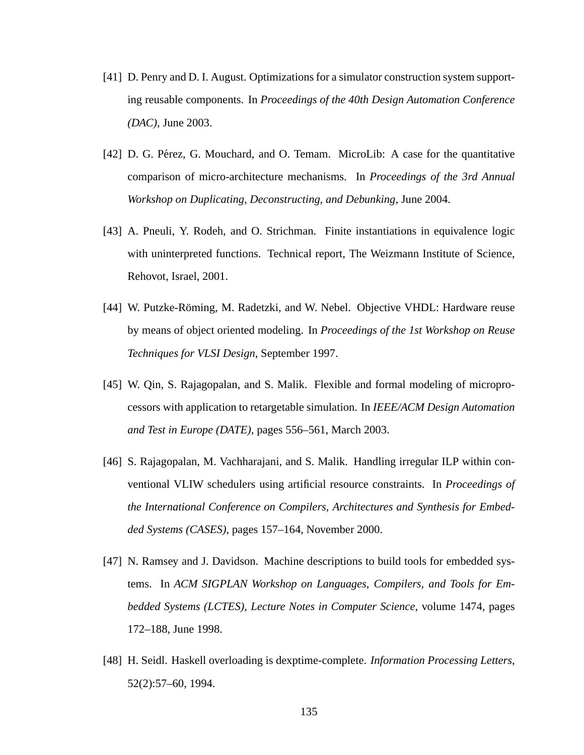- [41] D. Penry and D. I. August. Optimizations for a simulator construction system supporting reusable components. In *Proceedings of the 40th Design Automation Conference (DAC)*, June 2003.
- [42] D. G. Pérez, G. Mouchard, and O. Temam. MicroLib: A case for the quantitative comparison of micro-architecture mechanisms. In *Proceedings of the 3rd Annual Workshop on Duplicating, Deconstructing, and Debunking*, June 2004.
- [43] A. Pneuli, Y. Rodeh, and O. Strichman. Finite instantiations in equivalence logic with uninterpreted functions. Technical report, The Weizmann Institute of Science, Rehovot, Israel, 2001.
- [44] W. Putzke-Röming, M. Radetzki, and W. Nebel. Objective VHDL: Hardware reuse by means of object oriented modeling. In *Proceedings of the 1st Workshop on Reuse Techniques for VLSI Design*, September 1997.
- [45] W. Qin, S. Rajagopalan, and S. Malik. Flexible and formal modeling of microprocessors with application to retargetable simulation. In *IEEE/ACM Design Automation and Test in Europe (DATE)*, pages 556–561, March 2003.
- [46] S. Rajagopalan, M. Vachharajani, and S. Malik. Handling irregular ILP within conventional VLIW schedulers using artificial resource constraints. In *Proceedings of the International Conference on Compilers, Architectures and Synthesis for Embedded Systems (CASES)*, pages 157–164, November 2000.
- [47] N. Ramsey and J. Davidson. Machine descriptions to build tools for embedded systems. In *ACM SIGPLAN Workshop on Languages, Compilers, and Tools for Embedded Systems (LCTES), Lecture Notes in Computer Science*, volume 1474, pages 172–188, June 1998.
- [48] H. Seidl. Haskell overloading is dexptime-complete. *Information Processing Letters*, 52(2):57–60, 1994.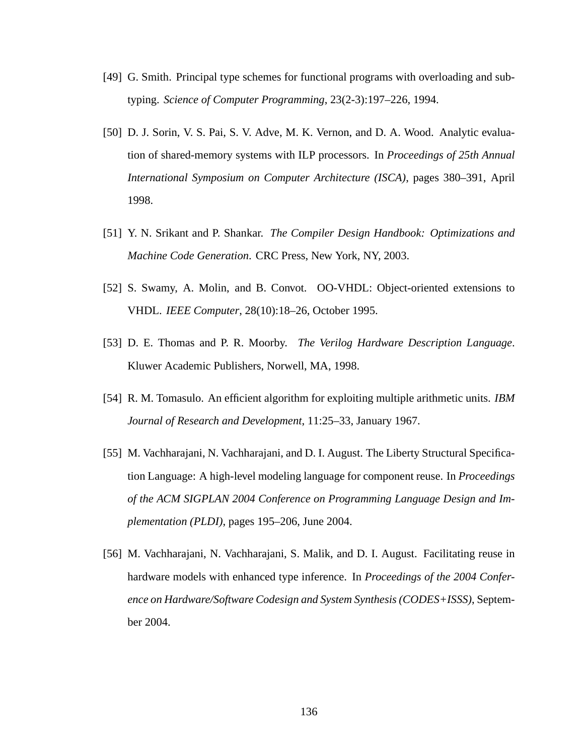- [49] G. Smith. Principal type schemes for functional programs with overloading and subtyping. *Science of Computer Programming*, 23(2-3):197–226, 1994.
- [50] D. J. Sorin, V. S. Pai, S. V. Adve, M. K. Vernon, and D. A. Wood. Analytic evaluation of shared-memory systems with ILP processors. In *Proceedings of 25th Annual International Symposium on Computer Architecture (ISCA)*, pages 380–391, April 1998.
- [51] Y. N. Srikant and P. Shankar. *The Compiler Design Handbook: Optimizations and Machine Code Generation*. CRC Press, New York, NY, 2003.
- [52] S. Swamy, A. Molin, and B. Convot. OO-VHDL: Object-oriented extensions to VHDL. *IEEE Computer*, 28(10):18–26, October 1995.
- [53] D. E. Thomas and P. R. Moorby. *The Verilog Hardware Description Language*. Kluwer Academic Publishers, Norwell, MA, 1998.
- [54] R. M. Tomasulo. An efficient algorithm for exploiting multiple arithmetic units. *IBM Journal of Research and Development*, 11:25–33, January 1967.
- [55] M. Vachharajani, N. Vachharajani, and D. I. August. The Liberty Structural Specification Language: A high-level modeling language for component reuse. In *Proceedings of the ACM SIGPLAN 2004 Conference on Programming Language Design and Implementation (PLDI)*, pages 195–206, June 2004.
- [56] M. Vachharajani, N. Vachharajani, S. Malik, and D. I. August. Facilitating reuse in hardware models with enhanced type inference. In *Proceedings of the 2004 Conference on Hardware/Software Codesign and System Synthesis (CODES+ISSS)*, September 2004.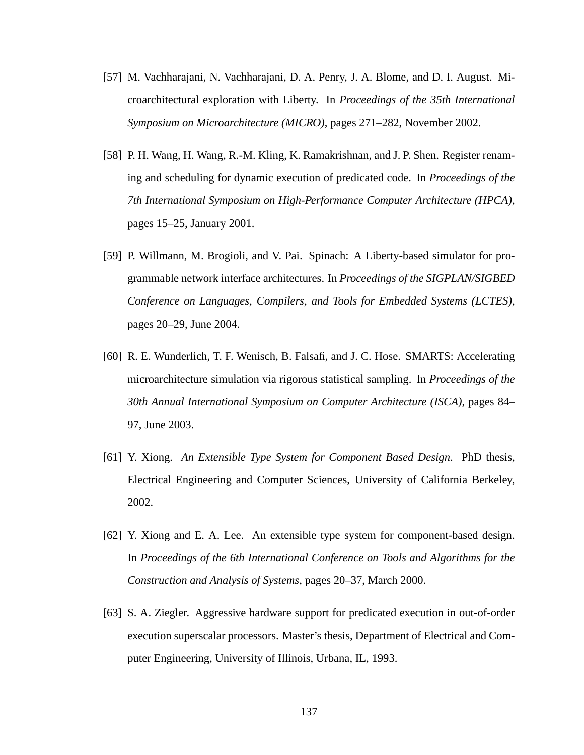- [57] M. Vachharajani, N. Vachharajani, D. A. Penry, J. A. Blome, and D. I. August. Microarchitectural exploration with Liberty. In *Proceedings of the 35th International Symposium on Microarchitecture (MICRO)*, pages 271–282, November 2002.
- [58] P. H. Wang, H. Wang, R.-M. Kling, K. Ramakrishnan, and J. P. Shen. Register renaming and scheduling for dynamic execution of predicated code. In *Proceedings of the 7th International Symposium on High-Performance Computer Architecture (HPCA)*, pages 15–25, January 2001.
- [59] P. Willmann, M. Brogioli, and V. Pai. Spinach: A Liberty-based simulator for programmable network interface architectures. In *Proceedings of the SIGPLAN/SIGBED Conference on Languages, Compilers, and Tools for Embedded Systems (LCTES)*, pages 20–29, June 2004.
- [60] R. E. Wunderlich, T. F. Wenisch, B. Falsafi, and J. C. Hose. SMARTS: Accelerating microarchitecture simulation via rigorous statistical sampling. In *Proceedings of the 30th Annual International Symposium on Computer Architecture (ISCA)*, pages 84– 97, June 2003.
- [61] Y. Xiong. *An Extensible Type System for Component Based Design*. PhD thesis, Electrical Engineering and Computer Sciences, University of California Berkeley, 2002.
- [62] Y. Xiong and E. A. Lee. An extensible type system for component-based design. In *Proceedings of the 6th International Conference on Tools and Algorithms for the Construction and Analysis of Systems*, pages 20–37, March 2000.
- [63] S. A. Ziegler. Aggressive hardware support for predicated execution in out-of-order execution superscalar processors. Master's thesis, Department of Electrical and Computer Engineering, University of Illinois, Urbana, IL, 1993.